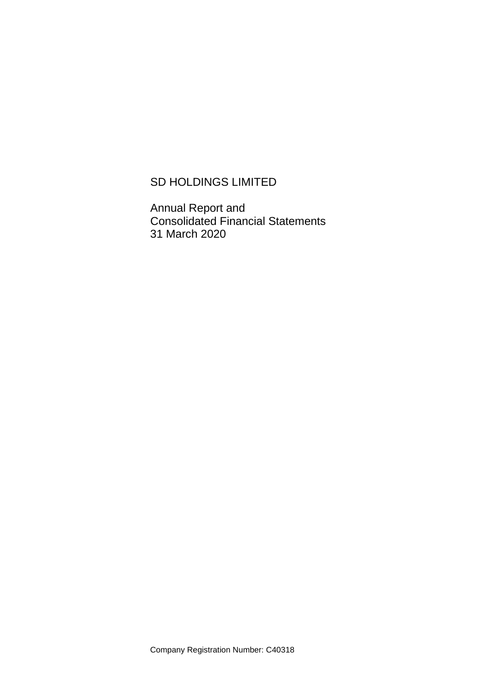# SD HOLDINGS LIMITED

Annual Report and Consolidated Financial Statements 31 March 2020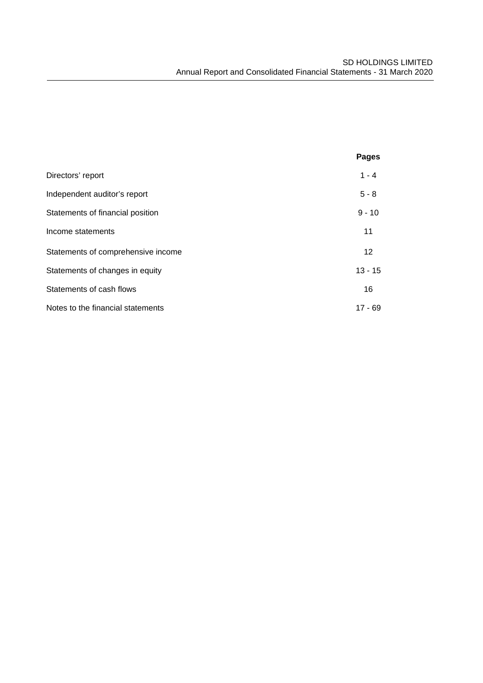|                                    | <b>Pages</b> |
|------------------------------------|--------------|
| Directors' report                  | $1 - 4$      |
| Independent auditor's report       | $5 - 8$      |
| Statements of financial position   | $9 - 10$     |
| Income statements                  | 11           |
| Statements of comprehensive income | $12 \,$      |
| Statements of changes in equity    | $13 - 15$    |
| Statements of cash flows           | 16           |
| Notes to the financial statements  | $17 - 69$    |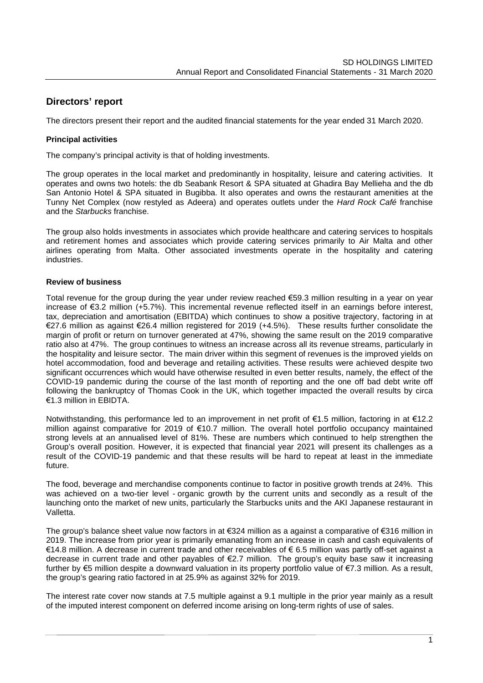# **Directors' report**

The directors present their report and the audited financial statements for the year ended 31 March 2020.

#### **Principal activities**

The company's principal activity is that of holding investments.

The group operates in the local market and predominantly in hospitality, leisure and catering activities. It operates and owns two hotels: the db Seabank Resort & SPA situated at Ghadira Bay Mellieha and the db San Antonio Hotel & SPA situated in Bugibba. It also operates and owns the restaurant amenities at the Tunny Net Complex (now restyled as Adeera) and operates outlets under the *Hard Rock Café* franchise and the *Starbucks* franchise.

The group also holds investments in associates which provide healthcare and catering services to hospitals and retirement homes and associates which provide catering services primarily to Air Malta and other airlines operating from Malta. Other associated investments operate in the hospitality and catering industries.

#### **Review of business**

Total revenue for the group during the year under review reached €59.3 million resulting in a year on year increase of €3.2 million (+5.7%). This incremental revenue reflected itself in an earnings before interest, tax, depreciation and amortisation (EBITDA) which continues to show a positive trajectory, factoring in at €27.6 million as against €26.4 million registered for 2019 (+4.5%). These results further consolidate the margin of profit or return on turnover generated at 47%, showing the same result on the 2019 comparative ratio also at 47%. The group continues to witness an increase across all its revenue streams, particularly in the hospitality and leisure sector. The main driver within this segment of revenues is the improved yields on hotel accommodation, food and beverage and retailing activities. These results were achieved despite two significant occurrences which would have otherwise resulted in even better results, namely, the effect of the COVID-19 pandemic during the course of the last month of reporting and the one off bad debt write off following the bankruptcy of Thomas Cook in the UK, which together impacted the overall results by circa €1.3 million in EBIDTA.

Notwithstanding, this performance led to an improvement in net profit of €1.5 million, factoring in at €12.2 million against comparative for 2019 of €10.7 million. The overall hotel portfolio occupancy maintained strong levels at an annualised level of 81%. These are numbers which continued to help strengthen the Group's overall position. However, it is expected that financial year 2021 will present its challenges as a result of the COVID-19 pandemic and that these results will be hard to repeat at least in the immediate future.

The food, beverage and merchandise components continue to factor in positive growth trends at 24%. This was achieved on a two-tier level - organic growth by the current units and secondly as a result of the launching onto the market of new units, particularly the Starbucks units and the AKI Japanese restaurant in Valletta.

The group's balance sheet value now factors in at €324 million as a against a comparative of €316 million in 2019. The increase from prior year is primarily emanating from an increase in cash and cash equivalents of €14.8 million. A decrease in current trade and other receivables of € 6.5 million was partly off-set against a decrease in current trade and other payables of €2.7 million. The group's equity base saw it increasing further by €5 million despite a downward valuation in its property portfolio value of €7.3 million. As a result, the group's gearing ratio factored in at 25.9% as against 32% for 2019.

The interest rate cover now stands at 7.5 multiple against a 9.1 multiple in the prior year mainly as a result of the imputed interest component on deferred income arising on long-term rights of use of sales.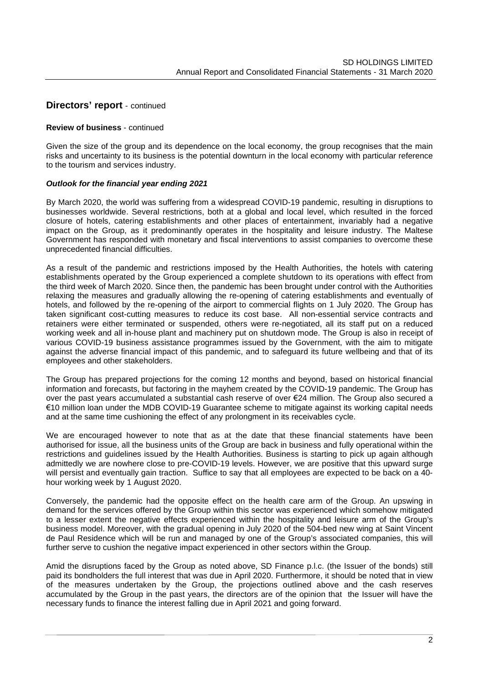# **Directors' report** - continued

#### **Review of business** - continued

Given the size of the group and its dependence on the local economy, the group recognises that the main risks and uncertainty to its business is the potential downturn in the local economy with particular reference to the tourism and services industry.

### *Outlook for the financial year ending 2021*

By March 2020, the world was suffering from a widespread COVID-19 pandemic, resulting in disruptions to businesses worldwide. Several restrictions, both at a global and local level, which resulted in the forced closure of hotels, catering establishments and other places of entertainment, invariably had a negative impact on the Group, as it predominantly operates in the hospitality and leisure industry. The Maltese Government has responded with monetary and fiscal interventions to assist companies to overcome these unprecedented financial difficulties.

As a result of the pandemic and restrictions imposed by the Health Authorities, the hotels with catering establishments operated by the Group experienced a complete shutdown to its operations with effect from the third week of March 2020. Since then, the pandemic has been brought under control with the Authorities relaxing the measures and gradually allowing the re-opening of catering establishments and eventually of hotels, and followed by the re-opening of the airport to commercial flights on 1 July 2020. The Group has taken significant cost-cutting measures to reduce its cost base. All non-essential service contracts and retainers were either terminated or suspended, others were re-negotiated, all its staff put on a reduced working week and all in-house plant and machinery put on shutdown mode. The Group is also in receipt of various COVID-19 business assistance programmes issued by the Government, with the aim to mitigate against the adverse financial impact of this pandemic, and to safeguard its future wellbeing and that of its employees and other stakeholders.

The Group has prepared projections for the coming 12 months and beyond, based on historical financial information and forecasts, but factoring in the mayhem created by the COVID-19 pandemic. The Group has over the past years accumulated a substantial cash reserve of over €24 million. The Group also secured a €10 million loan under the MDB COVID-19 Guarantee scheme to mitigate against its working capital needs and at the same time cushioning the effect of any prolongment in its receivables cycle.

We are encouraged however to note that as at the date that these financial statements have been authorised for issue, all the business units of the Group are back in business and fully operational within the restrictions and guidelines issued by the Health Authorities. Business is starting to pick up again although admittedly we are nowhere close to pre-COVID-19 levels. However, we are positive that this upward surge will persist and eventually gain traction. Suffice to say that all employees are expected to be back on a 40 hour working week by 1 August 2020.

Conversely, the pandemic had the opposite effect on the health care arm of the Group. An upswing in demand for the services offered by the Group within this sector was experienced which somehow mitigated to a lesser extent the negative effects experienced within the hospitality and leisure arm of the Group's business model. Moreover, with the gradual opening in July 2020 of the 504-bed new wing at Saint Vincent de Paul Residence which will be run and managed by one of the Group's associated companies, this will further serve to cushion the negative impact experienced in other sectors within the Group.

Amid the disruptions faced by the Group as noted above, SD Finance p.l.c. (the Issuer of the bonds) still paid its bondholders the full interest that was due in April 2020. Furthermore, it should be noted that in view of the measures undertaken by the Group, the projections outlined above and the cash reserves accumulated by the Group in the past years, the directors are of the opinion that the Issuer will have the necessary funds to finance the interest falling due in April 2021 and going forward.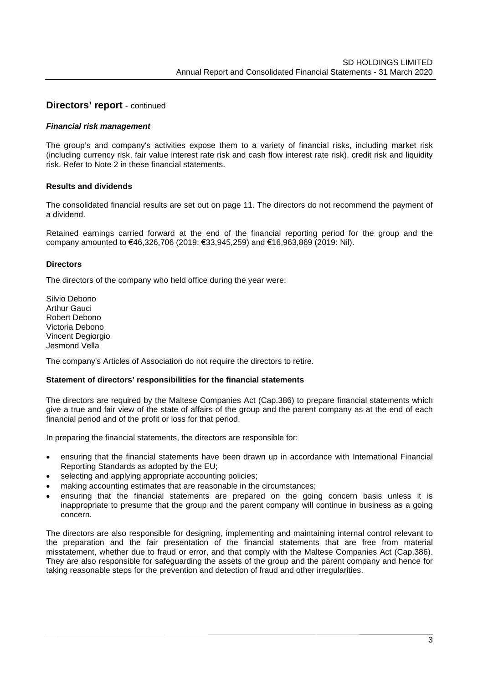# **Directors' report** - continued

#### *Financial risk management*

The group's and company's activities expose them to a variety of financial risks, including market risk (including currency risk, fair value interest rate risk and cash flow interest rate risk), credit risk and liquidity risk. Refer to Note 2 in these financial statements.

### **Results and dividends**

The consolidated financial results are set out on page 11. The directors do not recommend the payment of a dividend.

Retained earnings carried forward at the end of the financial reporting period for the group and the company amounted to €46,326,706 (2019: €33,945,259) and €16,963,869 (2019: Nil).

### **Directors**

The directors of the company who held office during the year were:

Silvio Debono Arthur Gauci Robert Debono Victoria Debono Vincent Degiorgio Jesmond Vella

The company's Articles of Association do not require the directors to retire.

#### **Statement of directors' responsibilities for the financial statements**

The directors are required by the Maltese Companies Act (Cap.386) to prepare financial statements which give a true and fair view of the state of affairs of the group and the parent company as at the end of each financial period and of the profit or loss for that period.

In preparing the financial statements, the directors are responsible for:

- ensuring that the financial statements have been drawn up in accordance with International Financial Reporting Standards as adopted by the EU;
- selecting and applying appropriate accounting policies;
- making accounting estimates that are reasonable in the circumstances;
- ensuring that the financial statements are prepared on the going concern basis unless it is inappropriate to presume that the group and the parent company will continue in business as a going concern.

The directors are also responsible for designing, implementing and maintaining internal control relevant to the preparation and the fair presentation of the financial statements that are free from material misstatement, whether due to fraud or error, and that comply with the Maltese Companies Act (Cap.386). They are also responsible for safeguarding the assets of the group and the parent company and hence for taking reasonable steps for the prevention and detection of fraud and other irregularities.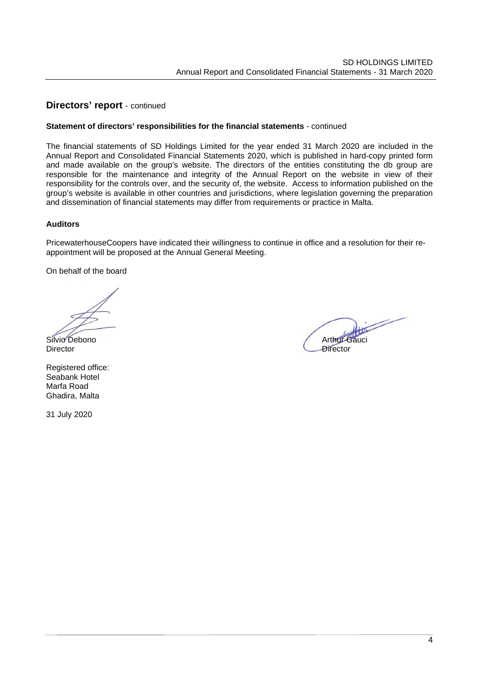# **Directors' report** - continued

### **Statement of directors' responsibilities for the financial statements** - continued

The financial statements of SD Holdings Limited for the year ended 31 March 2020 are included in the Annual Report and Consolidated Financial Statements 2020, which is published in hard-copy printed form and made available on the group's website. The directors of the entities constituting the db group are responsible for the maintenance and integrity of the Annual Report on the website in view of their responsibility for the controls over, and the security of, the website. Access to information published on the group's website is available in other countries and jurisdictions, where legislation governing the preparation and dissemination of financial statements may differ from requirements or practice in Malta.

### **Auditors**

PricewaterhouseCoopers have indicated their willingness to continue in office and a resolution for their reappointment will be proposed at the Annual General Meeting.

On behalf of the board

Director **Director** Director **Director Director Director Director Director Director Director Director Director Director Director Director Director Director Director Director Director Direc** 

Registered office: Seabank Hotel Marfa Road Ghadira, Malta

31 July 2020

Silvio Debono **Arthur Gauci**<br>Director **Arthur Gauci**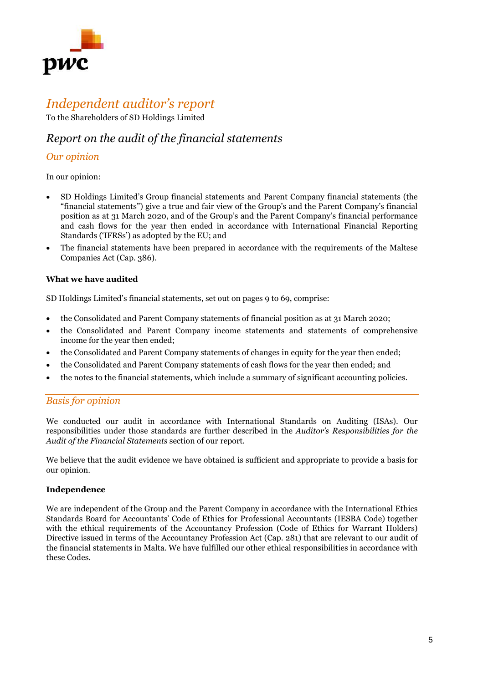

# *Independent auditor's report*

To the Shareholders of SD Holdings Limited

# *Report on the audit of the financial statements*

## *Our opinion*

In our opinion:

- SD Holdings Limited's Group financial statements and Parent Company financial statements (the "financial statements") give a true and fair view of the Group's and the Parent Company's financial position as at 31 March 2020, and of the Group's and the Parent Company's financial performance and cash flows for the year then ended in accordance with International Financial Reporting Standards ('IFRSs') as adopted by the EU; and
- The financial statements have been prepared in accordance with the requirements of the Maltese Companies Act (Cap. 386).

### **What we have audited**

SD Holdings Limited's financial statements, set out on pages 9 to 69, comprise:

- the Consolidated and Parent Company statements of financial position as at 31 March 2020;
- the Consolidated and Parent Company income statements and statements of comprehensive income for the year then ended;
- the Consolidated and Parent Company statements of changes in equity for the year then ended;
- the Consolidated and Parent Company statements of cash flows for the year then ended; and
- the notes to the financial statements, which include a summary of significant accounting policies.

## *Basis for opinion*

We conducted our audit in accordance with International Standards on Auditing (ISAs). Our responsibilities under those standards are further described in the *Auditor's Responsibilities for the Audit of the Financial Statements* section of our report.

We believe that the audit evidence we have obtained is sufficient and appropriate to provide a basis for our opinion.

#### **Independence**

We are independent of the Group and the Parent Company in accordance with the International Ethics Standards Board for Accountants' Code of Ethics for Professional Accountants (IESBA Code) together with the ethical requirements of the Accountancy Profession (Code of Ethics for Warrant Holders) Directive issued in terms of the Accountancy Profession Act (Cap. 281) that are relevant to our audit of the financial statements in Malta. We have fulfilled our other ethical responsibilities in accordance with these Codes.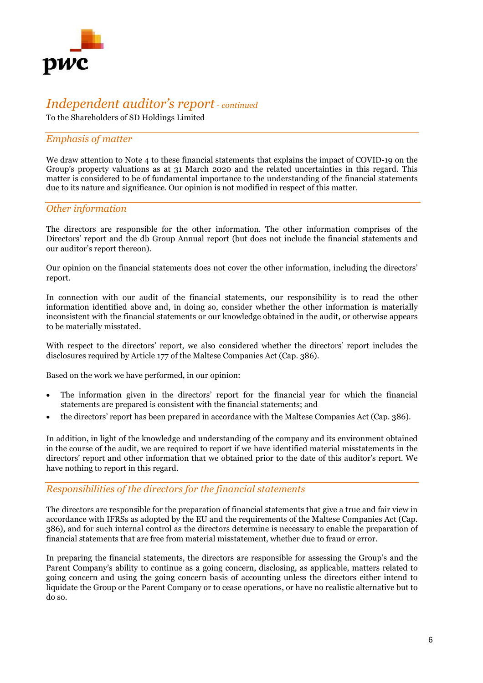

# *Independent auditor's report - continued*

To the Shareholders of SD Holdings Limited

## *Emphasis of matter*

We draw attention to Note 4 to these financial statements that explains the impact of COVID-19 on the Group's property valuations as at 31 March 2020 and the related uncertainties in this regard. This matter is considered to be of fundamental importance to the understanding of the financial statements due to its nature and significance. Our opinion is not modified in respect of this matter.

## *Other information*

The directors are responsible for the other information. The other information comprises of the Directors' report and the db Group Annual report (but does not include the financial statements and our auditor's report thereon).

Our opinion on the financial statements does not cover the other information, including the directors' report.

In connection with our audit of the financial statements, our responsibility is to read the other information identified above and, in doing so, consider whether the other information is materially inconsistent with the financial statements or our knowledge obtained in the audit, or otherwise appears to be materially misstated.

With respect to the directors' report, we also considered whether the directors' report includes the disclosures required by Article 177 of the Maltese Companies Act (Cap. 386).

Based on the work we have performed, in our opinion:

- The information given in the directors' report for the financial year for which the financial statements are prepared is consistent with the financial statements; and
- the directors' report has been prepared in accordance with the Maltese Companies Act (Cap. 386).

In addition, in light of the knowledge and understanding of the company and its environment obtained in the course of the audit, we are required to report if we have identified material misstatements in the directors' report and other information that we obtained prior to the date of this auditor's report. We have nothing to report in this regard.

# *Responsibilities of the directors for the financial statements*

The directors are responsible for the preparation of financial statements that give a true and fair view in accordance with IFRSs as adopted by the EU and the requirements of the Maltese Companies Act (Cap. 386), and for such internal control as the directors determine is necessary to enable the preparation of financial statements that are free from material misstatement, whether due to fraud or error.

In preparing the financial statements, the directors are responsible for assessing the Group's and the Parent Company's ability to continue as a going concern, disclosing, as applicable, matters related to going concern and using the going concern basis of accounting unless the directors either intend to liquidate the Group or the Parent Company or to cease operations, or have no realistic alternative but to do so.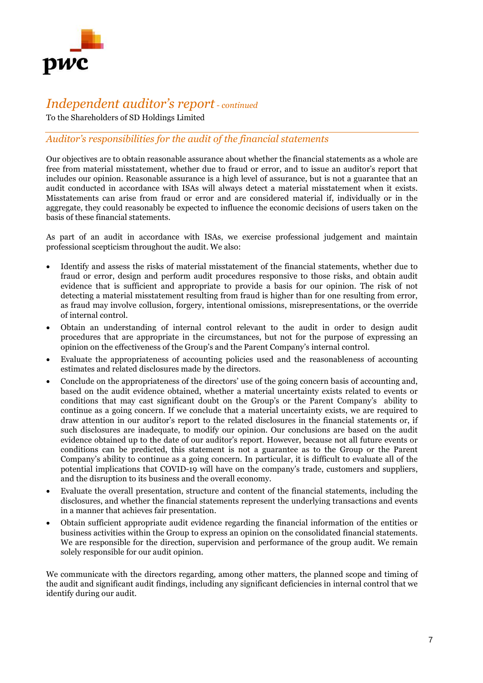

# *Independent auditor's report - continued*

To the Shareholders of SD Holdings Limited

# *Auditor's responsibilities for the audit of the financial statements*

Our objectives are to obtain reasonable assurance about whether the financial statements as a whole are free from material misstatement, whether due to fraud or error, and to issue an auditor's report that includes our opinion. Reasonable assurance is a high level of assurance, but is not a guarantee that an audit conducted in accordance with ISAs will always detect a material misstatement when it exists. Misstatements can arise from fraud or error and are considered material if, individually or in the aggregate, they could reasonably be expected to influence the economic decisions of users taken on the basis of these financial statements.

As part of an audit in accordance with ISAs, we exercise professional judgement and maintain professional scepticism throughout the audit. We also:

- Identify and assess the risks of material misstatement of the financial statements, whether due to fraud or error, design and perform audit procedures responsive to those risks, and obtain audit evidence that is sufficient and appropriate to provide a basis for our opinion. The risk of not detecting a material misstatement resulting from fraud is higher than for one resulting from error, as fraud may involve collusion, forgery, intentional omissions, misrepresentations, or the override of internal control.
- Obtain an understanding of internal control relevant to the audit in order to design audit procedures that are appropriate in the circumstances, but not for the purpose of expressing an opinion on the effectiveness of the Group's and the Parent Company's internal control.
- Evaluate the appropriateness of accounting policies used and the reasonableness of accounting estimates and related disclosures made by the directors.
- Conclude on the appropriateness of the directors' use of the going concern basis of accounting and, based on the audit evidence obtained, whether a material uncertainty exists related to events or conditions that may cast significant doubt on the Group's or the Parent Company's ability to continue as a going concern. If we conclude that a material uncertainty exists, we are required to draw attention in our auditor's report to the related disclosures in the financial statements or, if such disclosures are inadequate, to modify our opinion. Our conclusions are based on the audit evidence obtained up to the date of our auditor's report. However, because not all future events or conditions can be predicted, this statement is not a guarantee as to the Group or the Parent Company's ability to continue as a going concern. In particular, it is difficult to evaluate all of the potential implications that COVID-19 will have on the company's trade, customers and suppliers, and the disruption to its business and the overall economy.
- Evaluate the overall presentation, structure and content of the financial statements, including the disclosures, and whether the financial statements represent the underlying transactions and events in a manner that achieves fair presentation.
- Obtain sufficient appropriate audit evidence regarding the financial information of the entities or business activities within the Group to express an opinion on the consolidated financial statements. We are responsible for the direction, supervision and performance of the group audit. We remain solely responsible for our audit opinion.

We communicate with the directors regarding, among other matters, the planned scope and timing of the audit and significant audit findings, including any significant deficiencies in internal control that we identify during our audit.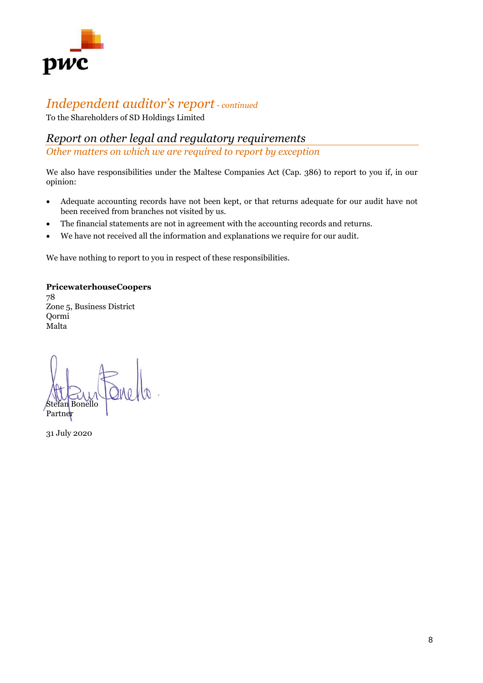

# *Independent auditor's report - continued*

To the Shareholders of SD Holdings Limited

# *Report on other legal and regulatory requirements*

*Other matters on which we are required to report by exception*

We also have responsibilities under the Maltese Companies Act (Cap. 386) to report to you if, in our opinion:

- Adequate accounting records have not been kept, or that returns adequate for our audit have not been received from branches not visited by us.
- The financial statements are not in agreement with the accounting records and returns.
- We have not received all the information and explanations we require for our audit.

We have nothing to report to you in respect of these responsibilities.

**PricewaterhouseCoopers** 78 Zone 5, Business District Qormi Malta

Bonello Partner

31 July 2020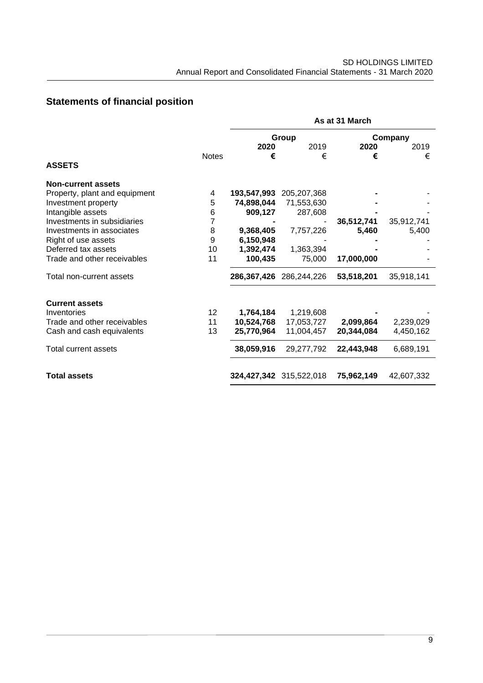# **Statements of financial position**

|                               |              | As at 31 March |                         |            |            |
|-------------------------------|--------------|----------------|-------------------------|------------|------------|
|                               |              |                | Group                   |            | Company    |
|                               |              | 2020           | 2019                    | 2020       | 2019       |
| <b>ASSETS</b>                 | <b>Notes</b> | €              | €                       | €          | €          |
| <b>Non-current assets</b>     |              |                |                         |            |            |
| Property, plant and equipment | 4            | 193,547,993    | 205, 207, 368           |            |            |
| Investment property           | 5            | 74,898,044     | 71,553,630              |            |            |
| Intangible assets             | 6            | 909,127        | 287,608                 |            |            |
| Investments in subsidiaries   | 7            |                |                         | 36,512,741 | 35,912,741 |
| Investments in associates     | 8            | 9,368,405      | 7,757,226               | 5,460      | 5,400      |
| Right of use assets           | 9            | 6,150,948      |                         |            |            |
| Deferred tax assets           | 10           | 1,392,474      | 1,363,394               |            |            |
| Trade and other receivables   | 11           | 100,435        | 75,000                  | 17,000,000 |            |
| Total non-current assets      |              | 286,367,426    | 286,244,226             | 53,518,201 | 35,918,141 |
| <b>Current assets</b>         |              |                |                         |            |            |
| Inventories                   | 12           | 1,764,184      | 1,219,608               |            |            |
| Trade and other receivables   | 11           | 10,524,768     | 17,053,727              | 2,099,864  | 2,239,029  |
| Cash and cash equivalents     | 13           | 25,770,964     | 11,004,457              | 20,344,084 | 4,450,162  |
| Total current assets          |              | 38,059,916     | 29,277,792              | 22,443,948 | 6,689,191  |
| <b>Total assets</b>           |              |                | 324,427,342 315,522,018 | 75,962,149 | 42,607,332 |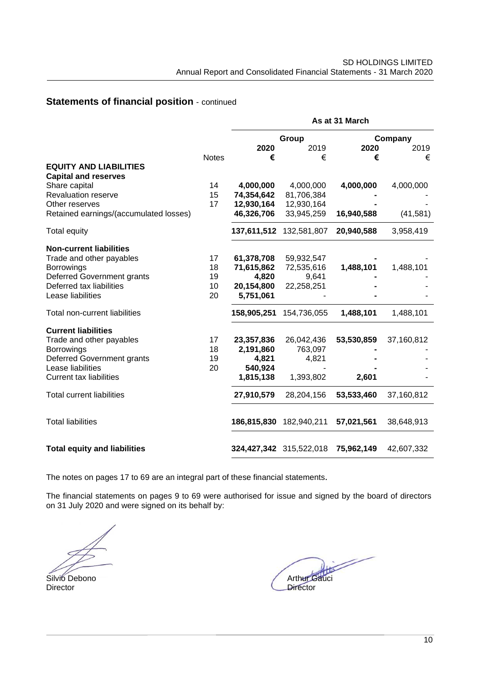# **Statements of financial position** - continued

|                                        |              | As at 31 March |                         |            |            |  |
|----------------------------------------|--------------|----------------|-------------------------|------------|------------|--|
|                                        |              |                | Group                   |            | Company    |  |
|                                        |              | 2020           | 2019                    | 2020       | 2019       |  |
|                                        | <b>Notes</b> | €              | €                       | €          | €          |  |
| <b>EQUITY AND LIABILITIES</b>          |              |                |                         |            |            |  |
| <b>Capital and reserves</b>            |              |                |                         |            |            |  |
| Share capital                          | 14           | 4,000,000      | 4,000,000               | 4,000,000  | 4,000,000  |  |
| <b>Revaluation reserve</b>             | 15           | 74,354,642     | 81,706,384              |            |            |  |
| Other reserves                         | 17           | 12,930,164     | 12,930,164              |            |            |  |
| Retained earnings/(accumulated losses) |              | 46,326,706     | 33,945,259              | 16,940,588 | (41, 581)  |  |
| <b>Total equity</b>                    |              | 137,611,512    | 132,581,807             | 20,940,588 | 3,958,419  |  |
| <b>Non-current liabilities</b>         |              |                |                         |            |            |  |
| Trade and other payables               | 17           | 61,378,708     | 59,932,547              |            |            |  |
| Borrowings                             | 18           | 71,615,862     | 72,535,616              | 1,488,101  | 1,488,101  |  |
| Deferred Government grants             | 19           | 4,820          | 9,641                   |            |            |  |
| Deferred tax liabilities               | 10           | 20,154,800     | 22,258,251              |            |            |  |
| Lease liabilities                      | 20           | 5,751,061      |                         |            |            |  |
| Total non-current liabilities          |              | 158,905,251    | 154,736,055             | 1,488,101  | 1,488,101  |  |
| <b>Current liabilities</b>             |              |                |                         |            |            |  |
| Trade and other payables               | 17           | 23,357,836     | 26,042,436              | 53,530,859 | 37,160,812 |  |
| Borrowings                             | 18           | 2,191,860      | 763,097                 |            |            |  |
| Deferred Government grants             | 19           | 4,821          | 4,821                   |            |            |  |
| Lease liabilities                      | 20           | 540,924        |                         |            |            |  |
| <b>Current tax liabilities</b>         |              | 1,815,138      | 1,393,802               | 2,601      |            |  |
| <b>Total current liabilities</b>       |              | 27,910,579     | 28,204,156              | 53,533,460 | 37,160,812 |  |
| <b>Total liabilities</b>               |              | 186,815,830    | 182,940,211             | 57,021,561 | 38,648,913 |  |
| <b>Total equity and liabilities</b>    |              |                | 324,427,342 315,522,018 | 75,962,149 | 42,607,332 |  |

The notes on pages 17 to 69 are an integral part of these financial statements.

The financial statements on pages 9 to 69 were authorised for issue and signed by the board of directors on 31 July 2020 and were signed on its behalf by:

Director **Director** Director

Silvio Debono Arthur Gauci and Arthur Gauci and Arthur Gauci and Arthur Gauci and Arthur Gauci and Arthur Gauci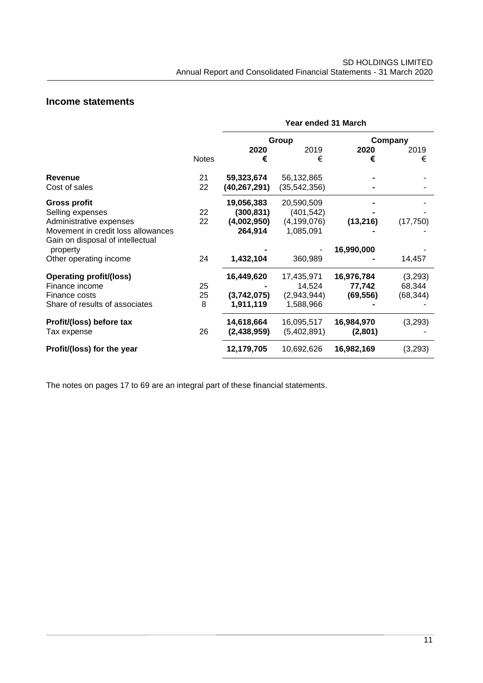# **Income statements**

|                                    |              | Year ended 31 March |                |            |           |  |
|------------------------------------|--------------|---------------------|----------------|------------|-----------|--|
|                                    |              |                     | Group          |            | Company   |  |
|                                    |              | 2020                | 2019           | 2020       | 2019      |  |
|                                    | <b>Notes</b> | €                   | €              | €          | €         |  |
| Revenue                            | 21           | 59,323,674          | 56,132,865     |            |           |  |
| Cost of sales                      | 22           | (40,267,291)        | (35, 542, 356) |            |           |  |
| <b>Gross profit</b>                |              | 19,056,383          | 20,590,509     |            |           |  |
| Selling expenses                   | 22           | (300, 831)          | (401, 542)     |            |           |  |
| Administrative expenses            | 22           | (4,002,950)         | (4, 199, 076)  | (13, 216)  | (17,750)  |  |
| Movement in credit loss allowances |              | 264,914             | 1,085,091      |            |           |  |
| Gain on disposal of intellectual   |              |                     |                |            |           |  |
| property                           |              |                     |                | 16,990,000 |           |  |
| Other operating income             | 24           | 1,432,104           | 360,989        |            | 14,457    |  |
| <b>Operating profit/(loss)</b>     |              | 16,449,620          | 17,435,971     | 16,976,784 | (3,293)   |  |
| Finance income                     | 25           |                     | 14,524         | 77,742     | 68,344    |  |
| Finance costs                      | 25           | (3,742,075)         | (2,943,944)    | (69, 556)  | (68, 344) |  |
| Share of results of associates     | 8            | 1,911,119           | 1,588,966      |            |           |  |
| Profit/(loss) before tax           |              | 14,618,664          | 16,095,517     | 16,984,970 | (3,293)   |  |
| Tax expense                        | 26           | (2,438,959)         | (5,402,891)    | (2,801)    |           |  |
| Profit/(loss) for the year         |              | 12,179,705          | 10,692,626     | 16,982,169 | (3,293)   |  |

The notes on pages 17 to 69 are an integral part of these financial statements.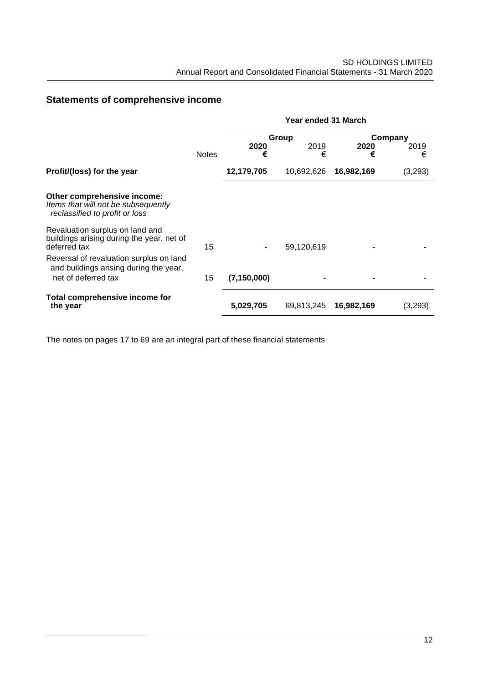# **Statements of comprehensive income**

|                                                                                                          |              | Year ended 31 March |            |            |           |  |
|----------------------------------------------------------------------------------------------------------|--------------|---------------------|------------|------------|-----------|--|
|                                                                                                          |              |                     | Group      |            | Company   |  |
|                                                                                                          | <b>Notes</b> | 2020<br>€           | 2019<br>€  | 2020<br>€  | 2019<br>€ |  |
| Profit/(loss) for the year                                                                               |              | 12,179,705          | 10,692,626 | 16,982,169 | (3,293)   |  |
| Other comprehensive income:<br>Items that will not be subsequently<br>reclassified to profit or loss     |              |                     |            |            |           |  |
| Revaluation surplus on land and<br>buildings arising during the year, net of<br>deferred tax             | 15           | $\blacksquare$      | 59,120,619 |            |           |  |
| Reversal of revaluation surplus on land<br>and buildings arising during the year,<br>net of deferred tax | 15           | (7, 150, 000)       |            |            |           |  |
| <b>Total comprehensive income for</b><br>the year                                                        |              | 5,029,705           | 69,813,245 | 16,982,169 | (3,293)   |  |

The notes on pages 17 to 69 are an integral part of these financial statements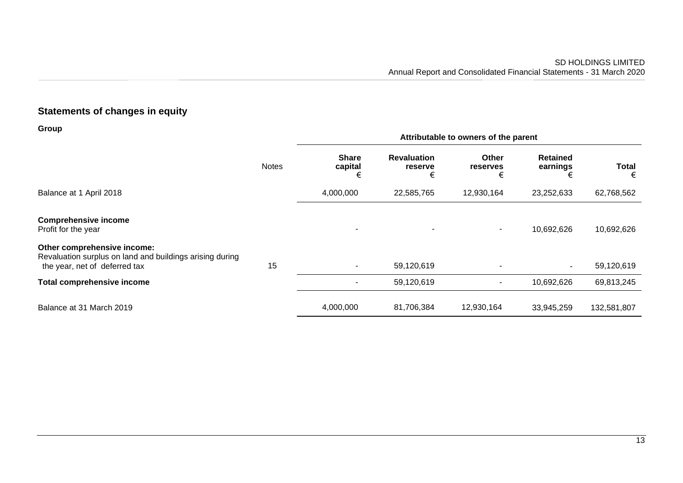# **Statements of changes in equity**

## **Group**

|                                                                                                                          |              |                              |                                    | Attributable to owners of the parent |                             |             |
|--------------------------------------------------------------------------------------------------------------------------|--------------|------------------------------|------------------------------------|--------------------------------------|-----------------------------|-------------|
|                                                                                                                          | <b>Notes</b> | <b>Share</b><br>capital<br>€ | <b>Revaluation</b><br>reserve<br>€ | <b>Other</b><br><b>reserves</b><br>€ | <b>Retained</b><br>earnings | Total<br>€  |
| Balance at 1 April 2018                                                                                                  |              | 4,000,000                    | 22,585,765                         | 12,930,164                           | 23,252,633                  | 62,768,562  |
| <b>Comprehensive income</b><br>Profit for the year                                                                       |              | ٠                            |                                    | $\overline{\phantom{a}}$             | 10,692,626                  | 10,692,626  |
| Other comprehensive income:<br>Revaluation surplus on land and buildings arising during<br>the year, net of deferred tax | 15           | $\sim$                       | 59,120,619                         |                                      |                             | 59,120,619  |
| <b>Total comprehensive income</b>                                                                                        |              | ۰                            | 59,120,619                         | $\overline{\phantom{a}}$             | 10,692,626                  | 69,813,245  |
| Balance at 31 March 2019                                                                                                 |              | 4,000,000                    | 81,706,384                         | 12,930,164                           | 33,945,259                  | 132,581,807 |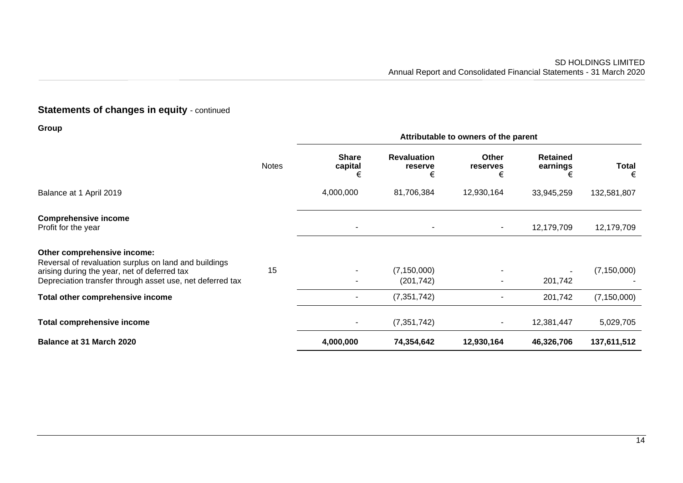# **Statements of changes in equity - continued**

### **Group**

|                                                                                                                                                                                                   | Attributable to owners of the parent |                              |                                    |                               |                             |               |
|---------------------------------------------------------------------------------------------------------------------------------------------------------------------------------------------------|--------------------------------------|------------------------------|------------------------------------|-------------------------------|-----------------------------|---------------|
|                                                                                                                                                                                                   | <b>Notes</b>                         | <b>Share</b><br>capital<br>€ | <b>Revaluation</b><br>reserve<br>€ | Other<br><b>reserves</b><br>€ | <b>Retained</b><br>earnings | Total<br>€    |
| Balance at 1 April 2019                                                                                                                                                                           |                                      | 4,000,000                    | 81,706,384                         | 12,930,164                    | 33,945,259                  | 132,581,807   |
| <b>Comprehensive income</b><br>Profit for the year                                                                                                                                                |                                      | $\overline{\phantom{a}}$     |                                    | $\blacksquare$                | 12,179,709                  | 12,179,709    |
| Other comprehensive income:<br>Reversal of revaluation surplus on land and buildings<br>arising during the year, net of deferred tax<br>Depreciation transfer through asset use, net deferred tax | 15                                   | ۰                            | (7, 150, 000)<br>(201, 742)        |                               | 201,742                     | (7, 150, 000) |
| Total other comprehensive income                                                                                                                                                                  |                                      |                              | (7, 351, 742)                      |                               | 201,742                     | (7, 150, 000) |
| <b>Total comprehensive income</b>                                                                                                                                                                 |                                      | ۰                            | (7, 351, 742)                      | ٠                             | 12,381,447                  | 5,029,705     |
| Balance at 31 March 2020                                                                                                                                                                          |                                      | 4,000,000                    | 74,354,642                         | 12,930,164                    | 46,326,706                  | 137,611,512   |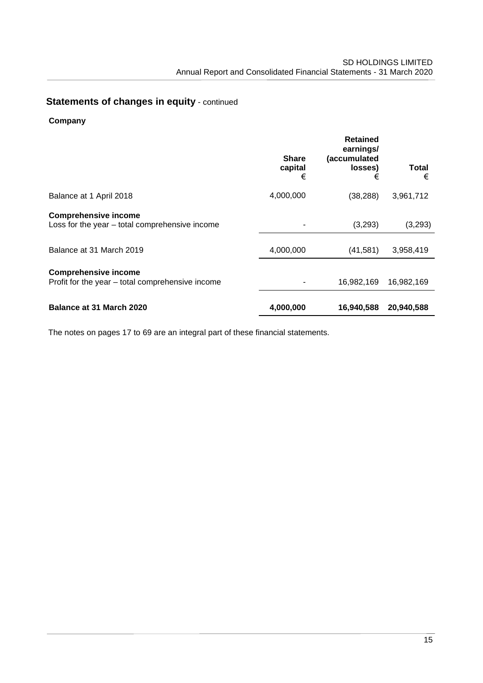# **Statements of changes in equity - continued**

**Company**

|                                                                                 | <b>Share</b><br>capital<br>€ | <b>Retained</b><br>earnings/<br>(accumulated<br>losses)<br>€ | Total<br>€ |
|---------------------------------------------------------------------------------|------------------------------|--------------------------------------------------------------|------------|
| Balance at 1 April 2018                                                         | 4,000,000                    | (38, 288)                                                    | 3,961,712  |
| <b>Comprehensive income</b><br>Loss for the year $-$ total comprehensive income |                              | (3,293)                                                      | (3,293)    |
| Balance at 31 March 2019                                                        | 4,000,000                    | (41, 581)                                                    | 3,958,419  |
| <b>Comprehensive income</b><br>Profit for the year – total comprehensive income |                              | 16,982,169                                                   | 16,982,169 |
| <b>Balance at 31 March 2020</b>                                                 | 4,000,000                    | 16,940,588                                                   | 20,940,588 |

The notes on pages 17 to 69 are an integral part of these financial statements.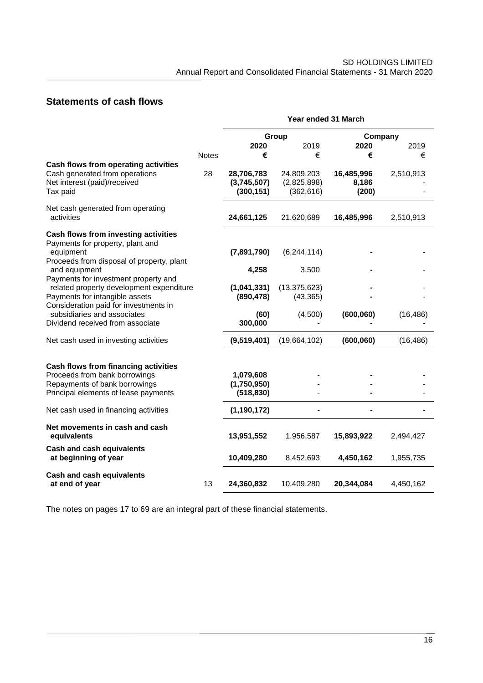# **Statements of cash flows**

|                                                                                  |              | Year ended 31 March       |                           |                |           |  |
|----------------------------------------------------------------------------------|--------------|---------------------------|---------------------------|----------------|-----------|--|
|                                                                                  |              | Group                     |                           | Company        |           |  |
|                                                                                  |              | 2020                      | 2019                      | 2020           | 2019      |  |
|                                                                                  | <b>Notes</b> | €                         | €                         | €              | €         |  |
| Cash flows from operating activities                                             |              |                           |                           |                |           |  |
| Cash generated from operations                                                   | 28           | 28,706,783                | 24,809,203                | 16,485,996     | 2,510,913 |  |
| Net interest (paid)/received<br>Tax paid                                         |              | (3,745,507)<br>(300, 151) | (2,825,898)<br>(362, 616) | 8,186<br>(200) |           |  |
|                                                                                  |              |                           |                           |                |           |  |
| Net cash generated from operating                                                |              |                           |                           |                |           |  |
| activities                                                                       |              | 24,661,125                | 21,620,689                | 16,485,996     | 2,510,913 |  |
| Cash flows from investing activities                                             |              |                           |                           |                |           |  |
| Payments for property, plant and                                                 |              |                           |                           |                |           |  |
| equipment                                                                        |              | (7,891,790)               | (6, 244, 114)             |                |           |  |
| Proceeds from disposal of property, plant                                        |              |                           |                           |                |           |  |
| and equipment                                                                    |              | 4,258                     | 3,500                     |                |           |  |
| Payments for investment property and<br>related property development expenditure |              | (1,041,331)               | (13, 375, 623)            |                |           |  |
| Payments for intangible assets                                                   |              | (890, 478)                | (43, 365)                 |                |           |  |
| Consideration paid for investments in                                            |              |                           |                           |                |           |  |
| subsidiaries and associates                                                      |              | (60)                      | (4,500)                   | (600, 060)     | (16, 486) |  |
| Dividend received from associate                                                 |              | 300,000                   |                           |                |           |  |
| Net cash used in investing activities                                            |              | (9,519,401)               | (19,664,102)              | (600, 060)     | (16, 486) |  |
|                                                                                  |              |                           |                           |                |           |  |
| Cash flows from financing activities                                             |              |                           |                           |                |           |  |
| Proceeds from bank borrowings                                                    |              | 1,079,608                 |                           |                |           |  |
| Repayments of bank borrowings                                                    |              | (1,750,950)               |                           |                |           |  |
| Principal elements of lease payments                                             |              | (518, 830)                |                           |                |           |  |
| Net cash used in financing activities                                            |              | (1, 190, 172)             |                           |                |           |  |
| Net movements in cash and cash                                                   |              |                           |                           |                |           |  |
| equivalents                                                                      |              | 13,951,552                | 1,956,587                 | 15,893,922     | 2,494,427 |  |
| <b>Cash and cash equivalents</b>                                                 |              |                           |                           |                |           |  |
| at beginning of year                                                             |              | 10,409,280                | 8,452,693                 | 4,450,162      | 1,955,735 |  |
| <b>Cash and cash equivalents</b>                                                 |              |                           |                           |                |           |  |
| at end of year                                                                   | 13           | 24,360,832                | 10,409,280                | 20,344,084     | 4,450,162 |  |

The notes on pages 17 to 69 are an integral part of these financial statements.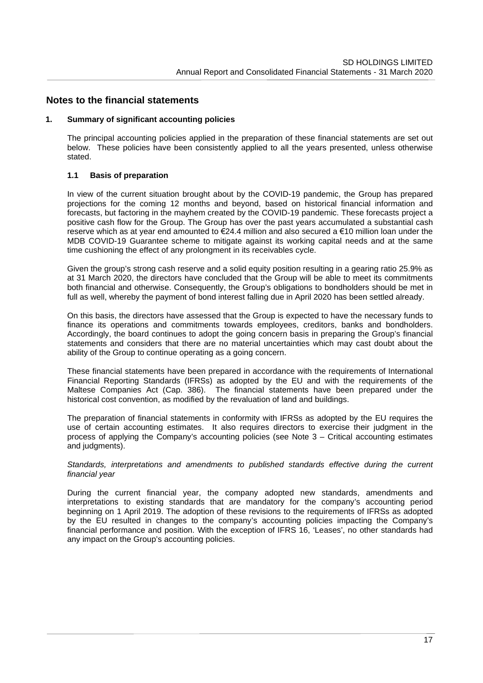## **Notes to the financial statements**

#### **1. Summary of significant accounting policies**

The principal accounting policies applied in the preparation of these financial statements are set out below. These policies have been consistently applied to all the years presented, unless otherwise stated.

#### **1.1 Basis of preparation**

In view of the current situation brought about by the COVID-19 pandemic, the Group has prepared projections for the coming 12 months and beyond, based on historical financial information and forecasts, but factoring in the mayhem created by the COVID-19 pandemic. These forecasts project a positive cash flow for the Group. The Group has over the past years accumulated a substantial cash reserve which as at year end amounted to €24.4 million and also secured a €10 million loan under the MDB COVID-19 Guarantee scheme to mitigate against its working capital needs and at the same time cushioning the effect of any prolongment in its receivables cycle.

Given the group's strong cash reserve and a solid equity position resulting in a gearing ratio 25.9% as at 31 March 2020, the directors have concluded that the Group will be able to meet its commitments both financial and otherwise. Consequently, the Group's obligations to bondholders should be met in full as well, whereby the payment of bond interest falling due in April 2020 has been settled already.

On this basis, the directors have assessed that the Group is expected to have the necessary funds to finance its operations and commitments towards employees, creditors, banks and bondholders. Accordingly, the board continues to adopt the going concern basis in preparing the Group's financial statements and considers that there are no material uncertainties which may cast doubt about the ability of the Group to continue operating as a going concern.

These financial statements have been prepared in accordance with the requirements of International Financial Reporting Standards (IFRSs) as adopted by the EU and with the requirements of the Maltese Companies Act (Cap. 386). The financial statements have been prepared under the historical cost convention, as modified by the revaluation of land and buildings.

The preparation of financial statements in conformity with IFRSs as adopted by the EU requires the use of certain accounting estimates. It also requires directors to exercise their judgment in the process of applying the Company's accounting policies (see Note 3 – Critical accounting estimates and judgments).

*Standards, interpretations and amendments to published standards effective during the current financial year*

During the current financial year, the company adopted new standards, amendments and interpretations to existing standards that are mandatory for the company's accounting period beginning on 1 April 2019. The adoption of these revisions to the requirements of IFRSs as adopted by the EU resulted in changes to the company's accounting policies impacting the Company's financial performance and position. With the exception of IFRS 16, 'Leases', no other standards had any impact on the Group's accounting policies.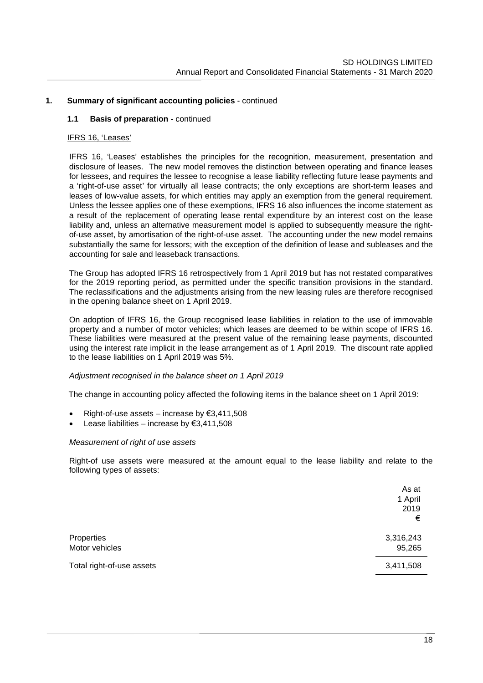#### **1.1 Basis of preparation** - continued

#### IFRS 16, 'Leases'

IFRS 16, 'Leases' establishes the principles for the recognition, measurement, presentation and disclosure of leases. The new model removes the distinction between operating and finance leases for lessees, and requires the lessee to recognise a lease liability reflecting future lease payments and a 'right-of-use asset' for virtually all lease contracts; the only exceptions are short-term leases and leases of low-value assets, for which entities may apply an exemption from the general requirement. Unless the lessee applies one of these exemptions, IFRS 16 also influences the income statement as a result of the replacement of operating lease rental expenditure by an interest cost on the lease liability and, unless an alternative measurement model is applied to subsequently measure the rightof-use asset, by amortisation of the right-of-use asset. The accounting under the new model remains substantially the same for lessors; with the exception of the definition of lease and subleases and the accounting for sale and leaseback transactions.

The Group has adopted IFRS 16 retrospectively from 1 April 2019 but has not restated comparatives for the 2019 reporting period, as permitted under the specific transition provisions in the standard. The reclassifications and the adjustments arising from the new leasing rules are therefore recognised in the opening balance sheet on 1 April 2019.

On adoption of IFRS 16, the Group recognised lease liabilities in relation to the use of immovable property and a number of motor vehicles; which leases are deemed to be within scope of IFRS 16. These liabilities were measured at the present value of the remaining lease payments, discounted using the interest rate implicit in the lease arrangement as of 1 April 2019. The discount rate applied to the lease liabilities on 1 April 2019 was 5%.

#### *Adjustment recognised in the balance sheet on 1 April 2019*

The change in accounting policy affected the following items in the balance sheet on 1 April 2019:

- Right-of-use assets increase by €3,411,508
- Lease liabilities increase by €3,411,508

#### *Measurement of right of use assets*

Right-of use assets were measured at the amount equal to the lease liability and relate to the following types of assets:

|                              | As at<br>1 April<br>2019<br>€ |
|------------------------------|-------------------------------|
| Properties<br>Motor vehicles | 3,316,243<br>95,265           |
| Total right-of-use assets    | 3,411,508                     |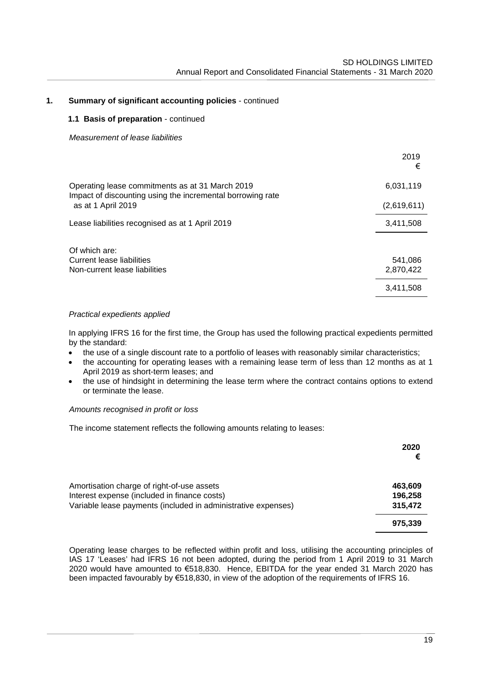#### **1.1 Basis of preparation** - continued

*Measurement of lease liabilities*

|                                                                                                               | 2019<br>€   |
|---------------------------------------------------------------------------------------------------------------|-------------|
| Operating lease commitments as at 31 March 2019<br>Impact of discounting using the incremental borrowing rate | 6.031.119   |
| as at 1 April 2019                                                                                            | (2,619,611) |
| Lease liabilities recognised as at 1 April 2019                                                               | 3,411,508   |
| Of which are:                                                                                                 |             |
| Current lease liabilities                                                                                     | 541,086     |
| Non-current lease liabilities                                                                                 | 2,870,422   |
|                                                                                                               | 3,411,508   |

#### *Practical expedients applied*

In applying IFRS 16 for the first time, the Group has used the following practical expedients permitted by the standard:

- the use of a single discount rate to a portfolio of leases with reasonably similar characteristics;
- the accounting for operating leases with a remaining lease term of less than 12 months as at 1 April 2019 as short-term leases; and
- the use of hindsight in determining the lease term where the contract contains options to extend or terminate the lease.

#### *Amounts recognised in profit or loss*

The income statement reflects the following amounts relating to leases:

|                                                               | 2020<br>€ |
|---------------------------------------------------------------|-----------|
| Amortisation charge of right-of-use assets                    | 463.609   |
| Interest expense (included in finance costs)                  | 196,258   |
| Variable lease payments (included in administrative expenses) | 315,472   |
|                                                               | 975.339   |

Operating lease charges to be reflected within profit and loss, utilising the accounting principles of IAS 17 'Leases' had IFRS 16 not been adopted, during the period from 1 April 2019 to 31 March 2020 would have amounted to €518,830. Hence, EBITDA for the year ended 31 March 2020 has been impacted favourably by €518,830, in view of the adoption of the requirements of IFRS 16.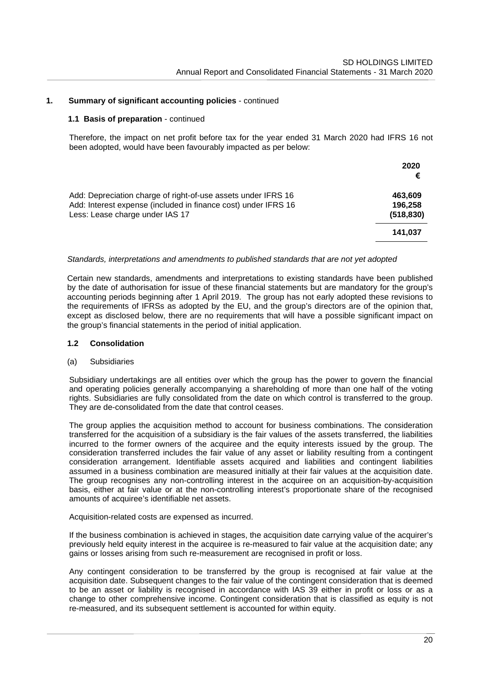#### **1.1 Basis of preparation** - continued

Therefore, the impact on net profit before tax for the year ended 31 March 2020 had IFRS 16 not been adopted, would have been favourably impacted as per below:

|                                                                | 2020<br>€  |
|----------------------------------------------------------------|------------|
| Add: Depreciation charge of right-of-use assets under IFRS 16  | 463.609    |
| Add: Interest expense (included in finance cost) under IFRS 16 | 196.258    |
| Less: Lease charge under IAS 17                                | (518, 830) |
|                                                                | 141.037    |

#### *Standards, interpretations and amendments to published standards that are not yet adopted*

Certain new standards, amendments and interpretations to existing standards have been published by the date of authorisation for issue of these financial statements but are mandatory for the group's accounting periods beginning after 1 April 2019. The group has not early adopted these revisions to the requirements of IFRSs as adopted by the EU, and the group's directors are of the opinion that, except as disclosed below, there are no requirements that will have a possible significant impact on the group's financial statements in the period of initial application.

#### **1.2 Consolidation**

#### (a) Subsidiaries

Subsidiary undertakings are all entities over which the group has the power to govern the financial and operating policies generally accompanying a shareholding of more than one half of the voting rights. Subsidiaries are fully consolidated from the date on which control is transferred to the group. They are de-consolidated from the date that control ceases.

The group applies the acquisition method to account for business combinations. The consideration transferred for the acquisition of a subsidiary is the fair values of the assets transferred, the liabilities incurred to the former owners of the acquiree and the equity interests issued by the group. The consideration transferred includes the fair value of any asset or liability resulting from a contingent consideration arrangement. Identifiable assets acquired and liabilities and contingent liabilities assumed in a business combination are measured initially at their fair values at the acquisition date. The group recognises any non-controlling interest in the acquiree on an acquisition-by-acquisition basis, either at fair value or at the non-controlling interest's proportionate share of the recognised amounts of acquiree's identifiable net assets.

Acquisition-related costs are expensed as incurred.

If the business combination is achieved in stages, the acquisition date carrying value of the acquirer's previously held equity interest in the acquiree is re-measured to fair value at the acquisition date; any gains or losses arising from such re-measurement are recognised in profit or loss.

Any contingent consideration to be transferred by the group is recognised at fair value at the acquisition date. Subsequent changes to the fair value of the contingent consideration that is deemed to be an asset or liability is recognised in accordance with IAS 39 either in profit or loss or as a change to other comprehensive income. Contingent consideration that is classified as equity is not re-measured, and its subsequent settlement is accounted for within equity.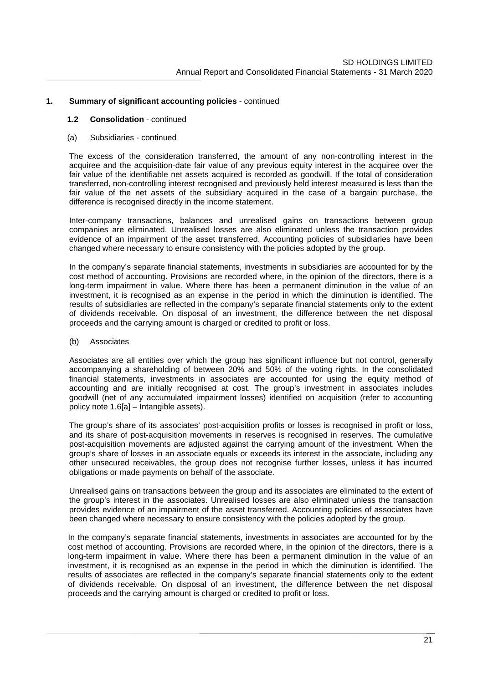#### **1.2 Consolidation** - continued

#### (a) Subsidiaries - continued

The excess of the consideration transferred, the amount of any non-controlling interest in the acquiree and the acquisition-date fair value of any previous equity interest in the acquiree over the fair value of the identifiable net assets acquired is recorded as goodwill. If the total of consideration transferred, non-controlling interest recognised and previously held interest measured is less than the fair value of the net assets of the subsidiary acquired in the case of a bargain purchase, the difference is recognised directly in the income statement.

Inter-company transactions, balances and unrealised gains on transactions between group companies are eliminated. Unrealised losses are also eliminated unless the transaction provides evidence of an impairment of the asset transferred. Accounting policies of subsidiaries have been changed where necessary to ensure consistency with the policies adopted by the group.

In the company's separate financial statements, investments in subsidiaries are accounted for by the cost method of accounting. Provisions are recorded where, in the opinion of the directors, there is a long-term impairment in value. Where there has been a permanent diminution in the value of an investment, it is recognised as an expense in the period in which the diminution is identified. The results of subsidiaries are reflected in the company's separate financial statements only to the extent of dividends receivable. On disposal of an investment, the difference between the net disposal proceeds and the carrying amount is charged or credited to profit or loss.

#### (b) Associates

Associates are all entities over which the group has significant influence but not control, generally accompanying a shareholding of between 20% and 50% of the voting rights. In the consolidated financial statements, investments in associates are accounted for using the equity method of accounting and are initially recognised at cost. The group's investment in associates includes goodwill (net of any accumulated impairment losses) identified on acquisition (refer to accounting policy note 1.6[a] – Intangible assets).

The group's share of its associates' post-acquisition profits or losses is recognised in profit or loss, and its share of post-acquisition movements in reserves is recognised in reserves. The cumulative post-acquisition movements are adjusted against the carrying amount of the investment. When the group's share of losses in an associate equals or exceeds its interest in the associate, including any other unsecured receivables, the group does not recognise further losses, unless it has incurred obligations or made payments on behalf of the associate.

Unrealised gains on transactions between the group and its associates are eliminated to the extent of the group's interest in the associates. Unrealised losses are also eliminated unless the transaction provides evidence of an impairment of the asset transferred. Accounting policies of associates have been changed where necessary to ensure consistency with the policies adopted by the group.

In the company's separate financial statements, investments in associates are accounted for by the cost method of accounting. Provisions are recorded where, in the opinion of the directors, there is a long-term impairment in value. Where there has been a permanent diminution in the value of an investment, it is recognised as an expense in the period in which the diminution is identified. The results of associates are reflected in the company's separate financial statements only to the extent of dividends receivable. On disposal of an investment, the difference between the net disposal proceeds and the carrying amount is charged or credited to profit or loss.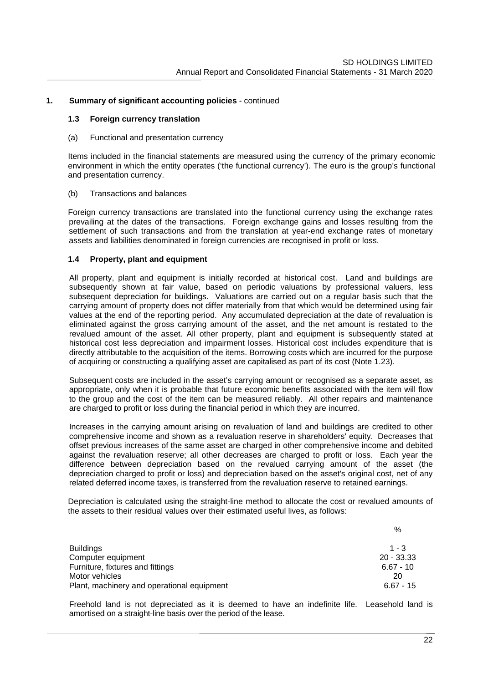#### **1.3 Foreign currency translation**

#### (a) Functional and presentation currency

Items included in the financial statements are measured using the currency of the primary economic environment in which the entity operates ('the functional currency'). The euro is the group's functional and presentation currency.

#### (b) Transactions and balances

Foreign currency transactions are translated into the functional currency using the exchange rates prevailing at the dates of the transactions. Foreign exchange gains and losses resulting from the settlement of such transactions and from the translation at year-end exchange rates of monetary assets and liabilities denominated in foreign currencies are recognised in profit or loss.

#### **1.4 Property, plant and equipment**

All property, plant and equipment is initially recorded at historical cost. Land and buildings are subsequently shown at fair value, based on periodic valuations by professional valuers, less subsequent depreciation for buildings. Valuations are carried out on a regular basis such that the carrying amount of property does not differ materially from that which would be determined using fair values at the end of the reporting period. Any accumulated depreciation at the date of revaluation is eliminated against the gross carrying amount of the asset, and the net amount is restated to the revalued amount of the asset. All other property, plant and equipment is subsequently stated at historical cost less depreciation and impairment losses. Historical cost includes expenditure that is directly attributable to the acquisition of the items. Borrowing costs which are incurred for the purpose of acquiring or constructing a qualifying asset are capitalised as part of its cost (Note 1.23).

Subsequent costs are included in the asset's carrying amount or recognised as a separate asset, as appropriate, only when it is probable that future economic benefits associated with the item will flow to the group and the cost of the item can be measured reliably. All other repairs and maintenance are charged to profit or loss during the financial period in which they are incurred.

Increases in the carrying amount arising on revaluation of land and buildings are credited to other comprehensive income and shown as a revaluation reserve in shareholders' equity. Decreases that offset previous increases of the same asset are charged in other comprehensive income and debited against the revaluation reserve; all other decreases are charged to profit or loss. Each year the difference between depreciation based on the revalued carrying amount of the asset (the depreciation charged to profit or loss) and depreciation based on the asset's original cost, net of any related deferred income taxes, is transferred from the revaluation reserve to retained earnings.

Depreciation is calculated using the straight-line method to allocate the cost or revalued amounts of the assets to their residual values over their estimated useful lives, as follows:

|                                            | $\%$         |
|--------------------------------------------|--------------|
| <b>Buildings</b>                           | $1 - 3$      |
| Computer equipment                         | $20 - 33.33$ |
| Furniture, fixtures and fittings           | $6.67 - 10$  |
| Motor vehicles                             | 20           |
| Plant, machinery and operational equipment | $6.67 - 15$  |

Freehold land is not depreciated as it is deemed to have an indefinite life. Leasehold land is amortised on a straight-line basis over the period of the lease.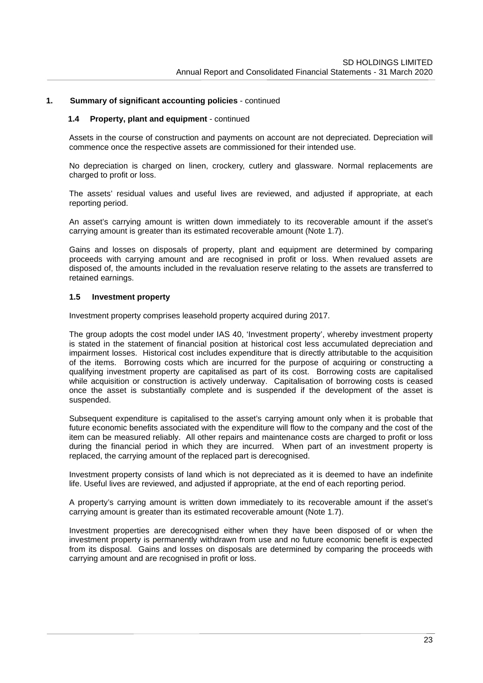#### **1.4 Property, plant and equipment** - continued

Assets in the course of construction and payments on account are not depreciated. Depreciation will commence once the respective assets are commissioned for their intended use.

No depreciation is charged on linen, crockery, cutlery and glassware. Normal replacements are charged to profit or loss.

The assets' residual values and useful lives are reviewed, and adjusted if appropriate, at each reporting period.

An asset's carrying amount is written down immediately to its recoverable amount if the asset's carrying amount is greater than its estimated recoverable amount (Note 1.7).

Gains and losses on disposals of property, plant and equipment are determined by comparing proceeds with carrying amount and are recognised in profit or loss. When revalued assets are disposed of, the amounts included in the revaluation reserve relating to the assets are transferred to retained earnings.

#### **1.5 Investment property**

Investment property comprises leasehold property acquired during 2017.

The group adopts the cost model under IAS 40, 'Investment property', whereby investment property is stated in the statement of financial position at historical cost less accumulated depreciation and impairment losses. Historical cost includes expenditure that is directly attributable to the acquisition of the items. Borrowing costs which are incurred for the purpose of acquiring or constructing a qualifying investment property are capitalised as part of its cost. Borrowing costs are capitalised while acquisition or construction is actively underway. Capitalisation of borrowing costs is ceased once the asset is substantially complete and is suspended if the development of the asset is suspended.

Subsequent expenditure is capitalised to the asset's carrying amount only when it is probable that future economic benefits associated with the expenditure will flow to the company and the cost of the item can be measured reliably. All other repairs and maintenance costs are charged to profit or loss during the financial period in which they are incurred. When part of an investment property is replaced, the carrying amount of the replaced part is derecognised.

Investment property consists of land which is not depreciated as it is deemed to have an indefinite life. Useful lives are reviewed, and adjusted if appropriate, at the end of each reporting period.

A property's carrying amount is written down immediately to its recoverable amount if the asset's carrying amount is greater than its estimated recoverable amount (Note 1.7).

Investment properties are derecognised either when they have been disposed of or when the investment property is permanently withdrawn from use and no future economic benefit is expected from its disposal. Gains and losses on disposals are determined by comparing the proceeds with carrying amount and are recognised in profit or loss.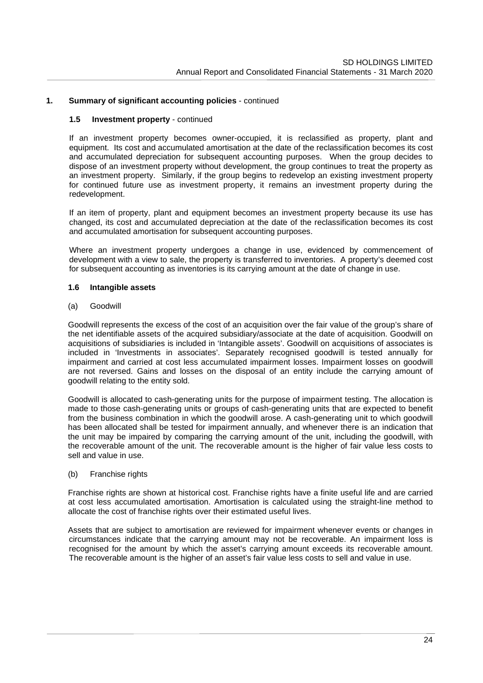#### **1.5 Investment property** - continued

If an investment property becomes owner-occupied, it is reclassified as property, plant and equipment. Its cost and accumulated amortisation at the date of the reclassification becomes its cost and accumulated depreciation for subsequent accounting purposes. When the group decides to dispose of an investment property without development, the group continues to treat the property as an investment property. Similarly, if the group begins to redevelop an existing investment property for continued future use as investment property, it remains an investment property during the redevelopment.

If an item of property, plant and equipment becomes an investment property because its use has changed, its cost and accumulated depreciation at the date of the reclassification becomes its cost and accumulated amortisation for subsequent accounting purposes.

Where an investment property undergoes a change in use, evidenced by commencement of development with a view to sale, the property is transferred to inventories. A property's deemed cost for subsequent accounting as inventories is its carrying amount at the date of change in use.

#### **1.6 Intangible assets**

#### (a) Goodwill

Goodwill represents the excess of the cost of an acquisition over the fair value of the group's share of the net identifiable assets of the acquired subsidiary/associate at the date of acquisition. Goodwill on acquisitions of subsidiaries is included in 'Intangible assets'. Goodwill on acquisitions of associates is included in 'Investments in associates'. Separately recognised goodwill is tested annually for impairment and carried at cost less accumulated impairment losses. Impairment losses on goodwill are not reversed. Gains and losses on the disposal of an entity include the carrying amount of goodwill relating to the entity sold.

Goodwill is allocated to cash-generating units for the purpose of impairment testing. The allocation is made to those cash-generating units or groups of cash-generating units that are expected to benefit from the business combination in which the goodwill arose. A cash-generating unit to which goodwill has been allocated shall be tested for impairment annually, and whenever there is an indication that the unit may be impaired by comparing the carrying amount of the unit, including the goodwill, with the recoverable amount of the unit. The recoverable amount is the higher of fair value less costs to sell and value in use.

#### (b) Franchise rights

Franchise rights are shown at historical cost. Franchise rights have a finite useful life and are carried at cost less accumulated amortisation. Amortisation is calculated using the straight-line method to allocate the cost of franchise rights over their estimated useful lives.

Assets that are subject to amortisation are reviewed for impairment whenever events or changes in circumstances indicate that the carrying amount may not be recoverable. An impairment loss is recognised for the amount by which the asset's carrying amount exceeds its recoverable amount. The recoverable amount is the higher of an asset's fair value less costs to sell and value in use.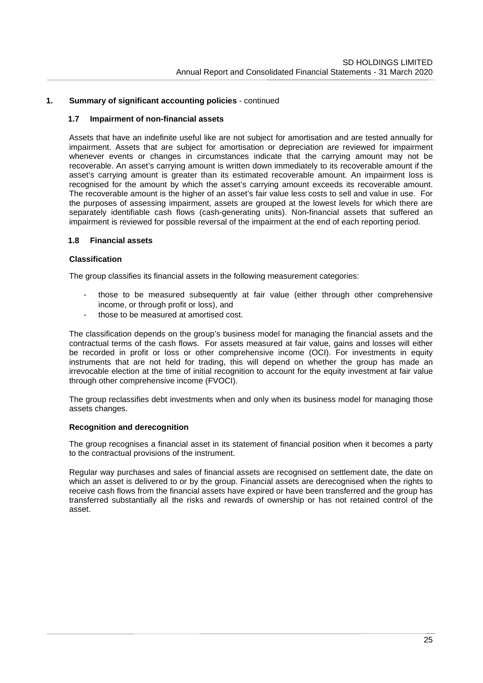#### **1.7 Impairment of non-financial assets**

Assets that have an indefinite useful like are not subject for amortisation and are tested annually for impairment. Assets that are subject for amortisation or depreciation are reviewed for impairment whenever events or changes in circumstances indicate that the carrying amount may not be recoverable. An asset's carrying amount is written down immediately to its recoverable amount if the asset's carrying amount is greater than its estimated recoverable amount. An impairment loss is recognised for the amount by which the asset's carrying amount exceeds its recoverable amount. The recoverable amount is the higher of an asset's fair value less costs to sell and value in use. For the purposes of assessing impairment, assets are grouped at the lowest levels for which there are separately identifiable cash flows (cash-generating units). Non-financial assets that suffered an impairment is reviewed for possible reversal of the impairment at the end of each reporting period.

### **1.8 Financial assets**

### **Classification**

The group classifies its financial assets in the following measurement categories:

- those to be measured subsequently at fair value (either through other comprehensive income, or through profit or loss), and
- those to be measured at amortised cost.

The classification depends on the group's business model for managing the financial assets and the contractual terms of the cash flows. For assets measured at fair value, gains and losses will either be recorded in profit or loss or other comprehensive income (OCI). For investments in equity instruments that are not held for trading, this will depend on whether the group has made an irrevocable election at the time of initial recognition to account for the equity investment at fair value through other comprehensive income (FVOCI).

The group reclassifies debt investments when and only when its business model for managing those assets changes.

#### **Recognition and derecognition**

The group recognises a financial asset in its statement of financial position when it becomes a party to the contractual provisions of the instrument.

Regular way purchases and sales of financial assets are recognised on settlement date, the date on which an asset is delivered to or by the group. Financial assets are derecognised when the rights to receive cash flows from the financial assets have expired or have been transferred and the group has transferred substantially all the risks and rewards of ownership or has not retained control of the asset.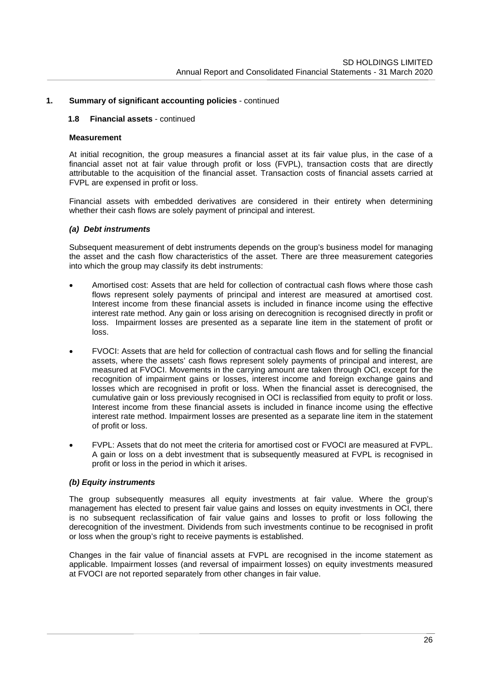#### **1.8 Financial assets** - continued

#### **Measurement**

At initial recognition, the group measures a financial asset at its fair value plus, in the case of a financial asset not at fair value through profit or loss (FVPL), transaction costs that are directly attributable to the acquisition of the financial asset. Transaction costs of financial assets carried at FVPL are expensed in profit or loss.

Financial assets with embedded derivatives are considered in their entirety when determining whether their cash flows are solely payment of principal and interest.

#### *(a) Debt instruments*

Subsequent measurement of debt instruments depends on the group's business model for managing the asset and the cash flow characteristics of the asset. There are three measurement categories into which the group may classify its debt instruments:

- Amortised cost: Assets that are held for collection of contractual cash flows where those cash flows represent solely payments of principal and interest are measured at amortised cost. Interest income from these financial assets is included in finance income using the effective interest rate method. Any gain or loss arising on derecognition is recognised directly in profit or loss. Impairment losses are presented as a separate line item in the statement of profit or loss.
- FVOCI: Assets that are held for collection of contractual cash flows and for selling the financial assets, where the assets' cash flows represent solely payments of principal and interest, are measured at FVOCI. Movements in the carrying amount are taken through OCI, except for the recognition of impairment gains or losses, interest income and foreign exchange gains and losses which are recognised in profit or loss. When the financial asset is derecognised, the cumulative gain or loss previously recognised in OCI is reclassified from equity to profit or loss. Interest income from these financial assets is included in finance income using the effective interest rate method. Impairment losses are presented as a separate line item in the statement of profit or loss.
- FVPL: Assets that do not meet the criteria for amortised cost or FVOCI are measured at FVPL. A gain or loss on a debt investment that is subsequently measured at FVPL is recognised in profit or loss in the period in which it arises.

#### *(b) Equity instruments*

The group subsequently measures all equity investments at fair value. Where the group's management has elected to present fair value gains and losses on equity investments in OCI, there is no subsequent reclassification of fair value gains and losses to profit or loss following the derecognition of the investment. Dividends from such investments continue to be recognised in profit or loss when the group's right to receive payments is established.

Changes in the fair value of financial assets at FVPL are recognised in the income statement as applicable. Impairment losses (and reversal of impairment losses) on equity investments measured at FVOCI are not reported separately from other changes in fair value.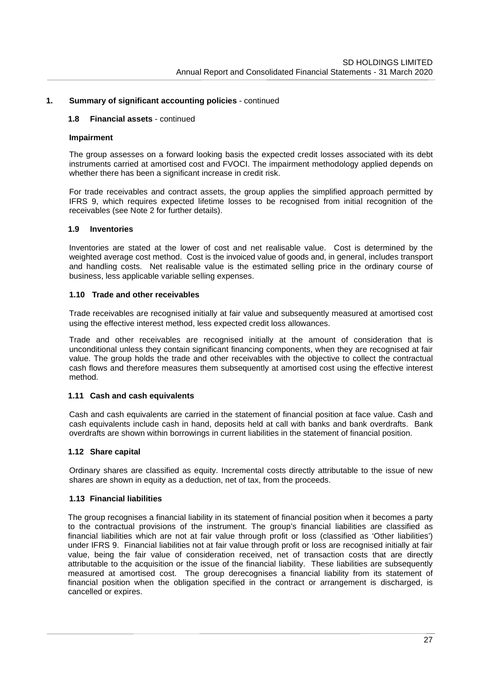#### **1.8 Financial assets** - continued

#### **Impairment**

The group assesses on a forward looking basis the expected credit losses associated with its debt instruments carried at amortised cost and FVOCI. The impairment methodology applied depends on whether there has been a significant increase in credit risk.

For trade receivables and contract assets, the group applies the simplified approach permitted by IFRS 9, which requires expected lifetime losses to be recognised from initial recognition of the receivables (see Note 2 for further details).

#### **1.9 Inventories**

Inventories are stated at the lower of cost and net realisable value. Cost is determined by the weighted average cost method. Cost is the invoiced value of goods and, in general, includes transport and handling costs. Net realisable value is the estimated selling price in the ordinary course of business, less applicable variable selling expenses.

#### **1.10 Trade and other receivables**

Trade receivables are recognised initially at fair value and subsequently measured at amortised cost using the effective interest method, less expected credit loss allowances.

Trade and other receivables are recognised initially at the amount of consideration that is unconditional unless they contain significant financing components, when they are recognised at fair value. The group holds the trade and other receivables with the objective to collect the contractual cash flows and therefore measures them subsequently at amortised cost using the effective interest method.

#### **1.11 Cash and cash equivalents**

Cash and cash equivalents are carried in the statement of financial position at face value. Cash and cash equivalents include cash in hand, deposits held at call with banks and bank overdrafts. Bank overdrafts are shown within borrowings in current liabilities in the statement of financial position.

#### **1.12 Share capital**

Ordinary shares are classified as equity. Incremental costs directly attributable to the issue of new shares are shown in equity as a deduction, net of tax, from the proceeds.

#### **1.13 Financial liabilities**

The group recognises a financial liability in its statement of financial position when it becomes a party to the contractual provisions of the instrument. The group's financial liabilities are classified as financial liabilities which are not at fair value through profit or loss (classified as 'Other liabilities') under IFRS 9. Financial liabilities not at fair value through profit or loss are recognised initially at fair value, being the fair value of consideration received, net of transaction costs that are directly attributable to the acquisition or the issue of the financial liability. These liabilities are subsequently measured at amortised cost. The group derecognises a financial liability from its statement of financial position when the obligation specified in the contract or arrangement is discharged, is cancelled or expires.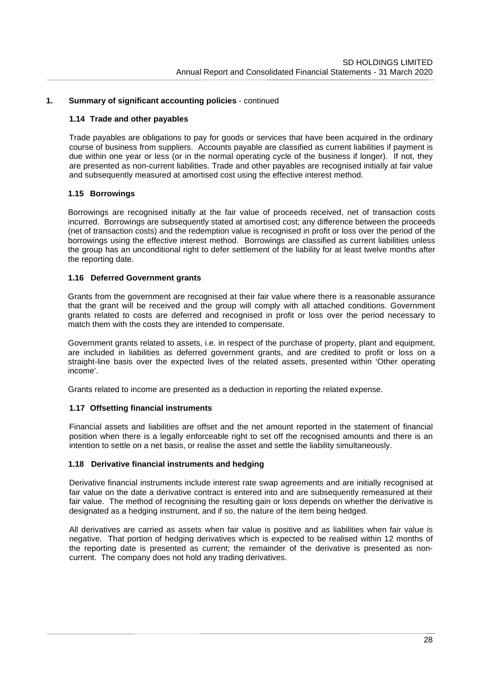#### **1.14 Trade and other payables**

Trade payables are obligations to pay for goods or services that have been acquired in the ordinary course of business from suppliers. Accounts payable are classified as current liabilities if payment is due within one year or less (or in the normal operating cycle of the business if longer). If not, they are presented as non-current liabilities. Trade and other payables are recognised initially at fair value and subsequently measured at amortised cost using the effective interest method.

### **1.15 Borrowings**

Borrowings are recognised initially at the fair value of proceeds received, net of transaction costs incurred. Borrowings are subsequently stated at amortised cost; any difference between the proceeds (net of transaction costs) and the redemption value is recognised in profit or loss over the period of the borrowings using the effective interest method. Borrowings are classified as current liabilities unless the group has an unconditional right to defer settlement of the liability for at least twelve months after the reporting date.

### **1.16 Deferred Government grants**

Grants from the government are recognised at their fair value where there is a reasonable assurance that the grant will be received and the group will comply with all attached conditions. Government grants related to costs are deferred and recognised in profit or loss over the period necessary to match them with the costs they are intended to compensate.

Government grants related to assets, i.e. in respect of the purchase of property, plant and equipment, are included in liabilities as deferred government grants, and are credited to profit or loss on a straight-line basis over the expected lives of the related assets, presented within 'Other operating income'.

Grants related to income are presented as a deduction in reporting the related expense.

#### **1.17 Offsetting financial instruments**

Financial assets and liabilities are offset and the net amount reported in the statement of financial position when there is a legally enforceable right to set off the recognised amounts and there is an intention to settle on a net basis, or realise the asset and settle the liability simultaneously.

#### **1.18 Derivative financial instruments and hedging**

Derivative financial instruments include interest rate swap agreements and are initially recognised at fair value on the date a derivative contract is entered into and are subsequently remeasured at their fair value. The method of recognising the resulting gain or loss depends on whether the derivative is designated as a hedging instrument, and if so, the nature of the item being hedged.

All derivatives are carried as assets when fair value is positive and as liabilities when fair value is negative. That portion of hedging derivatives which is expected to be realised within 12 months of the reporting date is presented as current; the remainder of the derivative is presented as noncurrent. The company does not hold any trading derivatives.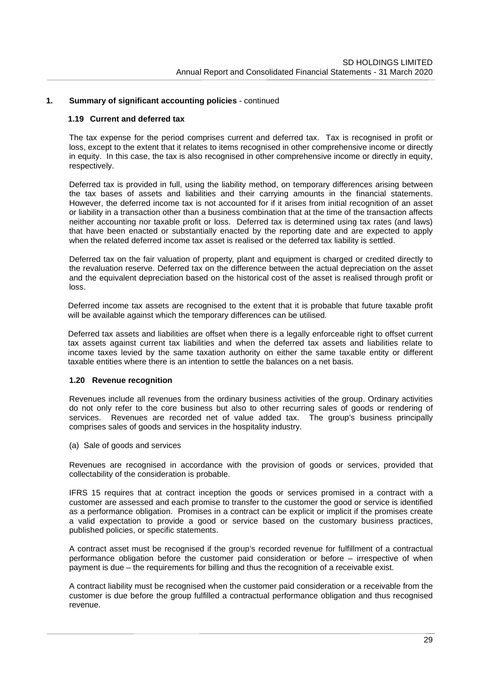#### **1.19 Current and deferred tax**

The tax expense for the period comprises current and deferred tax. Tax is recognised in profit or loss, except to the extent that it relates to items recognised in other comprehensive income or directly in equity. In this case, the tax is also recognised in other comprehensive income or directly in equity, respectively.

Deferred tax is provided in full, using the liability method, on temporary differences arising between the tax bases of assets and liabilities and their carrying amounts in the financial statements. However, the deferred income tax is not accounted for if it arises from initial recognition of an asset or liability in a transaction other than a business combination that at the time of the transaction affects neither accounting nor taxable profit or loss. Deferred tax is determined using tax rates (and laws) that have been enacted or substantially enacted by the reporting date and are expected to apply when the related deferred income tax asset is realised or the deferred tax liability is settled.

Deferred tax on the fair valuation of property, plant and equipment is charged or credited directly to the revaluation reserve. Deferred tax on the difference between the actual depreciation on the asset and the equivalent depreciation based on the historical cost of the asset is realised through profit or loss.

Deferred income tax assets are recognised to the extent that it is probable that future taxable profit will be available against which the temporary differences can be utilised.

Deferred tax assets and liabilities are offset when there is a legally enforceable right to offset current tax assets against current tax liabilities and when the deferred tax assets and liabilities relate to income taxes levied by the same taxation authority on either the same taxable entity or different taxable entities where there is an intention to settle the balances on a net basis.

#### **1.20 Revenue recognition**

Revenues include all revenues from the ordinary business activities of the group. Ordinary activities do not only refer to the core business but also to other recurring sales of goods or rendering of services. Revenues are recorded net of value added tax. The group's business principally comprises sales of goods and services in the hospitality industry.

(a) Sale of goods and services

Revenues are recognised in accordance with the provision of goods or services, provided that collectability of the consideration is probable.

IFRS 15 requires that at contract inception the goods or services promised in a contract with a customer are assessed and each promise to transfer to the customer the good or service is identified as a performance obligation. Promises in a contract can be explicit or implicit if the promises create a valid expectation to provide a good or service based on the customary business practices, published policies, or specific statements.

A contract asset must be recognised if the group's recorded revenue for fulfillment of a contractual performance obligation before the customer paid consideration or before – irrespective of when payment is due – the requirements for billing and thus the recognition of a receivable exist.

A contract liability must be recognised when the customer paid consideration or a receivable from the customer is due before the group fulfilled a contractual performance obligation and thus recognised revenue.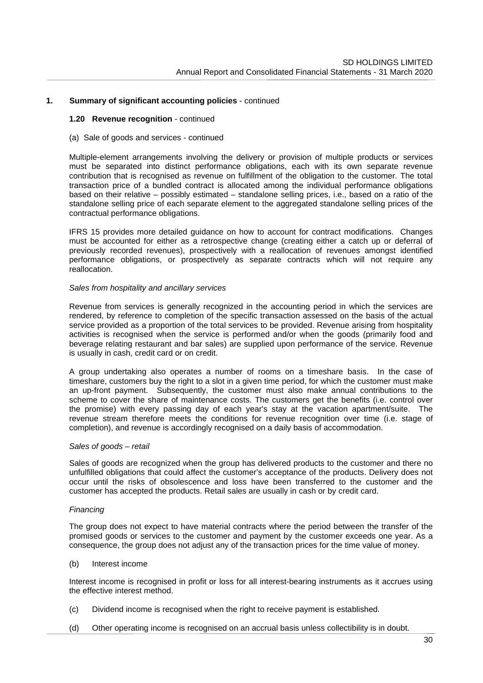#### **1.20 Revenue recognition** - continued

#### (a) Sale of goods and services - continued

Multiple-element arrangements involving the delivery or provision of multiple products or services must be separated into distinct performance obligations, each with its own separate revenue contribution that is recognised as revenue on fulfillment of the obligation to the customer. The total transaction price of a bundled contract is allocated among the individual performance obligations based on their relative – possibly estimated – standalone selling prices, i.e., based on a ratio of the standalone selling price of each separate element to the aggregated standalone selling prices of the contractual performance obligations.

IFRS 15 provides more detailed guidance on how to account for contract modifications. Changes must be accounted for either as a retrospective change (creating either a catch up or deferral of previously recorded revenues), prospectively with a reallocation of revenues amongst identified performance obligations, or prospectively as separate contracts which will not require any reallocation.

#### *Sales from hospitality and ancillary services*

Revenue from services is generally recognized in the accounting period in which the services are rendered, by reference to completion of the specific transaction assessed on the basis of the actual service provided as a proportion of the total services to be provided. Revenue arising from hospitality activities is recognised when the service is performed and/or when the goods (primarily food and beverage relating restaurant and bar sales) are supplied upon performance of the service. Revenue is usually in cash, credit card or on credit.

A group undertaking also operates a number of rooms on a timeshare basis. In the case of timeshare, customers buy the right to a slot in a given time period, for which the customer must make an up-front payment. Subsequently, the customer must also make annual contributions to the scheme to cover the share of maintenance costs. The customers get the benefits (i.e. control over the promise) with every passing day of each year's stay at the vacation apartment/suite. The revenue stream therefore meets the conditions for revenue recognition over time (i.e. stage of completion), and revenue is accordingly recognised on a daily basis of accommodation.

#### *Sales of goods – retail*

Sales of goods are recognized when the group has delivered products to the customer and there no unfulfilled obligations that could affect the customer's acceptance of the products. Delivery does not occur until the risks of obsolescence and loss have been transferred to the customer and the customer has accepted the products. Retail sales are usually in cash or by credit card.

#### *Financing*

The group does not expect to have material contracts where the period between the transfer of the promised goods or services to the customer and payment by the customer exceeds one year. As a consequence, the group does not adjust any of the transaction prices for the time value of money.

#### (b) Interest income

Interest income is recognised in profit or loss for all interest-bearing instruments as it accrues using the effective interest method.

- (c) Dividend income is recognised when the right to receive payment is established.
- (d) Other operating income is recognised on an accrual basis unless collectibility is in doubt.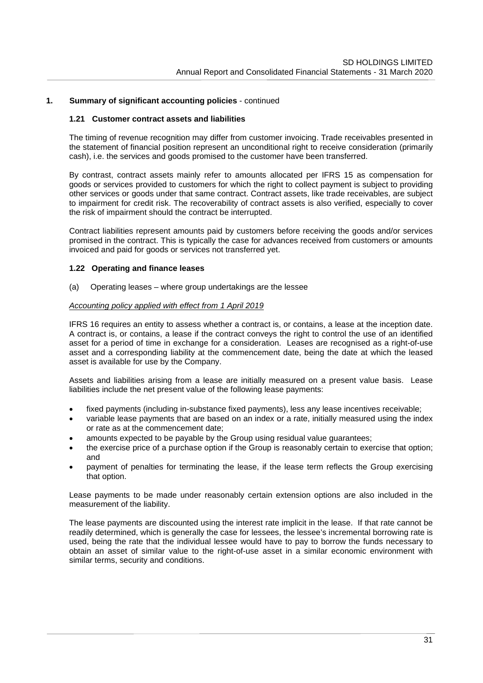#### **1.21 Customer contract assets and liabilities**

The timing of revenue recognition may differ from customer invoicing. Trade receivables presented in the statement of financial position represent an unconditional right to receive consideration (primarily cash), i.e. the services and goods promised to the customer have been transferred.

By contrast, contract assets mainly refer to amounts allocated per IFRS 15 as compensation for goods or services provided to customers for which the right to collect payment is subject to providing other services or goods under that same contract. Contract assets, like trade receivables, are subject to impairment for credit risk. The recoverability of contract assets is also verified, especially to cover the risk of impairment should the contract be interrupted.

Contract liabilities represent amounts paid by customers before receiving the goods and/or services promised in the contract. This is typically the case for advances received from customers or amounts invoiced and paid for goods or services not transferred yet.

#### **1.22 Operating and finance leases**

(a) Operating leases – where group undertakings are the lessee

#### *Accounting policy applied with effect from 1 April 2019*

IFRS 16 requires an entity to assess whether a contract is, or contains, a lease at the inception date. A contract is, or contains, a lease if the contract conveys the right to control the use of an identified asset for a period of time in exchange for a consideration. Leases are recognised as a right-of-use asset and a corresponding liability at the commencement date, being the date at which the leased asset is available for use by the Company.

Assets and liabilities arising from a lease are initially measured on a present value basis. Lease liabilities include the net present value of the following lease payments:

- fixed payments (including in-substance fixed payments), less any lease incentives receivable;
- variable lease payments that are based on an index or a rate, initially measured using the index or rate as at the commencement date;
- amounts expected to be payable by the Group using residual value guarantees;
- the exercise price of a purchase option if the Group is reasonably certain to exercise that option; and
- payment of penalties for terminating the lease, if the lease term reflects the Group exercising that option.

Lease payments to be made under reasonably certain extension options are also included in the measurement of the liability.

The lease payments are discounted using the interest rate implicit in the lease. If that rate cannot be readily determined, which is generally the case for lessees, the lessee's incremental borrowing rate is used, being the rate that the individual lessee would have to pay to borrow the funds necessary to obtain an asset of similar value to the right-of-use asset in a similar economic environment with similar terms, security and conditions.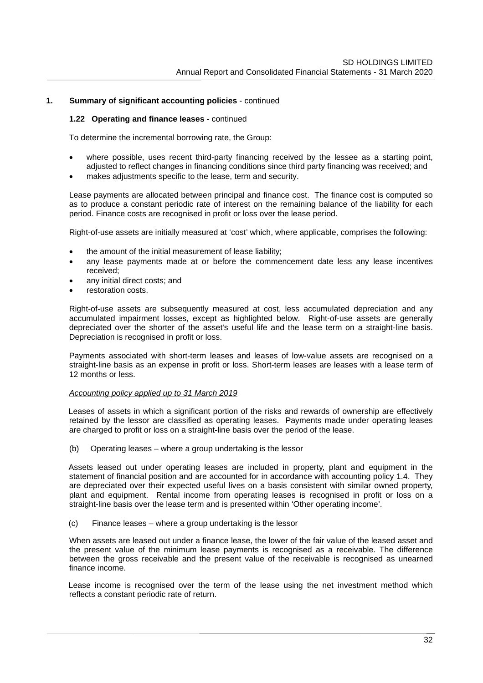#### **1.22 Operating and finance leases** - continued

To determine the incremental borrowing rate, the Group:

- where possible, uses recent third-party financing received by the lessee as a starting point, adjusted to reflect changes in financing conditions since third party financing was received; and
- makes adjustments specific to the lease, term and security.

Lease payments are allocated between principal and finance cost. The finance cost is computed so as to produce a constant periodic rate of interest on the remaining balance of the liability for each period. Finance costs are recognised in profit or loss over the lease period.

Right-of-use assets are initially measured at 'cost' which, where applicable, comprises the following:

- the amount of the initial measurement of lease liability;
- any lease payments made at or before the commencement date less any lease incentives received;
- any initial direct costs; and
- restoration costs.

Right-of-use assets are subsequently measured at cost, less accumulated depreciation and any accumulated impairment losses, except as highlighted below. Right-of-use assets are generally depreciated over the shorter of the asset's useful life and the lease term on a straight-line basis. Depreciation is recognised in profit or loss.

Payments associated with short-term leases and leases of low-value assets are recognised on a straight-line basis as an expense in profit or loss. Short-term leases are leases with a lease term of 12 months or less.

#### *Accounting policy applied up to 31 March 2019*

Leases of assets in which a significant portion of the risks and rewards of ownership are effectively retained by the lessor are classified as operating leases. Payments made under operating leases are charged to profit or loss on a straight-line basis over the period of the lease.

(b) Operating leases – where a group undertaking is the lessor

Assets leased out under operating leases are included in property, plant and equipment in the statement of financial position and are accounted for in accordance with accounting policy 1.4. They are depreciated over their expected useful lives on a basis consistent with similar owned property, plant and equipment. Rental income from operating leases is recognised in profit or loss on a straight-line basis over the lease term and is presented within 'Other operating income'.

(c) Finance leases – where a group undertaking is the lessor

When assets are leased out under a finance lease, the lower of the fair value of the leased asset and the present value of the minimum lease payments is recognised as a receivable. The difference between the gross receivable and the present value of the receivable is recognised as unearned finance income.

Lease income is recognised over the term of the lease using the net investment method which reflects a constant periodic rate of return.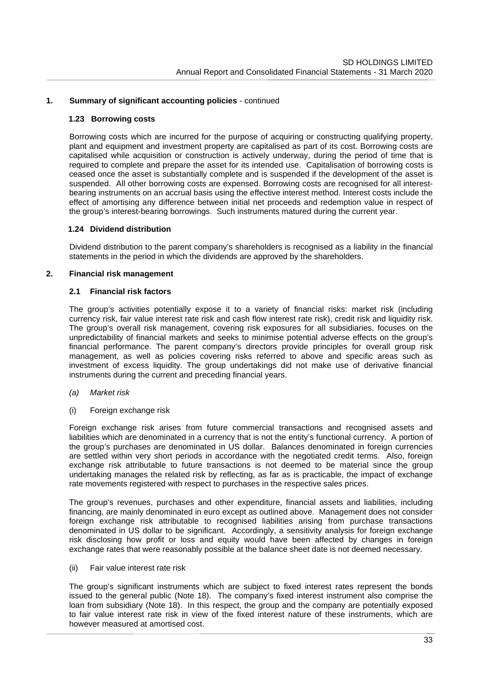#### **1.23 Borrowing costs**

Borrowing costs which are incurred for the purpose of acquiring or constructing qualifying property, plant and equipment and investment property are capitalised as part of its cost. Borrowing costs are capitalised while acquisition or construction is actively underway, during the period of time that is required to complete and prepare the asset for its intended use. Capitalisation of borrowing costs is ceased once the asset is substantially complete and is suspended if the development of the asset is suspended. All other borrowing costs are expensed. Borrowing costs are recognised for all interestbearing instruments on an accrual basis using the effective interest method. Interest costs include the effect of amortising any difference between initial net proceeds and redemption value in respect of the group's interest-bearing borrowings. Such instruments matured during the current year.

#### **1.24 Dividend distribution**

Dividend distribution to the parent company's shareholders is recognised as a liability in the financial statements in the period in which the dividends are approved by the shareholders.

#### **2. Financial risk management**

#### **2.1 Financial risk factors**

The group's activities potentially expose it to a variety of financial risks: market risk (including currency risk, fair value interest rate risk and cash flow interest rate risk), credit risk and liquidity risk. The group's overall risk management, covering risk exposures for all subsidiaries, focuses on the unpredictability of financial markets and seeks to minimise potential adverse effects on the group's financial performance. The parent company's directors provide principles for overall group risk management, as well as policies covering risks referred to above and specific areas such as investment of excess liquidity. The group undertakings did not make use of derivative financial instruments during the current and preceding financial years.

- *(a) Market risk*
- (i) Foreign exchange risk

Foreign exchange risk arises from future commercial transactions and recognised assets and liabilities which are denominated in a currency that is not the entity's functional currency. A portion of the group's purchases are denominated in US dollar. Balances denominated in foreign currencies are settled within very short periods in accordance with the negotiated credit terms. Also, foreign exchange risk attributable to future transactions is not deemed to be material since the group undertaking manages the related risk by reflecting, as far as is practicable, the impact of exchange rate movements registered with respect to purchases in the respective sales prices.

The group's revenues, purchases and other expenditure, financial assets and liabilities, including financing, are mainly denominated in euro except as outlined above. Management does not consider foreign exchange risk attributable to recognised liabilities arising from purchase transactions denominated in US dollar to be significant. Accordingly, a sensitivity analysis for foreign exchange risk disclosing how profit or loss and equity would have been affected by changes in foreign exchange rates that were reasonably possible at the balance sheet date is not deemed necessary.

(ii) Fair value interest rate risk

The group's significant instruments which are subject to fixed interest rates represent the bonds issued to the general public (Note 18). The company's fixed interest instrument also comprise the loan from subsidiary (Note 18). In this respect, the group and the company are potentially exposed to fair value interest rate risk in view of the fixed interest nature of these instruments, which are however measured at amortised cost.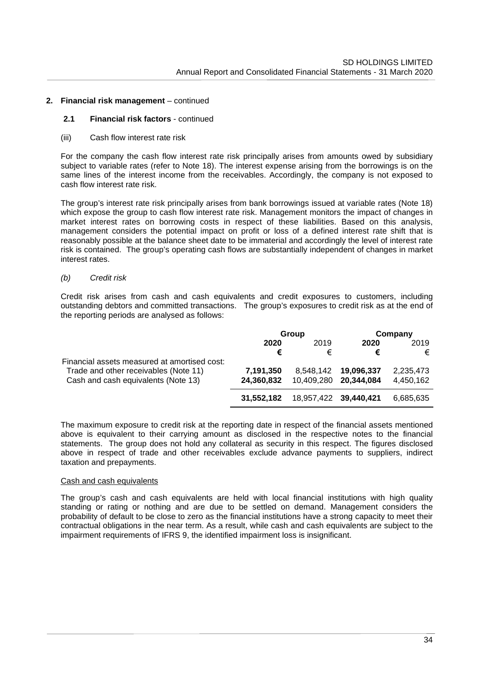#### **2.1 Financial risk factors** - continued

(iii) Cash flow interest rate risk

For the company the cash flow interest rate risk principally arises from amounts owed by subsidiary subject to variable rates (refer to Note 18). The interest expense arising from the borrowings is on the same lines of the interest income from the receivables. Accordingly, the company is not exposed to cash flow interest rate risk.

The group's interest rate risk principally arises from bank borrowings issued at variable rates (Note 18) which expose the group to cash flow interest rate risk. Management monitors the impact of changes in market interest rates on borrowing costs in respect of these liabilities. Based on this analysis, management considers the potential impact on profit or loss of a defined interest rate shift that is reasonably possible at the balance sheet date to be immaterial and accordingly the level of interest rate risk is contained. The group's operating cash flows are substantially independent of changes in market interest rates.

#### *(b) Credit risk*

Credit risk arises from cash and cash equivalents and credit exposures to customers, including outstanding debtors and committed transactions. The group's exposures to credit risk as at the end of the reporting periods are analysed as follows:

|                                              |              | Group      | Company               |           |      |      |
|----------------------------------------------|--------------|------------|-----------------------|-----------|------|------|
|                                              | 2020<br>2019 |            |                       |           | 2020 | 2019 |
|                                              | €            | €          | €                     | €         |      |      |
| Financial assets measured at amortised cost: |              |            |                       |           |      |      |
| Trade and other receivables (Note 11)        | 7,191,350    | 8.548.142  | 19.096.337            | 2,235,473 |      |      |
| Cash and cash equivalents (Note 13)          | 24,360,832   | 10,409,280 | 20.344.084            | 4,450,162 |      |      |
|                                              | 31,552,182   |            | 18,957,422 39,440,421 | 6,685,635 |      |      |

The maximum exposure to credit risk at the reporting date in respect of the financial assets mentioned above is equivalent to their carrying amount as disclosed in the respective notes to the financial statements. The group does not hold any collateral as security in this respect. The figures disclosed above in respect of trade and other receivables exclude advance payments to suppliers, indirect taxation and prepayments.

#### Cash and cash equivalents

The group's cash and cash equivalents are held with local financial institutions with high quality standing or rating or nothing and are due to be settled on demand. Management considers the probability of default to be close to zero as the financial institutions have a strong capacity to meet their contractual obligations in the near term. As a result, while cash and cash equivalents are subject to the impairment requirements of IFRS 9, the identified impairment loss is insignificant.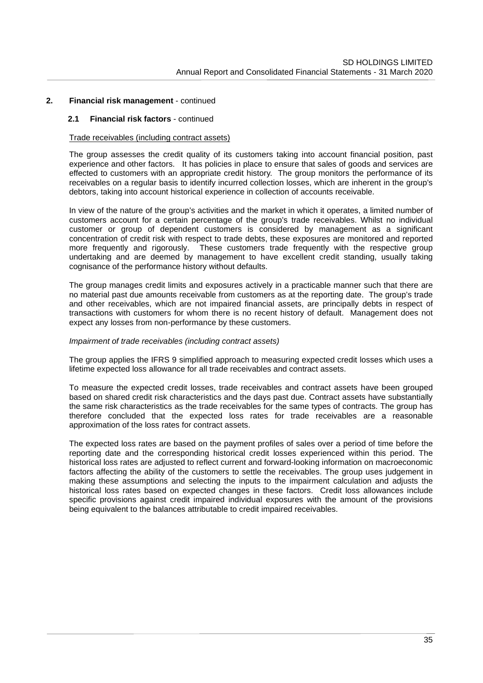#### **2.1 Financial risk factors** - continued

#### Trade receivables (including contract assets)

The group assesses the credit quality of its customers taking into account financial position, past experience and other factors. It has policies in place to ensure that sales of goods and services are effected to customers with an appropriate credit history. The group monitors the performance of its receivables on a regular basis to identify incurred collection losses, which are inherent in the group's debtors, taking into account historical experience in collection of accounts receivable.

In view of the nature of the group's activities and the market in which it operates, a limited number of customers account for a certain percentage of the group's trade receivables. Whilst no individual customer or group of dependent customers is considered by management as a significant concentration of credit risk with respect to trade debts, these exposures are monitored and reported more frequently and rigorously. These customers trade frequently with the respective group undertaking and are deemed by management to have excellent credit standing, usually taking cognisance of the performance history without defaults.

The group manages credit limits and exposures actively in a practicable manner such that there are no material past due amounts receivable from customers as at the reporting date. The group's trade and other receivables, which are not impaired financial assets, are principally debts in respect of transactions with customers for whom there is no recent history of default. Management does not expect any losses from non-performance by these customers.

#### *Impairment of trade receivables (including contract assets)*

The group applies the IFRS 9 simplified approach to measuring expected credit losses which uses a lifetime expected loss allowance for all trade receivables and contract assets.

To measure the expected credit losses, trade receivables and contract assets have been grouped based on shared credit risk characteristics and the days past due. Contract assets have substantially the same risk characteristics as the trade receivables for the same types of contracts. The group has therefore concluded that the expected loss rates for trade receivables are a reasonable approximation of the loss rates for contract assets.

The expected loss rates are based on the payment profiles of sales over a period of time before the reporting date and the corresponding historical credit losses experienced within this period. The historical loss rates are adjusted to reflect current and forward-looking information on macroeconomic factors affecting the ability of the customers to settle the receivables. The group uses judgement in making these assumptions and selecting the inputs to the impairment calculation and adjusts the historical loss rates based on expected changes in these factors. Credit loss allowances include specific provisions against credit impaired individual exposures with the amount of the provisions being equivalent to the balances attributable to credit impaired receivables.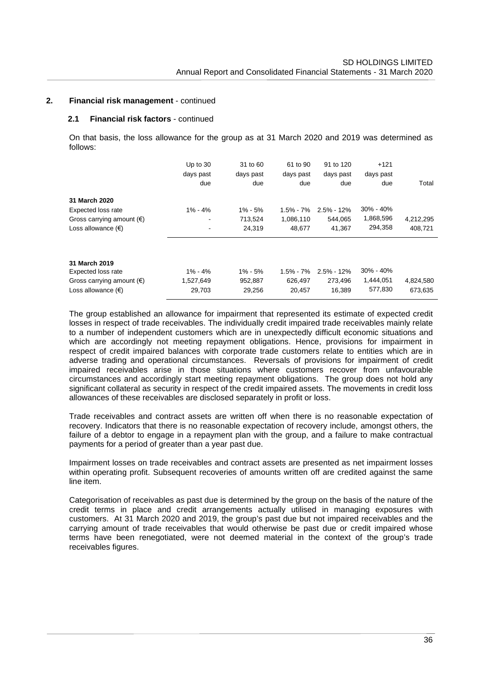#### **2.1 Financial risk factors** - continued

On that basis, the loss allowance for the group as at 31 March 2020 and 2019 was determined as follows:

|                                                                                                          | Up to 30<br>days past<br>due       | 31 to 60<br>days past<br>due     | 61 to 90<br>days past<br>due         | 91 to 120<br>days past<br>due       | $+121$<br>days past<br>due            | Total                |
|----------------------------------------------------------------------------------------------------------|------------------------------------|----------------------------------|--------------------------------------|-------------------------------------|---------------------------------------|----------------------|
| 31 March 2020<br>Expected loss rate<br>Gross carrying amount $(\epsilon)$<br>Loss allowance $(\epsilon)$ | $1\% - 4\%$<br>$\,$<br>٠           | 1% - 5%<br>713,524<br>24,319     | $1.5\% - 7\%$<br>1,086,110<br>48,677 | $2.5\% - 12\%$<br>544,065<br>41,367 | $30\% - 40\%$<br>1,868,596<br>294,358 | 4,212,295<br>408,721 |
| 31 March 2019<br>Expected loss rate<br>Gross carrying amount $(\epsilon)$<br>Loss allowance $(\epsilon)$ | $1\% - 4\%$<br>1,527,649<br>29,703 | $1\% - 5\%$<br>952,887<br>29,256 | $1.5\% - 7\%$<br>626.497<br>20,457   | $2.5\% - 12\%$<br>273.496<br>16,389 | $30\% - 40\%$<br>1,444,051<br>577,830 | 4,824,580<br>673,635 |

The group established an allowance for impairment that represented its estimate of expected credit losses in respect of trade receivables. The individually credit impaired trade receivables mainly relate to a number of independent customers which are in unexpectedly difficult economic situations and which are accordingly not meeting repayment obligations. Hence, provisions for impairment in respect of credit impaired balances with corporate trade customers relate to entities which are in adverse trading and operational circumstances. Reversals of provisions for impairment of credit impaired receivables arise in those situations where customers recover from unfavourable circumstances and accordingly start meeting repayment obligations. The group does not hold any significant collateral as security in respect of the credit impaired assets. The movements in credit loss allowances of these receivables are disclosed separately in profit or loss.

Trade receivables and contract assets are written off when there is no reasonable expectation of recovery. Indicators that there is no reasonable expectation of recovery include, amongst others, the failure of a debtor to engage in a repayment plan with the group, and a failure to make contractual payments for a period of greater than a year past due.

Impairment losses on trade receivables and contract assets are presented as net impairment losses within operating profit. Subsequent recoveries of amounts written off are credited against the same line item.

Categorisation of receivables as past due is determined by the group on the basis of the nature of the credit terms in place and credit arrangements actually utilised in managing exposures with customers. At 31 March 2020 and 2019, the group's past due but not impaired receivables and the carrying amount of trade receivables that would otherwise be past due or credit impaired whose terms have been renegotiated, were not deemed material in the context of the group's trade receivables figures.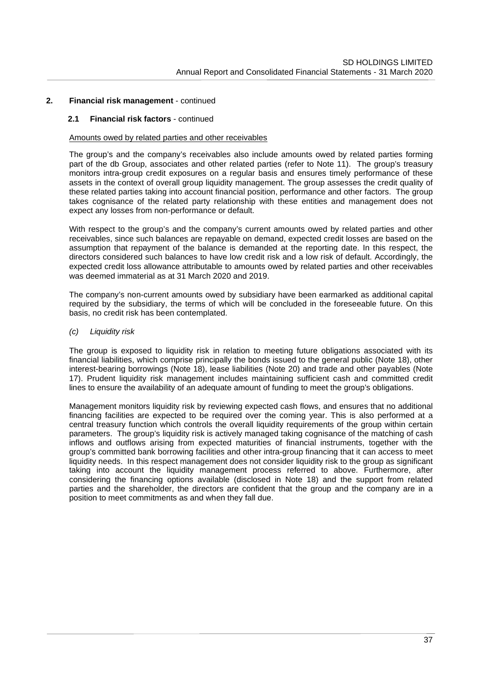#### **2.1 Financial risk factors** - continued

#### Amounts owed by related parties and other receivables

The group's and the company's receivables also include amounts owed by related parties forming part of the db Group, associates and other related parties (refer to Note 11). The group's treasury monitors intra-group credit exposures on a regular basis and ensures timely performance of these assets in the context of overall group liquidity management. The group assesses the credit quality of these related parties taking into account financial position, performance and other factors. The group takes cognisance of the related party relationship with these entities and management does not expect any losses from non-performance or default.

With respect to the group's and the company's current amounts owed by related parties and other receivables, since such balances are repayable on demand, expected credit losses are based on the assumption that repayment of the balance is demanded at the reporting date. In this respect, the directors considered such balances to have low credit risk and a low risk of default. Accordingly, the expected credit loss allowance attributable to amounts owed by related parties and other receivables was deemed immaterial as at 31 March 2020 and 2019.

The company's non-current amounts owed by subsidiary have been earmarked as additional capital required by the subsidiary, the terms of which will be concluded in the foreseeable future. On this basis, no credit risk has been contemplated.

#### *(c) Liquidity risk*

The group is exposed to liquidity risk in relation to meeting future obligations associated with its financial liabilities, which comprise principally the bonds issued to the general public (Note 18), other interest-bearing borrowings (Note 18), lease liabilities (Note 20) and trade and other payables (Note 17). Prudent liquidity risk management includes maintaining sufficient cash and committed credit lines to ensure the availability of an adequate amount of funding to meet the group's obligations.

Management monitors liquidity risk by reviewing expected cash flows, and ensures that no additional financing facilities are expected to be required over the coming year. This is also performed at a central treasury function which controls the overall liquidity requirements of the group within certain parameters. The group's liquidity risk is actively managed taking cognisance of the matching of cash inflows and outflows arising from expected maturities of financial instruments, together with the group's committed bank borrowing facilities and other intra-group financing that it can access to meet liquidity needs. In this respect management does not consider liquidity risk to the group as significant taking into account the liquidity management process referred to above. Furthermore, after considering the financing options available (disclosed in Note 18) and the support from related parties and the shareholder, the directors are confident that the group and the company are in a position to meet commitments as and when they fall due.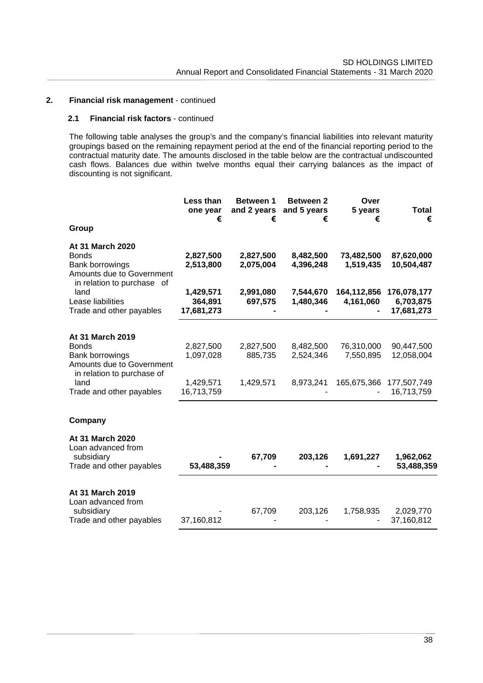#### **2.1 Financial risk factors** - continued

The following table analyses the group's and the company's financial liabilities into relevant maturity groupings based on the remaining repayment period at the end of the financial reporting period to the contractual maturity date. The amounts disclosed in the table below are the contractual undiscounted cash flows. Balances due within twelve months equal their carrying balances as the impact of discounting is not significant.

|                                                                                                                       | Less than<br>one year<br>€         | Between 1<br>and 2 years<br>€ | <b>Between 2</b><br>and 5 years | Over<br>5 years<br>€     | <b>Total</b><br>€                      |
|-----------------------------------------------------------------------------------------------------------------------|------------------------------------|-------------------------------|---------------------------------|--------------------------|----------------------------------------|
| Group                                                                                                                 |                                    |                               |                                 |                          |                                        |
| At 31 March 2020<br><b>Bonds</b><br><b>Bank borrowings</b><br>Amounts due to Government<br>in relation to purchase of | 2,827,500<br>2,513,800             | 2,827,500<br>2,075,004        | 8,482,500<br>4,396,248          | 73,482,500<br>1,519,435  | 87,620,000<br>10,504,487               |
| land<br>Lease liabilities<br>Trade and other payables                                                                 | 1,429,571<br>364,891<br>17,681,273 | 2,991,080<br>697,575          | 7,544,670<br>1,480,346          | 164,112,856<br>4,161,060 | 176,078,177<br>6,703,875<br>17,681,273 |
| At 31 March 2019<br><b>Bonds</b><br>Bank borrowings<br>Amounts due to Government                                      | 2,827,500<br>1,097,028             | 2,827,500<br>885,735          | 8,482,500<br>2,524,346          | 76,310,000<br>7,550,895  | 90,447,500<br>12,058,004               |
| in relation to purchase of<br>land<br>Trade and other payables                                                        | 1,429,571<br>16,713,759            | 1,429,571                     | 8,973,241                       | 165,675,366              | 177,507,749<br>16,713,759              |
| Company                                                                                                               |                                    |                               |                                 |                          |                                        |
| At 31 March 2020<br>Loan advanced from<br>subsidiary<br>Trade and other payables                                      | 53,488,359                         | 67,709                        | 203,126                         | 1,691,227                | 1,962,062<br>53,488,359                |
| At 31 March 2019<br>Loan advanced from<br>subsidiary<br>Trade and other payables                                      | 37,160,812                         | 67,709                        | 203,126                         | 1,758,935                | 2,029,770<br>37,160,812                |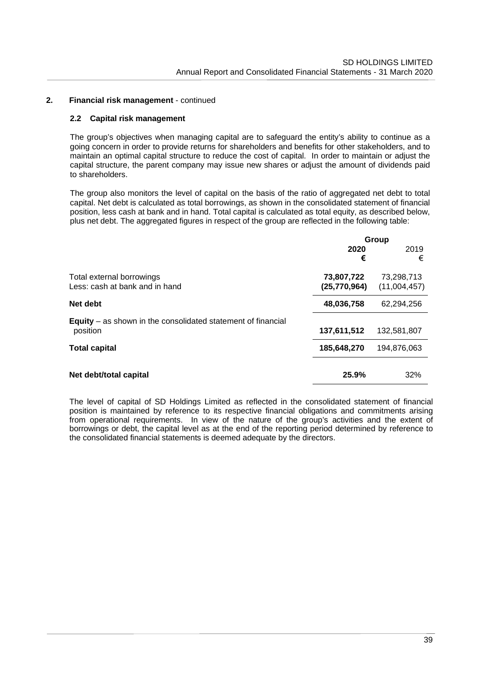#### **2.2 Capital risk management**

The group's objectives when managing capital are to safeguard the entity's ability to continue as a going concern in order to provide returns for shareholders and benefits for other stakeholders, and to maintain an optimal capital structure to reduce the cost of capital. In order to maintain or adjust the capital structure, the parent company may issue new shares or adjust the amount of dividends paid to shareholders.

The group also monitors the level of capital on the basis of the ratio of aggregated net debt to total capital. Net debt is calculated as total borrowings, as shown in the consolidated statement of financial position, less cash at bank and in hand. Total capital is calculated as total equity, as described below, plus net debt. The aggregated figures in respect of the group are reflected in the following table:

|                                                                                 |                            | Group                      |
|---------------------------------------------------------------------------------|----------------------------|----------------------------|
|                                                                                 | 2020<br>€                  | 2019<br>€                  |
| Total external borrowings<br>Less: cash at bank and in hand                     | 73,807,722<br>(25,770,964) | 73,298,713<br>(11,004,457) |
| Net debt                                                                        | 48,036,758                 | 62,294,256                 |
| <b>Equity</b> – as shown in the consolidated statement of financial<br>position | 137,611,512                | 132,581,807                |
| <b>Total capital</b>                                                            | 185,648,270                | 194,876,063                |
| Net debt/total capital                                                          | 25.9%                      | 32%                        |

The level of capital of SD Holdings Limited as reflected in the consolidated statement of financial position is maintained by reference to its respective financial obligations and commitments arising from operational requirements. In view of the nature of the group's activities and the extent of borrowings or debt, the capital level as at the end of the reporting period determined by reference to the consolidated financial statements is deemed adequate by the directors.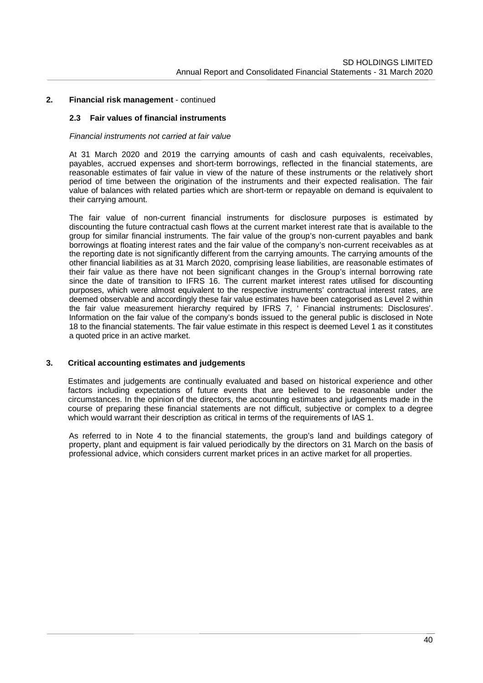#### **2.3 Fair values of financial instruments**

#### *Financial instruments not carried at fair value*

At 31 March 2020 and 2019 the carrying amounts of cash and cash equivalents, receivables, payables, accrued expenses and short-term borrowings, reflected in the financial statements, are reasonable estimates of fair value in view of the nature of these instruments or the relatively short period of time between the origination of the instruments and their expected realisation. The fair value of balances with related parties which are short-term or repayable on demand is equivalent to their carrying amount.

The fair value of non-current financial instruments for disclosure purposes is estimated by discounting the future contractual cash flows at the current market interest rate that is available to the group for similar financial instruments. The fair value of the group's non-current payables and bank borrowings at floating interest rates and the fair value of the company's non-current receivables as at the reporting date is not significantly different from the carrying amounts. The carrying amounts of the other financial liabilities as at 31 March 2020, comprising lease liabilities, are reasonable estimates of their fair value as there have not been significant changes in the Group's internal borrowing rate since the date of transition to IFRS 16. The current market interest rates utilised for discounting purposes, which were almost equivalent to the respective instruments' contractual interest rates, are deemed observable and accordingly these fair value estimates have been categorised as Level 2 within the fair value measurement hierarchy required by IFRS 7, ' Financial instruments: Disclosures'. Information on the fair value of the company's bonds issued to the general public is disclosed in Note 18 to the financial statements. The fair value estimate in this respect is deemed Level 1 as it constitutes a quoted price in an active market.

#### **3. Critical accounting estimates and judgements**

Estimates and judgements are continually evaluated and based on historical experience and other factors including expectations of future events that are believed to be reasonable under the circumstances. In the opinion of the directors, the accounting estimates and judgements made in the course of preparing these financial statements are not difficult, subjective or complex to a degree which would warrant their description as critical in terms of the requirements of IAS 1.

As referred to in Note 4 to the financial statements, the group's land and buildings category of property, plant and equipment is fair valued periodically by the directors on 31 March on the basis of professional advice, which considers current market prices in an active market for all properties.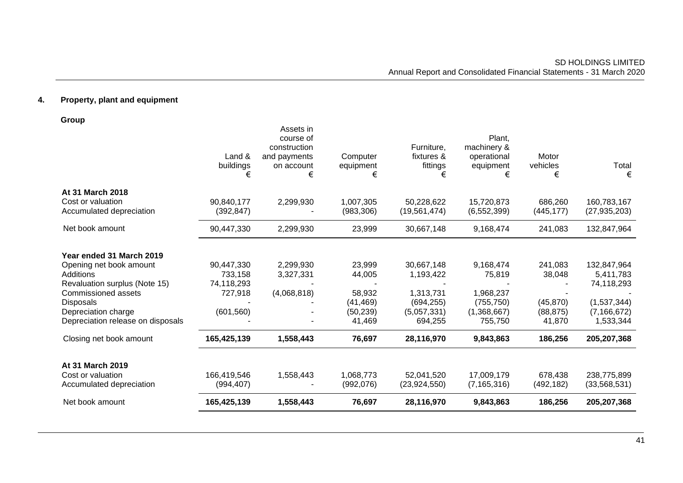# **4. Property, plant and equipment**

| Net book amount                                                   | 165,425,139               | 1,558,443                                                                 | 76,697                     | 28,116,970                                | 9,843,863                                              | 186,256                | 205,207,368                   |
|-------------------------------------------------------------------|---------------------------|---------------------------------------------------------------------------|----------------------------|-------------------------------------------|--------------------------------------------------------|------------------------|-------------------------------|
| At 31 March 2019<br>Cost or valuation<br>Accumulated depreciation | 166,419,546<br>(994, 407) | 1,558,443                                                                 | 1,068,773<br>(992,076)     | 52,041,520<br>(23, 924, 550)              | 17,009,179<br>(7, 165, 316)                            | 678,438<br>(492, 182)  | 238,775,899<br>(33,568,531)   |
| Closing net book amount                                           | 165,425,139               | 1,558,443                                                                 | 76,697                     | 28,116,970                                | 9,843,863                                              | 186,256                | 205,207,368                   |
| Depreciation release on disposals                                 |                           |                                                                           | 41,469                     | 694,255                                   | 755,750                                                | 41,870                 | 1,533,344                     |
| Depreciation charge                                               | (601, 560)                |                                                                           | (50, 239)                  | (5,057,331)                               | (1,368,667)                                            | (88, 875)              | (7, 166, 672)                 |
| Commissioned assets<br><b>Disposals</b>                           | 727,918                   | (4,068,818)                                                               | 58,932<br>(41, 469)        | 1,313,731<br>(694, 255)                   | 1,968,237<br>(755, 750)                                | (45, 870)              | (1,537,344)                   |
| Revaluation surplus (Note 15)                                     | 74,118,293                |                                                                           |                            |                                           |                                                        |                        | 74,118,293                    |
| Additions                                                         | 733,158                   | 3,327,331                                                                 | 44,005                     | 1,193,422                                 | 75,819                                                 | 38,048                 | 5,411,783                     |
| Year ended 31 March 2019<br>Opening net book amount               | 90,447,330                | 2,299,930                                                                 | 23,999                     | 30,667,148                                | 9,168,474                                              | 241,083                | 132,847,964                   |
| Net book amount                                                   | 90,447,330                | 2,299,930                                                                 | 23,999                     | 30,667,148                                | 9,168,474                                              | 241,083                | 132,847,964                   |
| At 31 March 2018<br>Cost or valuation<br>Accumulated depreciation | 90,840,177<br>(392, 847)  | 2,299,930                                                                 | 1,007,305<br>(983, 306)    | 50,228,622<br>(19, 561, 474)              | 15,720,873<br>(6, 552, 399)                            | 686,260<br>(445, 177)  | 160,783,167<br>(27, 935, 203) |
|                                                                   | Land &<br>buildings<br>€  | Assets in<br>course of<br>construction<br>and payments<br>on account<br>€ | Computer<br>equipment<br>€ | Furniture,<br>fixtures &<br>fittings<br>€ | Plant,<br>machinery &<br>operational<br>equipment<br>€ | Motor<br>vehicles<br>€ | Total<br>€                    |
| Group                                                             |                           |                                                                           |                            |                                           |                                                        |                        |                               |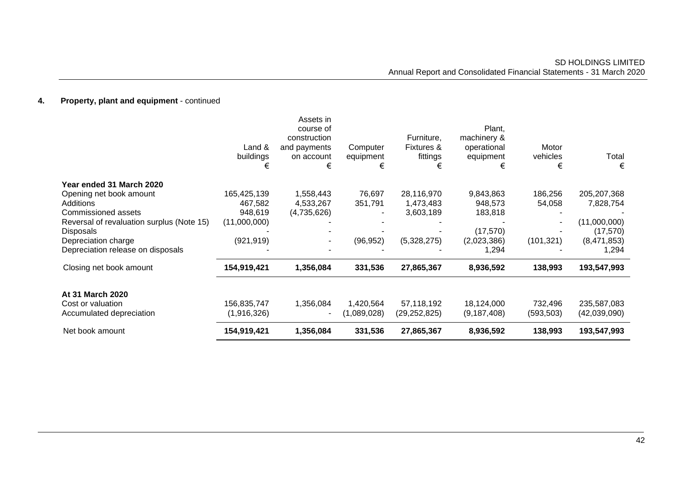|                                           | Land &<br>buildings<br>€ | Assets in<br>course of<br>construction<br>and payments<br>on account<br>€ | Computer<br>equipment<br>€ | Furniture,<br><b>Fixtures &amp;</b><br>fittings | Plant,<br>machinery &<br>operational<br>equipment<br>€ | Motor<br>vehicles<br>€ | Total<br>€   |
|-------------------------------------------|--------------------------|---------------------------------------------------------------------------|----------------------------|-------------------------------------------------|--------------------------------------------------------|------------------------|--------------|
| Year ended 31 March 2020                  |                          |                                                                           |                            |                                                 |                                                        |                        |              |
| Opening net book amount                   | 165,425,139              | 1,558,443                                                                 | 76,697                     | 28,116,970                                      | 9,843,863                                              | 186,256                | 205,207,368  |
| Additions                                 | 467,582                  | 4,533,267                                                                 | 351,791                    | 1,473,483                                       | 948,573                                                | 54,058                 | 7,828,754    |
| Commissioned assets                       | 948,619                  | (4,735,626)                                                               | $\overline{\phantom{a}}$   | 3,603,189                                       | 183,818                                                |                        |              |
| Reversal of revaluation surplus (Note 15) | (11,000,000)             |                                                                           |                            |                                                 |                                                        | $\sim$                 | (11,000,000) |
| <b>Disposals</b>                          |                          |                                                                           |                            |                                                 | (17, 570)                                              |                        | (17, 570)    |
| Depreciation charge                       | (921, 919)               |                                                                           | (96, 952)                  | (5,328,275)                                     | (2,023,386)                                            | (101, 321)             | (8,471,853)  |
| Depreciation release on disposals         |                          |                                                                           |                            |                                                 | 1,294                                                  |                        | 1,294        |
| Closing net book amount                   | 154,919,421              | 1,356,084                                                                 | 331,536                    | 27,865,367                                      | 8,936,592                                              | 138,993                | 193,547,993  |
| At 31 March 2020                          |                          |                                                                           |                            |                                                 |                                                        |                        |              |
| Cost or valuation                         | 156,835,747              | 1,356,084                                                                 | 1,420,564                  | 57,118,192                                      | 18,124,000                                             | 732,496                | 235,587,083  |
| Accumulated depreciation                  | (1,916,326)              | -                                                                         | (1,089,028)                | (29,252,825)                                    | (9, 187, 408)                                          | (593, 503)             | (42,039,090) |
| Net book amount                           | 154,919,421              | 1,356,084                                                                 | 331,536                    | 27,865,367                                      | 8,936,592                                              | 138,993                | 193,547,993  |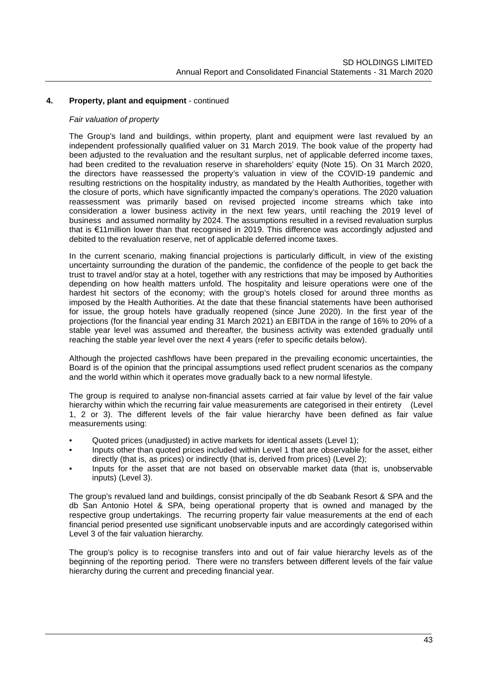#### *Fair valuation of property*

The Group's land and buildings, within property, plant and equipment were last revalued by an independent professionally qualified valuer on 31 March 2019. The book value of the property had been adjusted to the revaluation and the resultant surplus, net of applicable deferred income taxes, had been credited to the revaluation reserve in shareholders' equity (Note 15). On 31 March 2020, the directors have reassessed the property's valuation in view of the COVID-19 pandemic and resulting restrictions on the hospitality industry, as mandated by the Health Authorities, together with the closure of ports, which have significantly impacted the company's operations. The 2020 valuation reassessment was primarily based on revised projected income streams which take into consideration a lower business activity in the next few years, until reaching the 2019 level of business and assumed normality by 2024. The assumptions resulted in a revised revaluation surplus that is €11million lower than that recognised in 2019. This difference was accordingly adjusted and debited to the revaluation reserve, net of applicable deferred income taxes.

In the current scenario, making financial projections is particularly difficult, in view of the existing uncertainty surrounding the duration of the pandemic, the confidence of the people to get back the trust to travel and/or stay at a hotel, together with any restrictions that may be imposed by Authorities depending on how health matters unfold. The hospitality and leisure operations were one of the hardest hit sectors of the economy; with the group's hotels closed for around three months as imposed by the Health Authorities. At the date that these financial statements have been authorised for issue, the group hotels have gradually reopened (since June 2020). In the first year of the projections (for the financial year ending 31 March 2021) an EBITDA in the range of 16% to 20% of a stable year level was assumed and thereafter, the business activity was extended gradually until reaching the stable year level over the next 4 years (refer to specific details below).

Although the projected cashflows have been prepared in the prevailing economic uncertainties, the Board is of the opinion that the principal assumptions used reflect prudent scenarios as the company and the world within which it operates move gradually back to a new normal lifestyle.

The group is required to analyse non-financial assets carried at fair value by level of the fair value hierarchy within which the recurring fair value measurements are categorised in their entirety (Level 1, 2 or 3). The different levels of the fair value hierarchy have been defined as fair value measurements using:

- Quoted prices (unadjusted) in active markets for identical assets (Level 1);
- Inputs other than quoted prices included within Level 1 that are observable for the asset, either directly (that is, as prices) or indirectly (that is, derived from prices) (Level 2);
- Inputs for the asset that are not based on observable market data (that is, unobservable inputs) (Level 3).

The group's revalued land and buildings, consist principally of the db Seabank Resort & SPA and the db San Antonio Hotel & SPA, being operational property that is owned and managed by the respective group undertakings. The recurring property fair value measurements at the end of each financial period presented use significant unobservable inputs and are accordingly categorised within Level 3 of the fair valuation hierarchy.

The group's policy is to recognise transfers into and out of fair value hierarchy levels as of the beginning of the reporting period. There were no transfers between different levels of the fair value hierarchy during the current and preceding financial year.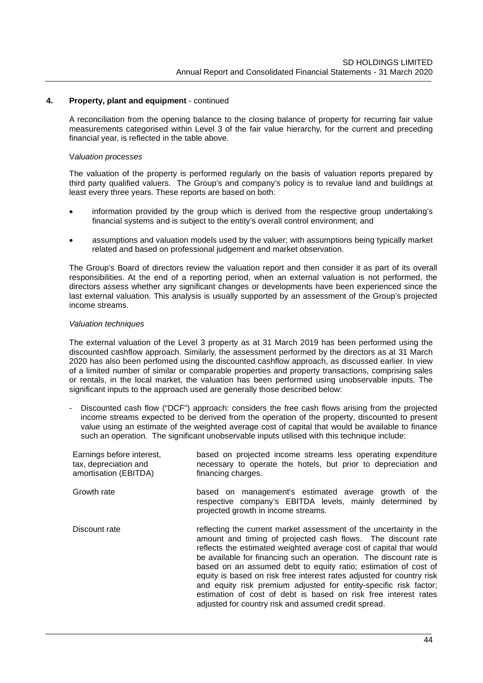A reconciliation from the opening balance to the closing balance of property for recurring fair value measurements categorised within Level 3 of the fair value hierarchy, for the current and preceding financial year, is reflected in the table above.

#### V*aluation processes*

The valuation of the property is performed regularly on the basis of valuation reports prepared by third party qualified valuers. The Group's and company's policy is to revalue land and buildings at least every three years. These reports are based on both:

- information provided by the group which is derived from the respective group undertaking's financial systems and is subject to the entity's overall control environment; and
- assumptions and valuation models used by the valuer; with assumptions being typically market related and based on professional judgement and market observation.

The Group's Board of directors review the valuation report and then consider it as part of its overall responsibilities. At the end of a reporting period, when an external valuation is not performed, the directors assess whether any significant changes or developments have been experienced since the last external valuation. This analysis is usually supported by an assessment of the Group's projected income streams.

#### *Valuation techniques*

The external valuation of the Level 3 property as at 31 March 2019 has been performed using the discounted cashflow approach. Similarly, the assessment performed by the directors as at 31 March 2020 has also been perfomed using the discounted cashflow approach, as discussed earlier. In view of a limited number of similar or comparable properties and property transactions, comprising sales or rentals, in the local market, the valuation has been performed using unobservable inputs. The significant inputs to the approach used are generally those described below:

- Discounted cash flow ("DCF") approach: considers the free cash flows arising from the projected income streams expected to be derived from the operation of the property, discounted to present value using an estimate of the weighted average cost of capital that would be available to finance such an operation. The significant unobservable inputs utilised with this technique include:

| Earnings before interest,<br>tax, depreciation and<br>amortisation (EBITDA) | based on projected income streams less operating expenditure<br>necessary to operate the hotels, but prior to depreciation and<br>financing charges.                                                                                                                                                                                                                                                                                                                                                                                                                                                                       |
|-----------------------------------------------------------------------------|----------------------------------------------------------------------------------------------------------------------------------------------------------------------------------------------------------------------------------------------------------------------------------------------------------------------------------------------------------------------------------------------------------------------------------------------------------------------------------------------------------------------------------------------------------------------------------------------------------------------------|
| Growth rate                                                                 | based on management's estimated average growth of the<br>respective company's EBITDA levels, mainly determined by<br>projected growth in income streams.                                                                                                                                                                                                                                                                                                                                                                                                                                                                   |
| Discount rate                                                               | reflecting the current market assessment of the uncertainty in the<br>amount and timing of projected cash flows. The discount rate<br>reflects the estimated weighted average cost of capital that would<br>be available for financing such an operation. The discount rate is<br>based on an assumed debt to equity ratio; estimation of cost of<br>equity is based on risk free interest rates adjusted for country risk<br>and equity risk premium adjusted for entity-specific risk factor;<br>estimation of cost of debt is based on risk free interest rates<br>adjusted for country risk and assumed credit spread. |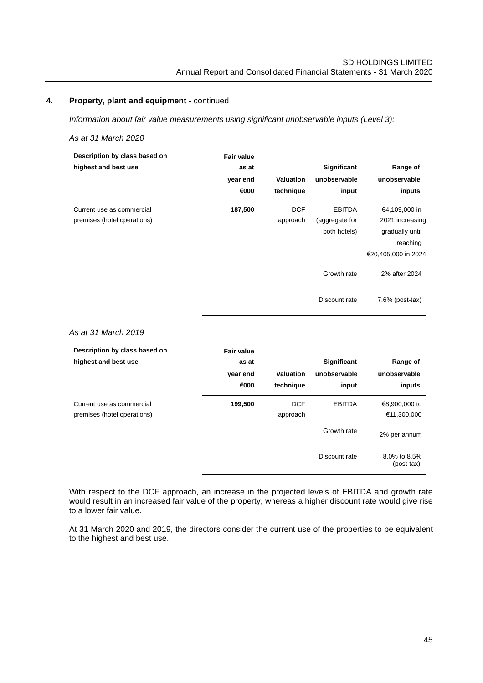*Information about fair value measurements using significant unobservable inputs (Level 3):*

## *As at 31 March 2020*

| Description by class based on | <b>Fair value</b> |                  |                    |                     |
|-------------------------------|-------------------|------------------|--------------------|---------------------|
| highest and best use          | as at             |                  | <b>Significant</b> | Range of            |
|                               | year end          | <b>Valuation</b> | unobservable       | unobservable        |
|                               | €000              | technique        | input              | inputs              |
| Current use as commercial     | 187,500           | <b>DCF</b>       | <b>EBITDA</b>      | €4,109,000 in       |
| premises (hotel operations)   |                   | approach         | (aggregate for     | 2021 increasing     |
|                               |                   |                  | both hotels)       | gradually until     |
|                               |                   |                  |                    | reaching            |
|                               |                   |                  |                    | €20,405,000 in 2024 |
|                               |                   |                  | Growth rate        | 2% after 2024       |
|                               |                   |                  | Discount rate      | $7.6\%$ (post-tax)  |

#### *As at 31 March 2019*

| Description by class based on<br>highest and best use    | <b>Fair value</b><br>as at<br>year end<br>€000 | <b>Valuation</b><br>technique | <b>Significant</b><br>unobservable<br>input | Range of<br>unobservable<br>inputs |
|----------------------------------------------------------|------------------------------------------------|-------------------------------|---------------------------------------------|------------------------------------|
| Current use as commercial<br>premises (hotel operations) | 199,500                                        | <b>DCF</b><br>approach        | <b>EBITDA</b>                               | €8,900,000 to<br>€11,300,000       |
|                                                          |                                                |                               | Growth rate                                 | 2% per annum                       |
|                                                          |                                                |                               | Discount rate                               | 8.0% to 8.5%<br>(post-tax)         |

With respect to the DCF approach, an increase in the projected levels of EBITDA and growth rate would result in an increased fair value of the property, whereas a higher discount rate would give rise to a lower fair value.

At 31 March 2020 and 2019, the directors consider the current use of the properties to be equivalent to the highest and best use.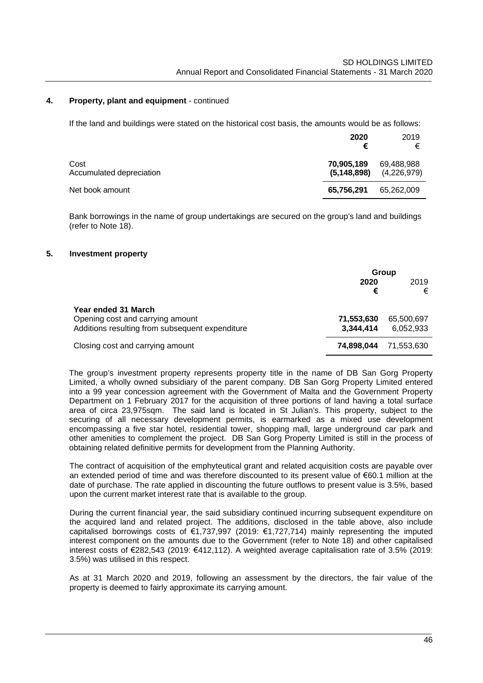If the land and buildings were stated on the historical cost basis, the amounts would be as follows:

|                                  | 2020<br>€                   | 2019<br>€                 |
|----------------------------------|-----------------------------|---------------------------|
| Cost<br>Accumulated depreciation | 70,905,189<br>(5, 148, 898) | 69,488,988<br>(4,226,979) |
| Net book amount                  | 65,756,291                  | 65.262.009                |

Bank borrowings in the name of group undertakings are secured on the group's land and buildings (refer to Note 18).

#### **5. Investment property**

|                                                                                                            | Group                   |                         |
|------------------------------------------------------------------------------------------------------------|-------------------------|-------------------------|
|                                                                                                            | 2020<br>€               | 2019<br>€               |
| Year ended 31 March<br>Opening cost and carrying amount<br>Additions resulting from subsequent expenditure | 71,553,630<br>3.344.414 | 65.500.697<br>6.052.933 |
| Closing cost and carrying amount                                                                           | 74,898,044              | 71.553.630              |

The group's investment property represents property title in the name of DB San Gorg Property Limited, a wholly owned subsidiary of the parent company. DB San Gorg Property Limited entered into a 99 year concession agreement with the Government of Malta and the Government Property Department on 1 February 2017 for the acquisition of three portions of land having a total surface area of circa 23,975sqm. The said land is located in St Julian's. This property, subject to the securing of all necessary development permits, is earmarked as a mixed use development encompassing a five star hotel, residential tower, shopping mall, large underground car park and other amenities to complement the project. DB San Gorg Property Limited is still in the process of obtaining related definitive permits for development from the Planning Authority.

The contract of acquisition of the emphyteutical grant and related acquisition costs are payable over an extended period of time and was therefore discounted to its present value of €60.1 million at the date of purchase. The rate applied in discounting the future outflows to present value is 3.5%, based upon the current market interest rate that is available to the group.

During the current financial year, the said subsidiary continued incurring subsequent expenditure on the acquired land and related project. The additions, disclosed in the table above, also include capitalised borrowings costs of  $\epsilon$ 1,737,997 (2019:  $\epsilon$ 1,727,714) mainly representing the imputed interest component on the amounts due to the Government (refer to Note 18) and other capitalised interest costs of €282,543 (2019: €412,112). A weighted average capitalisation rate of 3.5% (2019: 3.5%) was utilised in this respect.

As at 31 March 2020 and 2019, following an assessment by the directors, the fair value of the property is deemed to fairly approximate its carrying amount.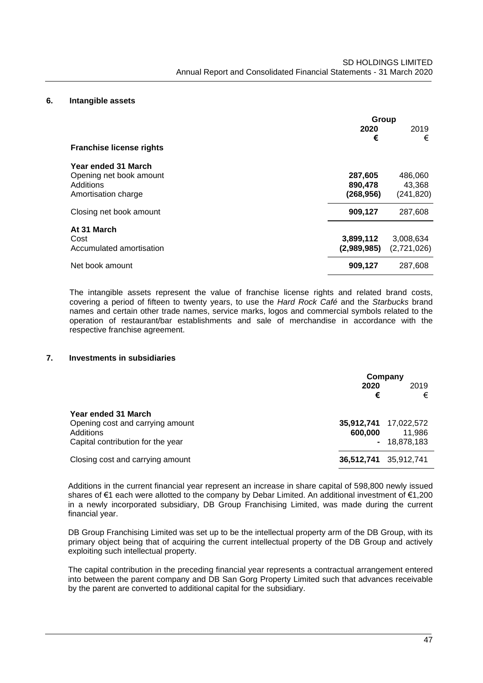#### **6. Intangible assets**

|                                                                                    | Group<br>2020<br>€              | 2019<br>€                       |
|------------------------------------------------------------------------------------|---------------------------------|---------------------------------|
| <b>Franchise license rights</b>                                                    |                                 |                                 |
| Year ended 31 March<br>Opening net book amount<br>Additions<br>Amortisation charge | 287,605<br>890,478<br>(268,956) | 486,060<br>43,368<br>(241, 820) |
| Closing net book amount                                                            | 909,127                         | 287,608                         |
| At 31 March<br>Cost<br>Accumulated amortisation                                    | 3,899,112<br>(2,989,985)        | 3,008,634<br>(2,721,026)        |
| Net book amount                                                                    | 909,127                         | 287.608                         |

The intangible assets represent the value of franchise license rights and related brand costs, covering a period of fifteen to twenty years, to use the *Hard Rock Café* and the *Starbucks* brand names and certain other trade names, service marks, logos and commercial symbols related to the operation of restaurant/bar establishments and sale of merchandise in accordance with the respective franchise agreement.

#### **7. Investments in subsidiaries**

|                                   | Company               |               |
|-----------------------------------|-----------------------|---------------|
|                                   | 2020<br>€             | 2019<br>€     |
| Year ended 31 March               |                       |               |
| Opening cost and carrying amount  | 35,912,741            | 17,022,572    |
| Additions                         | 600,000               | 11.986        |
| Capital contribution for the year |                       | $-18,878,183$ |
| Closing cost and carrying amount  | 36,512,741 35,912,741 |               |

Additions in the current financial year represent an increase in share capital of 598,800 newly issued shares of €1 each were allotted to the company by Debar Limited. An additional investment of €1,200 in a newly incorporated subsidiary, DB Group Franchising Limited, was made during the current financial year.

DB Group Franchising Limited was set up to be the intellectual property arm of the DB Group, with its primary object being that of acquiring the current intellectual property of the DB Group and actively exploiting such intellectual property.

The capital contribution in the preceding financial year represents a contractual arrangement entered into between the parent company and DB San Gorg Property Limited such that advances receivable by the parent are converted to additional capital for the subsidiary.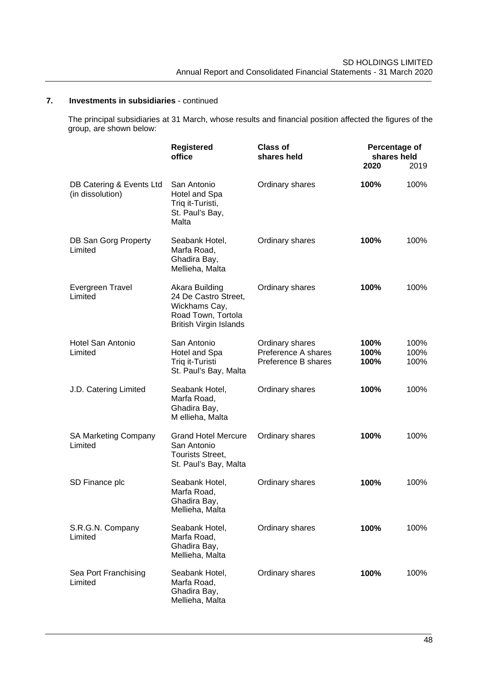### **7. Investments in subsidiaries** - continued

The principal subsidiaries at 31 March, whose results and financial position affected the figures of the group, are shown below:

|                                              | <b>Registered</b><br>office                                                                                    | <b>Class of</b><br>shares held                                | Percentage of<br>shares held<br>2020 | 2019                 |
|----------------------------------------------|----------------------------------------------------------------------------------------------------------------|---------------------------------------------------------------|--------------------------------------|----------------------|
| DB Catering & Events Ltd<br>(in dissolution) | San Antonio<br>Hotel and Spa<br>Triq it-Turisti,<br>St. Paul's Bay,<br>Malta                                   | Ordinary shares                                               | 100%                                 | 100%                 |
| DB San Gorg Property<br>Limited              | Seabank Hotel,<br>Marfa Road,<br>Ghadira Bay,<br>Mellieha, Malta                                               | Ordinary shares                                               | 100%                                 | 100%                 |
| Evergreen Travel<br>Limited                  | Akara Building<br>24 De Castro Street,<br>Wickhams Cay,<br>Road Town, Tortola<br><b>British Virgin Islands</b> | Ordinary shares                                               | 100%                                 | 100%                 |
| <b>Hotel San Antonio</b><br>Limited          | San Antonio<br>Hotel and Spa<br>Triq it-Turisti<br>St. Paul's Bay, Malta                                       | Ordinary shares<br>Preference A shares<br>Preference B shares | 100%<br>100%<br>100%                 | 100%<br>100%<br>100% |
| J.D. Catering Limited                        | Seabank Hotel,<br>Marfa Road,<br>Ghadira Bay,<br>M ellieha, Malta                                              | Ordinary shares                                               | 100%                                 | 100%                 |
| <b>SA Marketing Company</b><br>Limited       | <b>Grand Hotel Mercure</b><br>San Antonio<br><b>Tourists Street,</b><br>St. Paul's Bay, Malta                  | Ordinary shares                                               | 100%                                 | 100%                 |
| SD Finance plc                               | Seabank Hotel,<br>Marfa Road,<br>Ghadira Bay,<br>Mellieha, Malta                                               | Ordinary shares                                               | 100%                                 | 100%                 |
| S.R.G.N. Company<br>Limited                  | Seabank Hotel,<br>Marfa Road,<br>Ghadira Bay,<br>Mellieha, Malta                                               | Ordinary shares                                               | 100%                                 | 100%                 |
| Sea Port Franchising<br>Limited              | Seabank Hotel,<br>Marfa Road,<br>Ghadira Bay,<br>Mellieha, Malta                                               | Ordinary shares                                               | 100%                                 | 100%                 |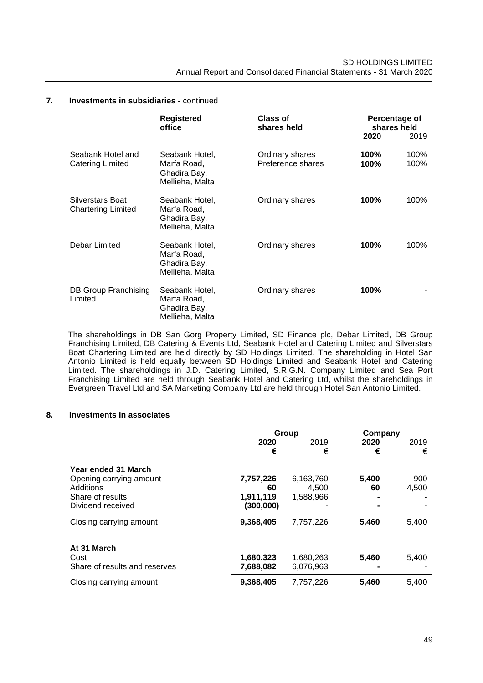#### **7. Investments in subsidiaries** - continued

|                                               | <b>Registered</b><br>office                                      | Class of<br>shares held              | Percentage of<br>shares held<br>2020 | 2019         |
|-----------------------------------------------|------------------------------------------------------------------|--------------------------------------|--------------------------------------|--------------|
| Seabank Hotel and<br>Catering Limited         | Seabank Hotel,<br>Marfa Road,<br>Ghadira Bay,<br>Mellieha, Malta | Ordinary shares<br>Preference shares | 100%<br>100%                         | 100%<br>100% |
| Silverstars Boat<br><b>Chartering Limited</b> | Seabank Hotel,<br>Marfa Road,<br>Ghadira Bay,<br>Mellieha, Malta | Ordinary shares                      | 100%                                 | 100%         |
| Debar Limited                                 | Seabank Hotel,<br>Marfa Road,<br>Ghadira Bay,<br>Mellieha, Malta | Ordinary shares                      | 100%                                 | 100%         |
| DB Group Franchising<br>Limited               | Seabank Hotel,<br>Marfa Road,<br>Ghadira Bay,<br>Mellieha, Malta | Ordinary shares                      | 100%                                 |              |

The shareholdings in DB San Gorg Property Limited, SD Finance plc, Debar Limited, DB Group Franchising Limited, DB Catering & Events Ltd, Seabank Hotel and Catering Limited and Silverstars Boat Chartering Limited are held directly by SD Holdings Limited. The shareholding in Hotel San Antonio Limited is held equally between SD Holdings Limited and Seabank Hotel and Catering Limited. The shareholdings in J.D. Catering Limited, S.R.G.N. Company Limited and Sea Port Franchising Limited are held through Seabank Hotel and Catering Ltd, whilst the shareholdings in Evergreen Travel Ltd and SA Marketing Company Ltd are held through Hotel San Antonio Limited.

#### **8. Investments in associates**

|                               | Group     |           | Company |       |
|-------------------------------|-----------|-----------|---------|-------|
|                               | 2020      | 2019      | 2020    | 2019  |
|                               | €         | €         | €       | €     |
| Year ended 31 March           |           |           |         |       |
| Opening carrying amount       | 7,757,226 | 6,163,760 | 5,400   | 900   |
| Additions                     | 60        | 4,500     | 60      | 4,500 |
| Share of results              | 1,911,119 | 1,588,966 |         |       |
| Dividend received             | (300,000) |           |         |       |
| Closing carrying amount       | 9,368,405 | 7,757,226 | 5,460   | 5,400 |
| At 31 March                   |           |           |         |       |
| Cost                          | 1,680,323 | 1,680,263 | 5,460   | 5,400 |
| Share of results and reserves | 7,688,082 | 6,076,963 |         |       |
| Closing carrying amount       | 9,368,405 | 7,757,226 | 5,460   | 5,400 |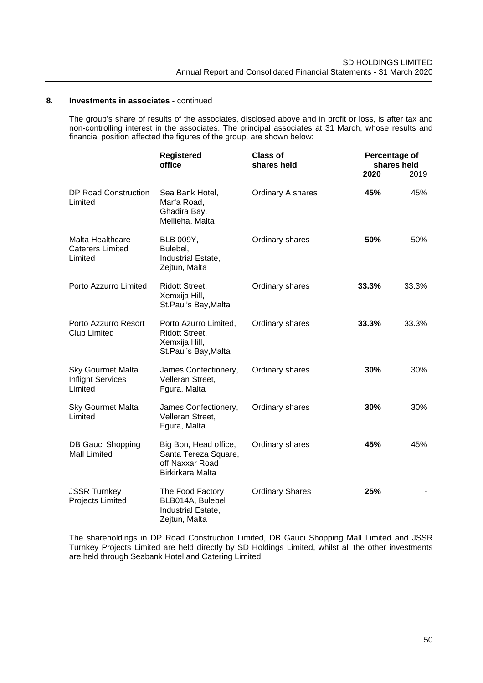#### **8. Investments in associates** - continued

The group's share of results of the associates, disclosed above and in profit or loss, is after tax and non-controlling interest in the associates. The principal associates at 31 March, whose results and financial position affected the figures of the group, are shown below:

|                                                                 | <b>Registered</b><br>office                                                             | Class of<br>shares held | 2020  | Percentage of<br>shares held<br>2019 |
|-----------------------------------------------------------------|-----------------------------------------------------------------------------------------|-------------------------|-------|--------------------------------------|
| DP Road Construction<br>Limited                                 | Sea Bank Hotel,<br>Marfa Road,<br>Ghadira Bay,<br>Mellieha, Malta                       | Ordinary A shares       | 45%   | 45%                                  |
| Malta Healthcare<br><b>Caterers Limited</b><br>Limited          | BLB 009Y,<br>Bulebel,<br>Industrial Estate,<br>Zejtun, Malta                            | Ordinary shares         | 50%   | 50%                                  |
| Porto Azzurro Limited                                           | <b>Ridott Street,</b><br>Xemxija Hill,<br>St.Paul's Bay, Malta                          | Ordinary shares         | 33.3% | 33.3%                                |
| Porto Azzurro Resort<br><b>Club Limited</b>                     | Porto Azurro Limited,<br><b>Ridott Street,</b><br>Xemxija Hill,<br>St.Paul's Bay, Malta | Ordinary shares         | 33.3% | 33.3%                                |
| <b>Sky Gourmet Malta</b><br><b>Inflight Services</b><br>Limited | James Confectionery,<br>Velleran Street,<br>Fgura, Malta                                | Ordinary shares         | 30%   | 30%                                  |
| <b>Sky Gourmet Malta</b><br>Limited                             | James Confectionery,<br>Velleran Street,<br>Fgura, Malta                                | Ordinary shares         | 30%   | 30%                                  |
| DB Gauci Shopping<br><b>Mall Limited</b>                        | Big Bon, Head office,<br>Santa Tereza Square,<br>off Naxxar Road<br>Birkirkara Malta    | Ordinary shares         | 45%   | 45%                                  |
| <b>JSSR Turnkey</b><br>Projects Limited                         | The Food Factory<br>BLB014A, Bulebel<br>Industrial Estate,<br>Zejtun, Malta             | <b>Ordinary Shares</b>  | 25%   |                                      |

The shareholdings in DP Road Construction Limited, DB Gauci Shopping Mall Limited and JSSR Turnkey Projects Limited are held directly by SD Holdings Limited, whilst all the other investments are held through Seabank Hotel and Catering Limited.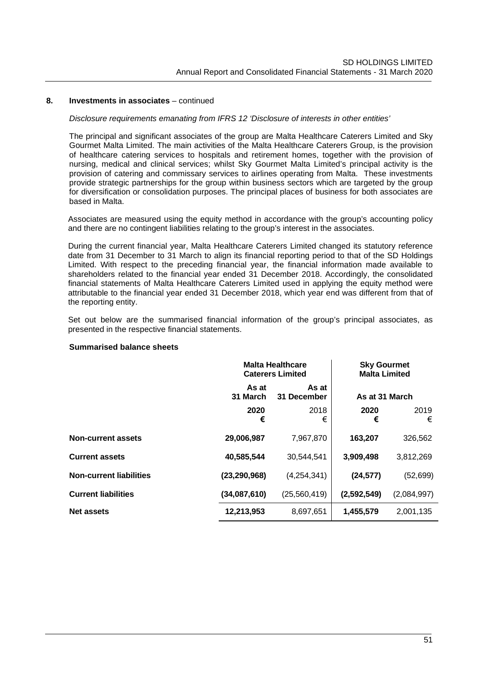#### **8. Investments in associates** – continued

#### *Disclosure requirements emanating from IFRS 12 'Disclosure of interests in other entities'*

The principal and significant associates of the group are Malta Healthcare Caterers Limited and Sky Gourmet Malta Limited. The main activities of the Malta Healthcare Caterers Group, is the provision of healthcare catering services to hospitals and retirement homes, together with the provision of nursing, medical and clinical services; whilst Sky Gourmet Malta Limited's principal activity is the provision of catering and commissary services to airlines operating from Malta. These investments provide strategic partnerships for the group within business sectors which are targeted by the group for diversification or consolidation purposes. The principal places of business for both associates are based in Malta.

Associates are measured using the equity method in accordance with the group's accounting policy and there are no contingent liabilities relating to the group's interest in the associates.

During the current financial year, Malta Healthcare Caterers Limited changed its statutory reference date from 31 December to 31 March to align its financial reporting period to that of the SD Holdings Limited. With respect to the preceding financial year, the financial information made available to shareholders related to the financial year ended 31 December 2018. Accordingly, the consolidated financial statements of Malta Healthcare Caterers Limited used in applying the equity method were attributable to the financial year ended 31 December 2018, which year end was different from that of the reporting entity.

Set out below are the summarised financial information of the group's principal associates, as presented in the respective financial statements.

#### **Summarised balance sheets**

|                                | <b>Malta Healthcare</b><br><b>Caterers Limited</b> |              | <b>Sky Gourmet</b><br><b>Malta Limited</b> |             |
|--------------------------------|----------------------------------------------------|--------------|--------------------------------------------|-------------|
|                                | As at<br>As at<br>31 March<br>31 December          |              | As at 31 March                             |             |
|                                | 2020<br>€                                          | 2018<br>€    | 2020<br>€                                  | 2019<br>€   |
| <b>Non-current assets</b>      | 29,006,987                                         | 7,967,870    | 163,207                                    | 326,562     |
| <b>Current assets</b>          | 40,585,544                                         | 30,544,541   | 3,909,498                                  | 3,812,269   |
| <b>Non-current liabilities</b> | (23, 290, 968)                                     | (4,254,341)  | (24, 577)                                  | (52, 699)   |
| <b>Current liabilities</b>     | (34,087,610)                                       | (25,560,419) | (2,592,549)                                | (2,084,997) |
| <b>Net assets</b>              | 12,213,953                                         | 8,697,651    | 1,455,579                                  | 2,001,135   |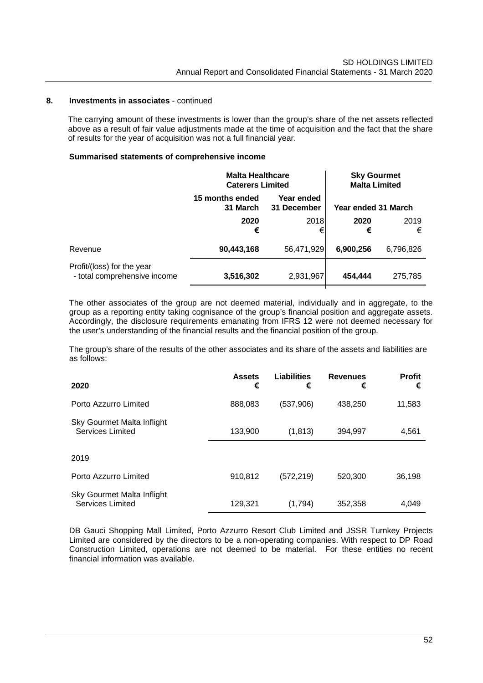#### **8. Investments in associates** - continued

The carrying amount of these investments is lower than the group's share of the net assets reflected above as a result of fair value adjustments made at the time of acquisition and the fact that the share of results for the year of acquisition was not a full financial year.

#### **Summarised statements of comprehensive income**

|                                                            | <b>Malta Healthcare</b><br><b>Caterers Limited</b> |                           | <b>Sky Gourmet</b><br><b>Malta Limited</b> |           |
|------------------------------------------------------------|----------------------------------------------------|---------------------------|--------------------------------------------|-----------|
|                                                            | 15 months ended<br>31 March                        | Year ended<br>31 December | Year ended 31 March                        |           |
|                                                            | 2020<br>€                                          | 2018<br>€                 | 2020<br>€                                  | 2019<br>€ |
| Revenue                                                    | 90,443,168                                         | 56,471,929                | 6,900,256                                  | 6,796,826 |
| Profit/(loss) for the year<br>- total comprehensive income | 3,516,302                                          | 2,931,967                 | 454,444                                    | 275,785   |

The other associates of the group are not deemed material, individually and in aggregate, to the group as a reporting entity taking cognisance of the group's financial position and aggregate assets. Accordingly, the disclosure requirements emanating from IFRS 12 were not deemed necessary for the user's understanding of the financial results and the financial position of the group.

The group's share of the results of the other associates and its share of the assets and liabilities are as follows:

| 2020                                           | <b>Assets</b><br>€ | Liabilities<br>€ | <b>Revenues</b><br>€ | <b>Profit</b><br>€ |
|------------------------------------------------|--------------------|------------------|----------------------|--------------------|
| Porto Azzurro Limited                          | 888,083            | (537,906)        | 438,250              | 11,583             |
| Sky Gourmet Malta Inflight<br>Services Limited | 133,900            | (1, 813)         | 394,997              | 4,561              |
| 2019                                           |                    |                  |                      |                    |
| Porto Azzurro Limited                          | 910,812            | (572, 219)       | 520,300              | 36,198             |
| Sky Gourmet Malta Inflight<br>Services Limited | 129,321            | (1,794)          | 352,358              | 4,049              |

DB Gauci Shopping Mall Limited, Porto Azzurro Resort Club Limited and JSSR Turnkey Projects Limited are considered by the directors to be a non-operating companies. With respect to DP Road Construction Limited, operations are not deemed to be material. For these entities no recent financial information was available.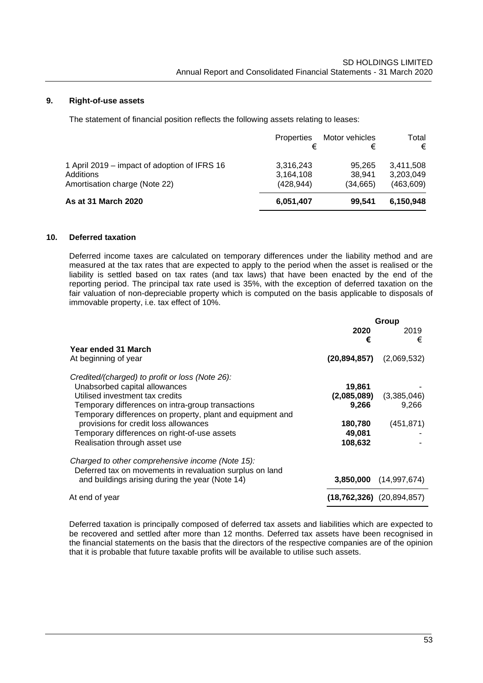#### **9. Right-of-use assets**

The statement of financial position reflects the following assets relating to leases:

|                                              | Properties | Motor vehicles | Total     |
|----------------------------------------------|------------|----------------|-----------|
|                                              | €          | €              | €         |
| 1 April 2019 – impact of adoption of IFRS 16 | 3,316,243  | 95.265         | 3,411,508 |
| Additions                                    | 3,164,108  | 38.941         | 3,203,049 |
| Amortisation charge (Note 22)                | (428, 944) | (34,665)       | (463,609) |
| As at 31 March 2020                          | 6,051,407  | 99.541         | 6,150,948 |

#### **10. Deferred taxation**

Deferred income taxes are calculated on temporary differences under the liability method and are measured at the tax rates that are expected to apply to the period when the asset is realised or the liability is settled based on tax rates (and tax laws) that have been enacted by the end of the reporting period. The principal tax rate used is 35%, with the exception of deferred taxation on the fair valuation of non-depreciable property which is computed on the basis applicable to disposals of immovable property, i.e. tax effect of 10%.

|                                                                                                              |                | Group                             |
|--------------------------------------------------------------------------------------------------------------|----------------|-----------------------------------|
|                                                                                                              | 2020           | 2019                              |
|                                                                                                              | €              | €                                 |
| Year ended 31 March                                                                                          |                |                                   |
| At beginning of year                                                                                         | (20, 894, 857) | (2,069,532)                       |
| Credited/(charged) to profit or loss (Note 26):                                                              |                |                                   |
| Unabsorbed capital allowances                                                                                | 19,861         |                                   |
| Utilised investment tax credits                                                                              | (2,085,089)    | (3,385,046)                       |
| Temporary differences on intra-group transactions                                                            | 9,266          | 9,266                             |
| Temporary differences on property, plant and equipment and                                                   |                |                                   |
| provisions for credit loss allowances                                                                        | 180,780        | (451, 871)                        |
| Temporary differences on right-of-use assets                                                                 | 49,081         |                                   |
| Realisation through asset use                                                                                | 108,632        |                                   |
| Charged to other comprehensive income (Note 15):<br>Deferred tax on movements in revaluation surplus on land |                |                                   |
| and buildings arising during the year (Note 14)                                                              |                | <b>3,850,000</b> (14,997,674)     |
| At end of year                                                                                               |                | $(18, 762, 326)$ $(20, 894, 857)$ |

Deferred taxation is principally composed of deferred tax assets and liabilities which are expected to be recovered and settled after more than 12 months. Deferred tax assets have been recognised in the financial statements on the basis that the directors of the respective companies are of the opinion that it is probable that future taxable profits will be available to utilise such assets.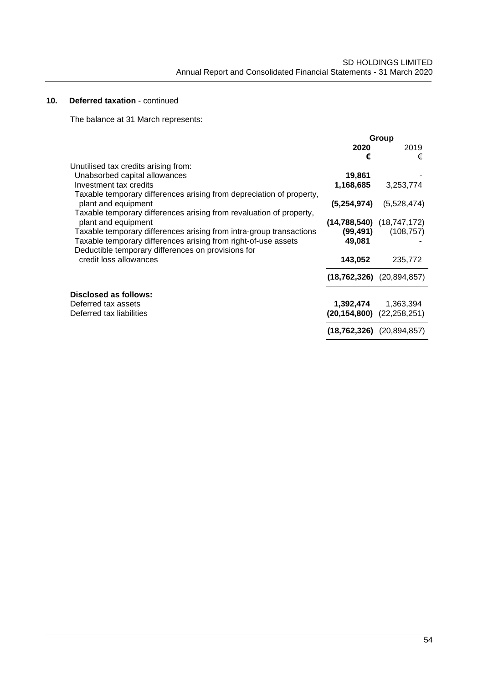### **10. Deferred taxation** - continued

The balance at 31 March represents:

|                                                                                  | Group       |
|----------------------------------------------------------------------------------|-------------|
| 2020<br>€                                                                        | 2019<br>€   |
| Unutilised tax credits arising from:                                             |             |
| Unabsorbed capital allowances<br>19,861                                          |             |
| Investment tax credits<br>1,168,685                                              | 3,253,774   |
| Taxable temporary differences arising from depreciation of property,             |             |
| plant and equipment<br>(5,254,974)                                               | (5,528,474) |
| Taxable temporary differences arising from revaluation of property,              |             |
| plant and equipment<br>$(14,788,540)$ $(18,747,172)$                             |             |
| (99, 491)<br>Taxable temporary differences arising from intra-group transactions | (108, 757)  |
| Taxable temporary differences arising from right-of-use assets<br>49,081         |             |
| Deductible temporary differences on provisions for                               |             |
| credit loss allowances<br>143,052                                                | 235,772     |
| $(18, 762, 326)$ $(20, 894, 857)$                                                |             |
| Disclosed as follows:                                                            |             |
| Deferred tax assets<br>1,392,474                                                 | 1,363,394   |
| $(20, 154, 800)$ $(22, 258, 251)$<br>Deferred tax liabilities                    |             |
| $(18, 762, 326)$ $(20, 894, 857)$                                                |             |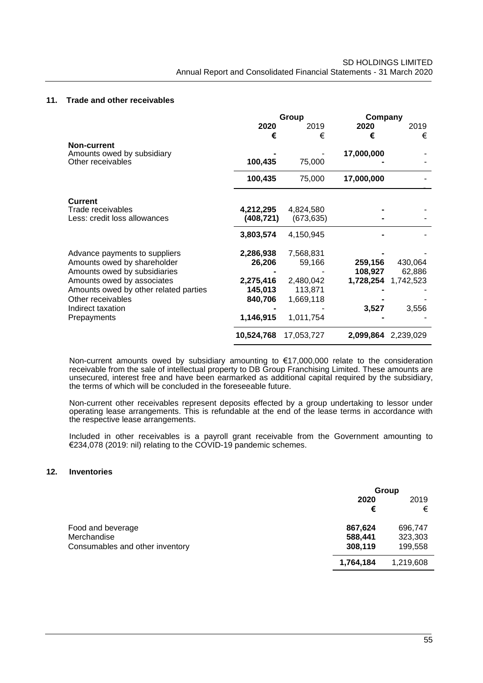#### **11. Trade and other receivables**

|                                                 | Group      |            | Company    |           |
|-------------------------------------------------|------------|------------|------------|-----------|
|                                                 | 2020       | 2019       | 2020       | 2019      |
|                                                 | €          | €          | €          | €         |
| Non-current                                     |            |            |            |           |
| Amounts owed by subsidiary<br>Other receivables | 100,435    | 75,000     | 17,000,000 |           |
|                                                 |            |            |            |           |
|                                                 | 100,435    | 75,000     | 17,000,000 |           |
| <b>Current</b>                                  |            |            |            |           |
| Trade receivables                               | 4,212,295  | 4,824,580  |            |           |
| Less: credit loss allowances                    | (408, 721) | (673,635)  |            |           |
|                                                 | 3,803,574  | 4,150,945  |            |           |
| Advance payments to suppliers                   | 2,286,938  | 7,568,831  |            |           |
| Amounts owed by shareholder                     | 26,206     | 59,166     | 259,156    | 430,064   |
| Amounts owed by subsidiaries                    |            |            | 108,927    | 62,886    |
| Amounts owed by associates                      | 2,275,416  | 2,480,042  | 1,728,254  | 1,742,523 |
| Amounts owed by other related parties           | 145,013    | 113,871    |            |           |
| Other receivables                               | 840,706    | 1,669,118  |            |           |
| Indirect taxation                               |            |            | 3,527      | 3,556     |
| Prepayments                                     | 1,146,915  | 1,011,754  |            |           |
|                                                 | 10,524,768 | 17,053,727 | 2,099,864  | 2,239,029 |

Non-current amounts owed by subsidiary amounting to €17,000,000 relate to the consideration receivable from the sale of intellectual property to DB Group Franchising Limited. These amounts are unsecured, interest free and have been earmarked as additional capital required by the subsidiary, the terms of which will be concluded in the foreseeable future.

Non-current other receivables represent deposits effected by a group undertaking to lessor under operating lease arrangements. This is refundable at the end of the lease terms in accordance with the respective lease arrangements.

Included in other receivables is a payroll grant receivable from the Government amounting to €234,078 (2019: nil) relating to the COVID-19 pandemic schemes.

#### **12. Inventories**

|                                                                     |                               | Group                         |  |
|---------------------------------------------------------------------|-------------------------------|-------------------------------|--|
|                                                                     | 2020<br>€                     | 2019<br>€                     |  |
| Food and beverage<br>Merchandise<br>Consumables and other inventory | 867,624<br>588,441<br>308,119 | 696,747<br>323,303<br>199,558 |  |
|                                                                     | 1,764,184                     | 1,219,608                     |  |
|                                                                     |                               |                               |  |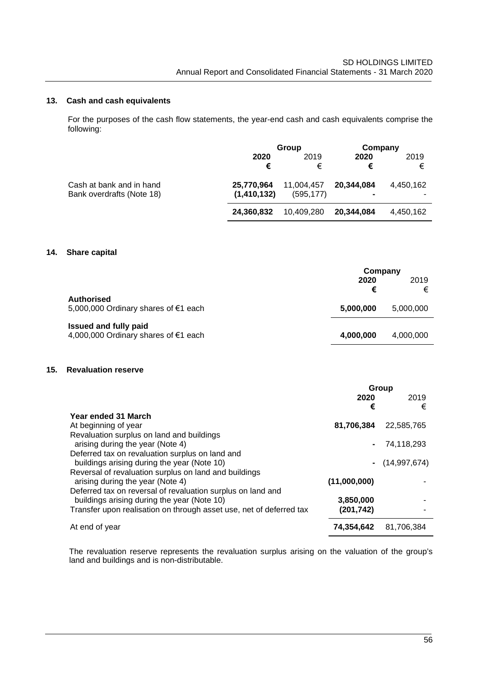#### **13. Cash and cash equivalents**

For the purposes of the cash flow statements, the year-end cash and cash equivalents comprise the following:

|                           |               | Group      |            | Company   |
|---------------------------|---------------|------------|------------|-----------|
|                           | 2020          | 2019       | 2020       | 2019      |
|                           | €             | €          | €          | €         |
| Cash at bank and in hand  | 25,770,964    | 11,004,457 | 20.344.084 | 4.450.162 |
| Bank overdrafts (Note 18) | (1, 410, 132) | (595, 177) |            |           |
|                           | 24.360.832    | 10,409,280 | 20.344.084 | 4,450,162 |

#### **14. Share capital**

|                                                                      | Company   |           |
|----------------------------------------------------------------------|-----------|-----------|
|                                                                      | 2020      | 2019      |
| <b>Authorised</b>                                                    | €         | €         |
| 5,000,000 Ordinary shares of €1 each                                 | 5,000,000 | 5.000.000 |
| <b>Issued and fully paid</b><br>4,000,000 Ordinary shares of €1 each | 4,000,000 | 4,000,000 |

#### **15. Revaluation reserve**

|                                                                                           | Group          |                  |
|-------------------------------------------------------------------------------------------|----------------|------------------|
|                                                                                           | 2020<br>€      | 2019<br>€        |
| Year ended 31 March                                                                       |                |                  |
| At beginning of year                                                                      | 81,706,384     | 22,585,765       |
| Revaluation surplus on land and buildings                                                 |                |                  |
| arising during the year (Note 4)                                                          | $\blacksquare$ | 74,118,293       |
| Deferred tax on revaluation surplus on land and                                           |                |                  |
| buildings arising during the year (Note 10)                                               |                | $-$ (14,997,674) |
| Reversal of revaluation surplus on land and buildings<br>arising during the year (Note 4) | (11,000,000)   |                  |
| Deferred tax on reversal of revaluation surplus on land and                               |                |                  |
| buildings arising during the year (Note 10)                                               | 3,850,000      |                  |
| Transfer upon realisation on through asset use, net of deferred tax                       | (201,742)      |                  |
| At end of year                                                                            | 74,354,642     | 81.706.384       |

The revaluation reserve represents the revaluation surplus arising on the valuation of the group's land and buildings and is non-distributable.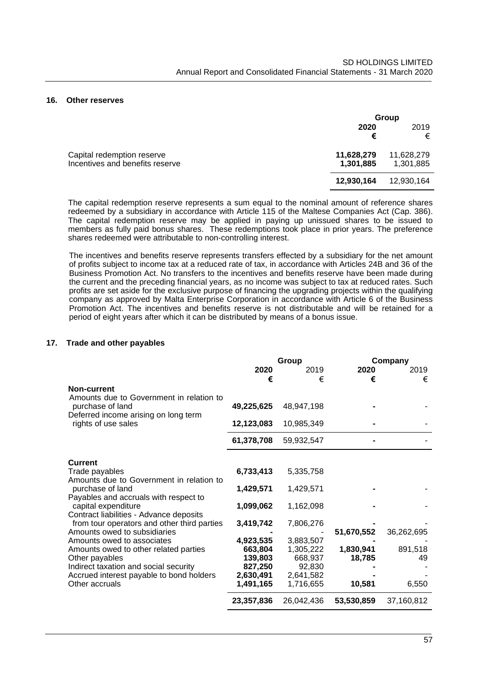#### **16. Other reserves**

|                                                               | Group                   |                         |  |
|---------------------------------------------------------------|-------------------------|-------------------------|--|
|                                                               | 2020<br>€               | 2019<br>€               |  |
| Capital redemption reserve<br>Incentives and benefits reserve | 11,628,279<br>1,301,885 | 11,628,279<br>1,301,885 |  |
|                                                               | 12,930,164              | 12,930,164              |  |

The capital redemption reserve represents a sum equal to the nominal amount of reference shares redeemed by a subsidiary in accordance with Article 115 of the Maltese Companies Act (Cap. 386). The capital redemption reserve may be applied in paying up unissued shares to be issued to members as fully paid bonus shares. These redemptions took place in prior years. The preference shares redeemed were attributable to non-controlling interest.

The incentives and benefits reserve represents transfers effected by a subsidiary for the net amount of profits subject to income tax at a reduced rate of tax, in accordance with Articles 24B and 36 of the Business Promotion Act. No transfers to the incentives and benefits reserve have been made during the current and the preceding financial years, as no income was subject to tax at reduced rates. Such profits are set aside for the exclusive purpose of financing the upgrading projects within the qualifying company as approved by Malta Enterprise Corporation in accordance with Article 6 of the Business Promotion Act. The incentives and benefits reserve is not distributable and will be retained for a period of eight years after which it can be distributed by means of a bonus issue.

#### **17. Trade and other payables**

|                                                              | Group      |            | Company    |            |
|--------------------------------------------------------------|------------|------------|------------|------------|
|                                                              | 2020       | 2019       | 2020       | 2019       |
|                                                              | €          | €          | €          | €          |
| <b>Non-current</b>                                           |            |            |            |            |
| Amounts due to Government in relation to                     |            |            |            |            |
| purchase of land                                             | 49,225,625 | 48,947,198 |            |            |
| Deferred income arising on long term<br>rights of use sales  | 12,123,083 | 10,985,349 |            |            |
|                                                              |            |            |            |            |
|                                                              | 61,378,708 | 59,932,547 |            |            |
|                                                              |            |            |            |            |
| <b>Current</b>                                               |            |            |            |            |
| Trade payables                                               | 6,733,413  | 5,335,758  |            |            |
| Amounts due to Government in relation to<br>purchase of land | 1,429,571  | 1,429,571  |            |            |
| Payables and accruals with respect to                        |            |            |            |            |
| capital expenditure                                          | 1,099,062  | 1,162,098  |            |            |
| Contract liabilities - Advance deposits                      |            |            |            |            |
| from tour operators and other third parties                  | 3,419,742  | 7,806,276  |            |            |
| Amounts owed to subsidiaries                                 |            |            | 51,670,552 | 36,262,695 |
| Amounts owed to associates                                   | 4,923,535  | 3,883,507  |            |            |
| Amounts owed to other related parties                        | 663,804    | 1,305,222  | 1,830,941  | 891,518    |
| Other payables                                               | 139,803    | 668,937    | 18,785     | 49         |
| Indirect taxation and social security                        | 827,250    | 92,830     |            |            |
| Accrued interest payable to bond holders                     | 2,630,491  | 2,641,582  |            |            |
| Other accruals                                               | 1,491,165  | 1,716,655  | 10,581     | 6,550      |
|                                                              | 23,357,836 | 26,042,436 | 53,530,859 | 37,160,812 |
|                                                              |            |            |            |            |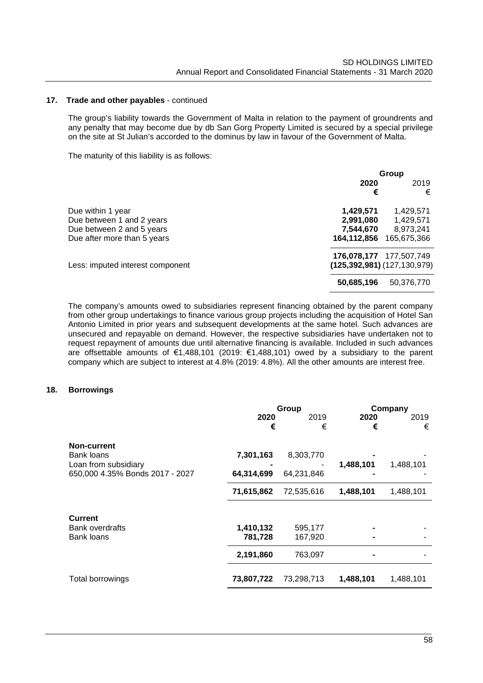#### **17. Trade and other payables** - continued

The group's liability towards the Government of Malta in relation to the payment of groundrents and any penalty that may become due by db San Gorg Property Limited is secured by a special privilege on the site at St Julian's accorded to the dominus by law in favour of the Government of Malta.

The maturity of this liability is as follows:

|                                  | Group       |                                 |  |
|----------------------------------|-------------|---------------------------------|--|
|                                  | 2020<br>€   | 2019<br>€                       |  |
| Due within 1 year                | 1,429,571   | 1,429,571                       |  |
| Due between 1 and 2 years        | 2,991,080   | 1,429,571                       |  |
| Due between 2 and 5 years        | 7,544,670   | 8,973,241                       |  |
| Due after more than 5 years      | 164,112,856 | 165,675,366                     |  |
|                                  |             | 176,078,177 177,507,749         |  |
| Less: imputed interest component |             | $(125,392,981)$ $(127,130,979)$ |  |
|                                  | 50,685,196  | 50,376,770                      |  |

The company's amounts owed to subsidiaries represent financing obtained by the parent company from other group undertakings to finance various group projects including the acquisition of Hotel San Antonio Limited in prior years and subsequent developments at the same hotel. Such advances are unsecured and repayable on demand. However, the respective subsidiaries have undertaken not to request repayment of amounts due until alternative financing is available. Included in such advances are offsettable amounts of €1,488,101 (2019: €1,488,101) owed by a subsidiary to the parent company which are subject to interest at 4.8% (2019: 4.8%). All the other amounts are interest free.

#### **18. Borrowings**

|                                 | Group      |            |           | Company   |
|---------------------------------|------------|------------|-----------|-----------|
|                                 | 2020<br>€  | 2019<br>€  | 2020<br>€ | 2019<br>€ |
| <b>Non-current</b>              |            |            |           |           |
| Bank loans                      | 7,301,163  | 8,303,770  |           |           |
| Loan from subsidiary            |            |            | 1,488,101 | 1,488,101 |
| 650,000 4.35% Bonds 2017 - 2027 | 64,314,699 | 64,231,846 |           |           |
|                                 | 71,615,862 | 72,535,616 | 1,488,101 | 1,488,101 |
| Current                         |            |            |           |           |
| <b>Bank overdrafts</b>          | 1,410,132  | 595,177    |           |           |
| <b>Bank loans</b>               | 781,728    | 167,920    |           |           |
|                                 | 2,191,860  | 763,097    |           |           |
| Total borrowings                | 73,807,722 | 73,298,713 | 1,488,101 | 1,488,101 |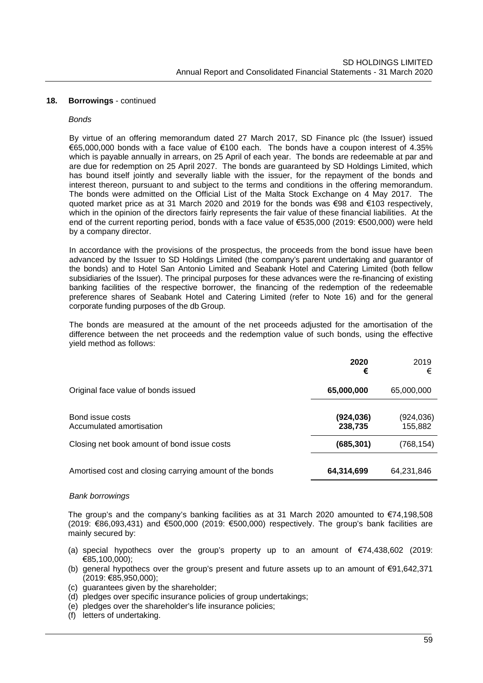#### **18. Borrowings** - continued

#### *Bonds*

By virtue of an offering memorandum dated 27 March 2017, SD Finance plc (the Issuer) issued €65,000,000 bonds with a face value of €100 each. The bonds have a coupon interest of 4.35% which is payable annually in arrears, on 25 April of each year. The bonds are redeemable at par and are due for redemption on 25 April 2027. The bonds are guaranteed by SD Holdings Limited, which has bound itself jointly and severally liable with the issuer, for the repayment of the bonds and interest thereon, pursuant to and subject to the terms and conditions in the offering memorandum. The bonds were admitted on the Official List of the Malta Stock Exchange on 4 May 2017. The quoted market price as at 31 March 2020 and 2019 for the bonds was €98 and €103 respectively, which in the opinion of the directors fairly represents the fair value of these financial liabilities. At the end of the current reporting period, bonds with a face value of €535,000 (2019: €500,000) were held by a company director.

In accordance with the provisions of the prospectus, the proceeds from the bond issue have been advanced by the Issuer to SD Holdings Limited (the company's parent undertaking and guarantor of the bonds) and to Hotel San Antonio Limited and Seabank Hotel and Catering Limited (both fellow subsidiaries of the Issuer). The principal purposes for these advances were the re-financing of existing banking facilities of the respective borrower, the financing of the redemption of the redeemable preference shares of Seabank Hotel and Catering Limited (refer to Note 16) and for the general corporate funding purposes of the db Group.

The bonds are measured at the amount of the net proceeds adjusted for the amortisation of the difference between the net proceeds and the redemption value of such bonds, using the effective yield method as follows:

|                                                         | 2020<br>€            | 2019<br>€             |
|---------------------------------------------------------|----------------------|-----------------------|
| Original face value of bonds issued                     | 65,000,000           | 65,000,000            |
| Bond issue costs<br>Accumulated amortisation            | (924,036)<br>238,735 | (924, 036)<br>155,882 |
| Closing net book amount of bond issue costs             | (685, 301)           | (768, 154)            |
| Amortised cost and closing carrying amount of the bonds | 64,314,699           | 64,231,846            |

#### *Bank borrowings*

The group's and the company's banking facilities as at 31 March 2020 amounted to  $\epsilon$ 74,198,508 (2019: €86,093,431) and €500,000 (2019: €500,000) respectively. The group's bank facilities are mainly secured by:

- (a) special hypothecs over the group's property up to an amount of  $\epsilon$ 74,438,602 (2019: €85,100,000);
- (b) general hypothecs over the group's present and future assets up to an amount of  $\epsilon$ 91,642,371 (2019: €85,950,000);
- (c) guarantees given by the shareholder;
- (d) pledges over specific insurance policies of group undertakings;
- (e) pledges over the shareholder's life insurance policies;
- (f) letters of undertaking.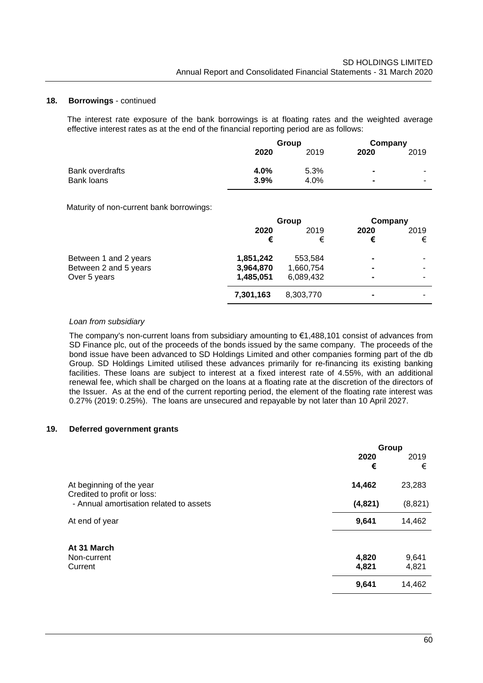#### **18. Borrowings** - continued

The interest rate exposure of the bank borrowings is at floating rates and the weighted average effective interest rates as at the end of the financial reporting period are as follows:

|                 | Group |      | Company        |      |
|-----------------|-------|------|----------------|------|
|                 | 2020  | 2019 | 2020           | 2019 |
| Bank overdrafts | 4.0%  | 5.3% | $\blacksquare$ | -    |
| Bank loans      | 3.9%  | 4.0% | $\blacksquare$ | -    |
|                 |       |      |                |      |

Maturity of non-current bank borrowings:

|                       |           | Group        |                | Company |
|-----------------------|-----------|--------------|----------------|---------|
|                       | 2020      | 2019<br>2020 |                | 2019    |
|                       | €         | €            | €              | €       |
| Between 1 and 2 years | 1,851,242 | 553,584      | $\blacksquare$ |         |
| Between 2 and 5 years | 3,964,870 | 1,660,754    | -              |         |
| Over 5 years          | 1,485,051 | 6,089,432    | $\blacksquare$ | -       |
|                       | 7,301,163 | 8,303,770    | $\blacksquare$ |         |

#### *Loan from subsidiary*

The company's non-current loans from subsidiary amounting to €1,488,101 consist of advances from SD Finance plc, out of the proceeds of the bonds issued by the same company. The proceeds of the bond issue have been advanced to SD Holdings Limited and other companies forming part of the db Group. SD Holdings Limited utilised these advances primarily for re-financing its existing banking facilities. These loans are subject to interest at a fixed interest rate of 4.55%, with an additional renewal fee, which shall be charged on the loans at a floating rate at the discretion of the directors of the Issuer. As at the end of the current reporting period, the element of the floating rate interest was 0.27% (2019: 0.25%). The loans are unsecured and repayable by not later than 10 April 2027.

#### **19. Deferred government grants**

|                                                         |           | Group     |
|---------------------------------------------------------|-----------|-----------|
|                                                         | 2020<br>€ | 2019<br>€ |
| At beginning of the year<br>Credited to profit or loss: | 14,462    | 23,283    |
| - Annual amortisation related to assets                 | (4,821)   | (8,821)   |
| At end of year                                          | 9,641     | 14,462    |
| At 31 March                                             |           |           |
| Non-current                                             | 4,820     | 9,641     |
| Current                                                 | 4,821     | 4,821     |
|                                                         | 9,641     | 14,462    |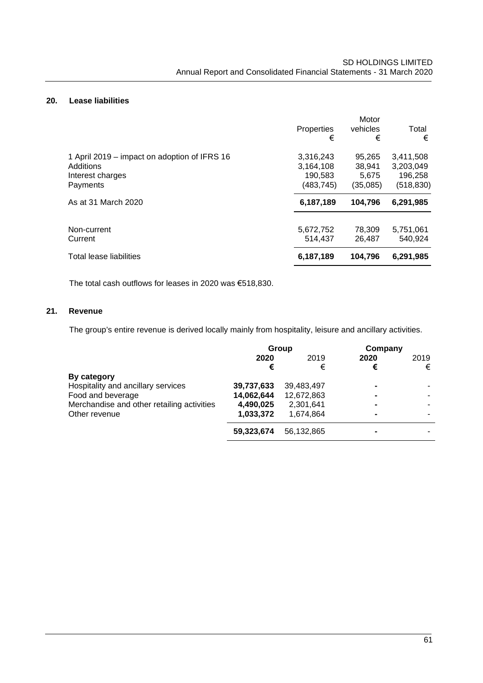# **20. Lease liabilities**

| 514,437    | 26,487   | 540,924                      |
|------------|----------|------------------------------|
|            |          |                              |
|            |          | 5,751,061                    |
| 6,187,189  | 104.796  | 6,291,985                    |
| (483,745)  | (35,085) | (518, 830)                   |
| 190,583    | 5.675    | 196,258                      |
| 3,164,108  | 38,941   | 3,203,049                    |
| 3,316,243  | 95,265   | 3,411,508                    |
| €          | €        | €                            |
| Properties | vehicles | Total                        |
|            |          | Motor<br>5,672,752<br>78.309 |

The total cash outflows for leases in 2020 was €518,830.

### **21. Revenue**

The group's entire revenue is derived locally mainly from hospitality, leisure and ancillary activities.

|                                            | Group      |            | Company |      |
|--------------------------------------------|------------|------------|---------|------|
|                                            | 2020       | 2019       | 2020    | 2019 |
|                                            | €          | €          | €       | €    |
| By category                                |            |            |         |      |
| Hospitality and ancillary services         | 39,737,633 | 39,483,497 |         |      |
| Food and beverage                          | 14,062,644 | 12,672,863 |         |      |
| Merchandise and other retailing activities | 4,490,025  | 2,301,641  |         |      |
| Other revenue                              | 1,033,372  | 1,674,864  |         |      |
|                                            | 59,323,674 | 56,132,865 |         |      |
|                                            |            |            |         |      |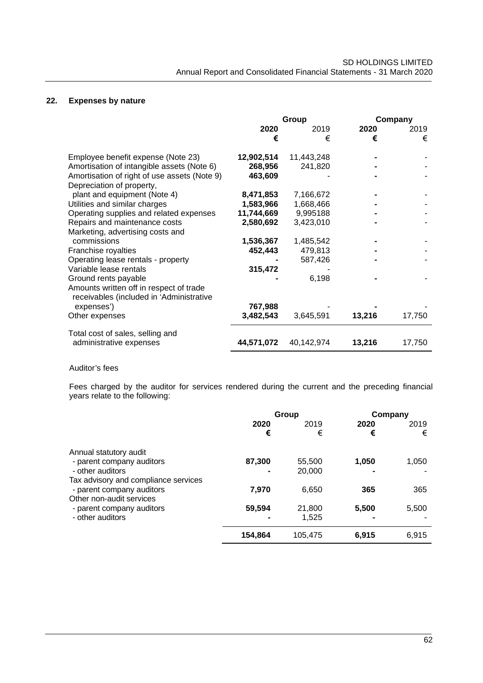### **22. Expenses by nature**

|                                                                                     | Group      |            | Company |        |
|-------------------------------------------------------------------------------------|------------|------------|---------|--------|
|                                                                                     | 2020       | 2019       | 2020    | 2019   |
|                                                                                     | €          | €          | €       | €      |
| Employee benefit expense (Note 23)                                                  | 12,902,514 | 11,443,248 |         |        |
| Amortisation of intangible assets (Note 6)                                          | 268,956    | 241,820    |         |        |
| Amortisation of right of use assets (Note 9)                                        | 463,609    |            |         |        |
| Depreciation of property,                                                           |            |            |         |        |
| plant and equipment (Note 4)                                                        | 8,471,853  | 7,166,672  |         |        |
| Utilities and similar charges                                                       | 1,583,966  | 1,668,466  |         |        |
| Operating supplies and related expenses                                             | 11,744,669 | 9,995188   |         |        |
| Repairs and maintenance costs                                                       | 2,580,692  | 3,423,010  |         |        |
| Marketing, advertising costs and                                                    |            |            |         |        |
| commissions                                                                         | 1,536,367  | 1,485,542  |         |        |
| Franchise royalties                                                                 | 452,443    | 479,813    |         |        |
| Operating lease rentals - property                                                  |            | 587,426    |         |        |
| Variable lease rentals                                                              | 315,472    |            |         |        |
| Ground rents payable                                                                |            | 6,198      |         |        |
| Amounts written off in respect of trade<br>receivables (included in 'Administrative |            |            |         |        |
| expenses')                                                                          | 767,988    |            |         |        |
| Other expenses                                                                      | 3,482,543  | 3,645,591  | 13,216  | 17,750 |
| Total cost of sales, selling and                                                    |            |            |         |        |
| administrative expenses                                                             | 44,571,072 | 40,142,974 | 13,216  | 17,750 |

Auditor's fees

Fees charged by the auditor for services rendered during the current and the preceding financial years relate to the following:

|                                      | Group   |         | Company |       |
|--------------------------------------|---------|---------|---------|-------|
|                                      | 2020    | 2019    | 2020    | 2019  |
|                                      | €       | €       | €       | €     |
| Annual statutory audit               |         |         |         |       |
| - parent company auditors            | 87,300  | 55,500  | 1,050   | 1,050 |
| - other auditors                     |         | 20,000  |         |       |
| Tax advisory and compliance services |         |         |         |       |
| - parent company auditors            | 7.970   | 6,650   | 365     | 365   |
| Other non-audit services             |         |         |         |       |
| - parent company auditors            | 59,594  | 21,800  | 5,500   | 5,500 |
| - other auditors                     |         | 1.525   |         |       |
|                                      | 154,864 | 105.475 | 6.915   | 6.915 |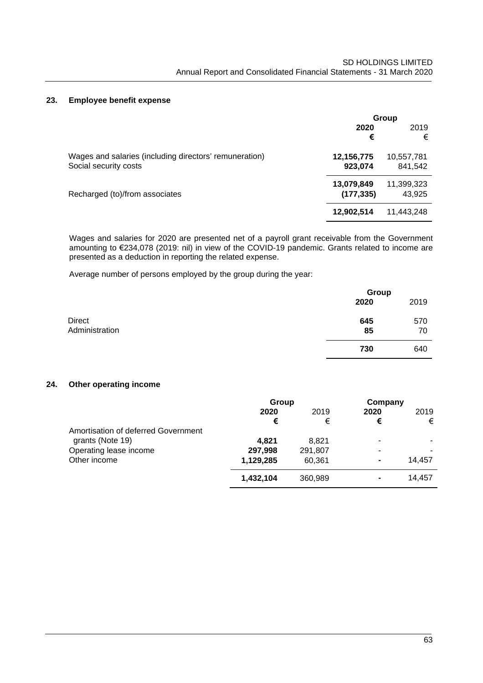#### **23. Employee benefit expense**

|                                                                                 | Group                    |                       |  |
|---------------------------------------------------------------------------------|--------------------------|-----------------------|--|
|                                                                                 | 2020<br>€                | 2019<br>€             |  |
| Wages and salaries (including directors' remuneration)<br>Social security costs | 12,156,775<br>923,074    | 10,557,781<br>841,542 |  |
| Recharged (to)/from associates                                                  | 13,079,849<br>(177, 335) | 11,399,323<br>43,925  |  |
|                                                                                 | 12,902,514               | 11,443,248            |  |

Wages and salaries for 2020 are presented net of a payroll grant receivable from the Government amounting to €234,078 (2019: nil) in view of the COVID-19 pandemic. Grants related to income are presented as a deduction in reporting the related expense.

Average number of persons employed by the group during the year:

|                                 |           | Group     |  |
|---------------------------------|-----------|-----------|--|
|                                 | 2020      | 2019      |  |
| <b>Direct</b><br>Administration | 645<br>85 | 570<br>70 |  |
|                                 | 730       | 640       |  |

#### **24. Other operating income**

|                                     | Group     |         | Company        |        |  |  |  |  |  |      |  |  |      |
|-------------------------------------|-----------|---------|----------------|--------|--|--|--|--|--|------|--|--|------|
|                                     | 2020      |         | 2019           |        |  |  |  |  |  | 2020 |  |  | 2019 |
|                                     | €         | €       | €              | €      |  |  |  |  |  |      |  |  |      |
| Amortisation of deferred Government |           |         |                |        |  |  |  |  |  |      |  |  |      |
| grants (Note 19)                    | 4,821     | 8.821   | ۰              |        |  |  |  |  |  |      |  |  |      |
| Operating lease income              | 297,998   | 291,807 | ۰              |        |  |  |  |  |  |      |  |  |      |
| Other income                        | 1,129,285 | 60,361  | $\blacksquare$ | 14.457 |  |  |  |  |  |      |  |  |      |
|                                     | 1,432,104 | 360,989 | $\blacksquare$ | 14,457 |  |  |  |  |  |      |  |  |      |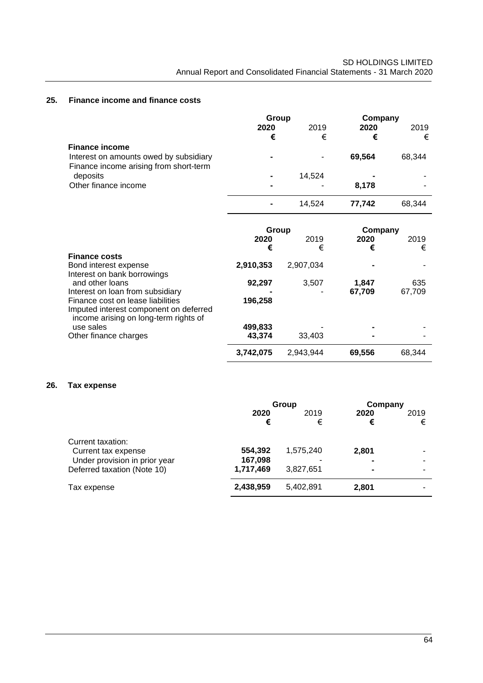## **25. Finance income and finance costs**

|                                                                                                           | Group     |           | Company |        |
|-----------------------------------------------------------------------------------------------------------|-----------|-----------|---------|--------|
|                                                                                                           | 2020      | 2019      | 2020    | 2019   |
|                                                                                                           | €         | €         | €       | €      |
| <b>Finance income</b><br>Interest on amounts owed by subsidiary<br>Finance income arising from short-term |           |           | 69,564  | 68,344 |
| deposits                                                                                                  |           | 14,524    |         |        |
| Other finance income                                                                                      |           |           | 8,178   |        |
|                                                                                                           |           | 14,524    | 77,742  | 68,344 |
|                                                                                                           | Group     |           | Company |        |
|                                                                                                           | 2020      | 2019      | 2020    | 2019   |
|                                                                                                           | €         | €         | €       | €      |
| <b>Finance costs</b><br>Bond interest expense<br>Interest on bank borrowings                              | 2,910,353 | 2,907,034 |         |        |
| and other loans                                                                                           | 92,297    | 3,507     | 1,847   | 635    |
| Interest on loan from subsidiary                                                                          |           |           | 67,709  | 67,709 |
| Finance cost on lease liabilities                                                                         | 196,258   |           |         |        |
| Imputed interest component on deferred<br>income arising on long-term rights of                           |           |           |         |        |
| use sales                                                                                                 | 499,833   |           |         |        |
| Other finance charges                                                                                     | 43,374    | 33,403    |         |        |
|                                                                                                           | 3,742,075 | 2,943,944 | 69,556  | 68,344 |

#### **26. Tax expense**

|                                          | Group     |           | Company        |           |
|------------------------------------------|-----------|-----------|----------------|-----------|
|                                          | 2020<br>€ | 2019<br>€ | 2020<br>€      | 2019<br>€ |
| Current taxation:<br>Current tax expense | 554,392   | 1,575,240 | 2,801          | -         |
| Under provision in prior year            | 167,098   |           |                | ۰         |
| Deferred taxation (Note 10)              | 1,717,469 | 3,827,651 | $\blacksquare$ | ۰         |
| Tax expense                              | 2,438,959 | 5,402,891 | 2,801          |           |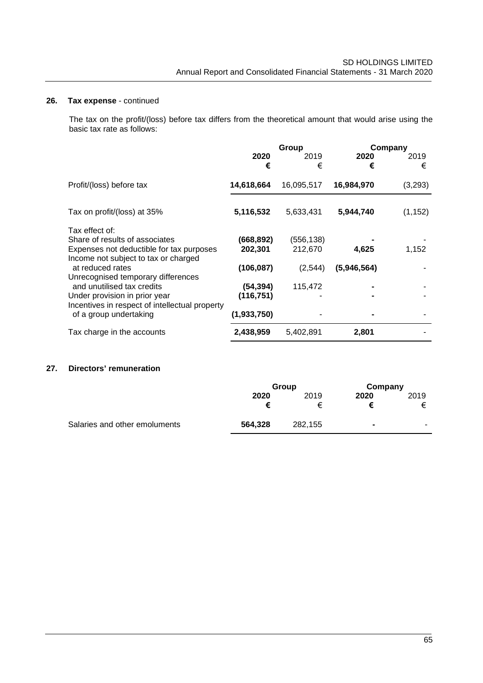#### **26. Tax expense** - continued

The tax on the profit/(loss) before tax differs from the theoretical amount that would arise using the basic tax rate as follows:

|                                                                                  | Group       |            | Company     |          |
|----------------------------------------------------------------------------------|-------------|------------|-------------|----------|
|                                                                                  | 2020        | 2019       | 2020        | 2019     |
|                                                                                  | €           | €          | €           | €        |
| Profit/(loss) before tax                                                         | 14,618,664  | 16,095,517 | 16,984,970  | (3,293)  |
| Tax on profit/(loss) at 35%                                                      | 5,116,532   | 5,633,431  | 5,944,740   | (1, 152) |
| Tax effect of:                                                                   |             |            |             |          |
| Share of results of associates                                                   | (668,892)   | (556,138)  |             |          |
| Expenses not deductible for tax purposes<br>Income not subject to tax or charged | 202,301     | 212,670    | 4,625       | 1,152    |
| at reduced rates<br>Unrecognised temporary differences                           | (106, 087)  | (2,544)    | (5,946,564) |          |
| and unutilised tax credits                                                       | (54, 394)   | 115,472    |             |          |
| Under provision in prior year                                                    | (116, 751)  |            |             |          |
| Incentives in respect of intellectual property                                   |             |            |             |          |
| of a group undertaking                                                           | (1,933,750) |            |             |          |
| Tax charge in the accounts                                                       | 2,438,959   | 5,402,891  | 2,801       |          |

### **27. Directors' remuneration**

|                               | Group   |         | Company        |      |
|-------------------------------|---------|---------|----------------|------|
|                               | 2020    | 2019    | 2020           | 2019 |
|                               |         | €       |                | €    |
| Salaries and other emoluments | 564.328 | 282.155 | $\blacksquare$ |      |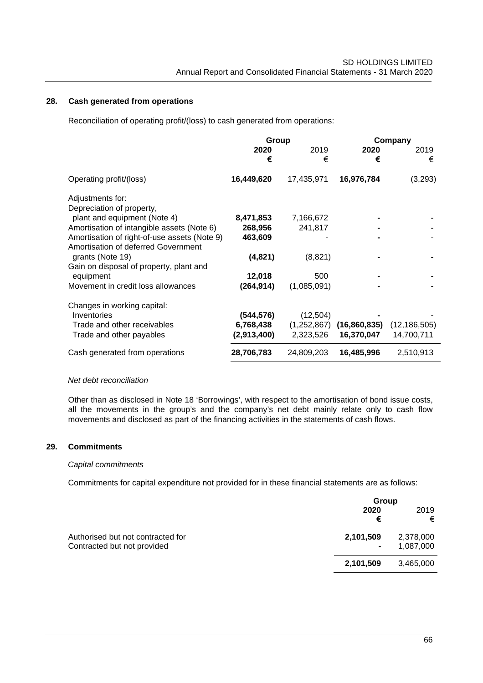#### **28. Cash generated from operations**

Reconciliation of operating profit/(loss) to cash generated from operations:

|                                              | Group       |             | Company        |                |
|----------------------------------------------|-------------|-------------|----------------|----------------|
|                                              | 2020<br>€   | 2019<br>€   | 2020<br>€      | 2019<br>€      |
| Operating profit/(loss)                      | 16,449,620  | 17,435,971  | 16,976,784     | (3,293)        |
| Adjustments for:                             |             |             |                |                |
| Depreciation of property,                    |             |             |                |                |
| plant and equipment (Note 4)                 | 8,471,853   | 7,166,672   |                |                |
| Amortisation of intangible assets (Note 6)   | 268,956     | 241,817     |                |                |
| Amortisation of right-of-use assets (Note 9) | 463,609     |             |                |                |
| Amortisation of deferred Government          |             |             |                |                |
| grants (Note 19)                             | (4,821)     | (8,821)     |                |                |
| Gain on disposal of property, plant and      |             |             |                |                |
| equipment                                    | 12,018      | 500         |                |                |
| Movement in credit loss allowances           | (264, 914)  | (1,085,091) |                |                |
| Changes in working capital:                  |             |             |                |                |
| Inventories                                  | (544, 576)  | (12, 504)   |                |                |
| Trade and other receivables                  | 6,768,438   | (1,252,867) | (16, 860, 835) | (12, 186, 505) |
| Trade and other payables                     | (2,913,400) | 2,323,526   | 16,370,047     | 14,700,711     |
| Cash generated from operations               | 28,706,783  | 24,809,203  | 16,485,996     | 2,510,913      |

#### *Net debt reconciliation*

Other than as disclosed in Note 18 'Borrowings', with respect to the amortisation of bond issue costs, all the movements in the group's and the company's net debt mainly relate only to cash flow movements and disclosed as part of the financing activities in the statements of cash flows.

#### **29. Commitments**

#### *Capital commitments*

Commitments for capital expenditure not provided for in these financial statements are as follows:

|                                                                  | Group                       |                        |
|------------------------------------------------------------------|-----------------------------|------------------------|
|                                                                  | 2020<br>€                   | 2019<br>€              |
| Authorised but not contracted for<br>Contracted but not provided | 2,101,509<br>$\blacksquare$ | 2,378,000<br>1,087,000 |
|                                                                  | 2,101,509                   | 3,465,000              |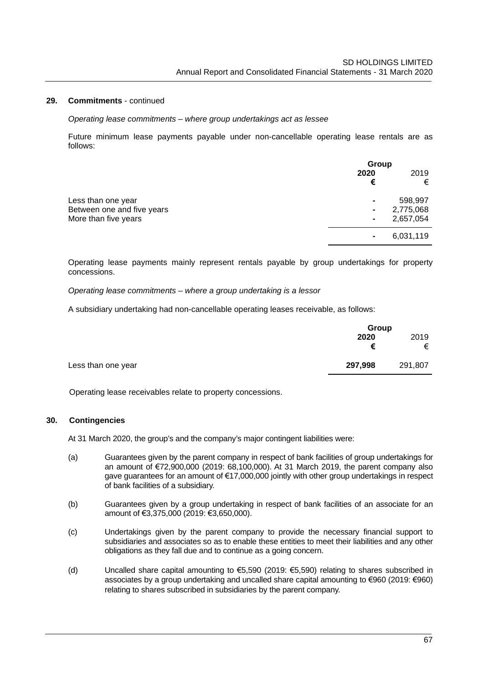#### **29. Commitments** - continued

#### *Operating lease commitments – where group undertakings act as lessee*

Future minimum lease payments payable under non-cancellable operating lease rentals are as follows:

|                                                  | Group          |                      |
|--------------------------------------------------|----------------|----------------------|
|                                                  | 2020<br>€      | 2019<br>€            |
| Less than one year<br>Between one and five years | $\blacksquare$ | 598,997<br>2,775,068 |
| More than five years                             | $\blacksquare$ | 2,657,054            |
|                                                  | $\blacksquare$ | 6,031,119            |

Operating lease payments mainly represent rentals payable by group undertakings for property concessions.

*Operating lease commitments – where a group undertaking is a lessor*

A subsidiary undertaking had non-cancellable operating leases receivable, as follows:

|                    |         | Group   |  |
|--------------------|---------|---------|--|
|                    | 2020    | 2019    |  |
|                    | €       | €       |  |
| Less than one year | 297,998 | 291,807 |  |

Operating lease receivables relate to property concessions.

#### **30. Contingencies**

At 31 March 2020, the group's and the company's major contingent liabilities were:

- (a) Guarantees given by the parent company in respect of bank facilities of group undertakings for an amount of €72,900,000 (2019: 68,100,000). At 31 March 2019, the parent company also gave guarantees for an amount of €17,000,000 jointly with other group undertakings in respect of bank facilities of a subsidiary.
- (b) Guarantees given by a group undertaking in respect of bank facilities of an associate for an amount of €3,375,000 (2019: €3,650,000).
- (c) Undertakings given by the parent company to provide the necessary financial support to subsidiaries and associates so as to enable these entities to meet their liabilities and any other obligations as they fall due and to continue as a going concern.
- (d) Uncalled share capital amounting to  $\epsilon$ 5,590 (2019:  $\epsilon$ 5,590) relating to shares subscribed in associates by a group undertaking and uncalled share capital amounting to €960 (2019: €960) relating to shares subscribed in subsidiaries by the parent company.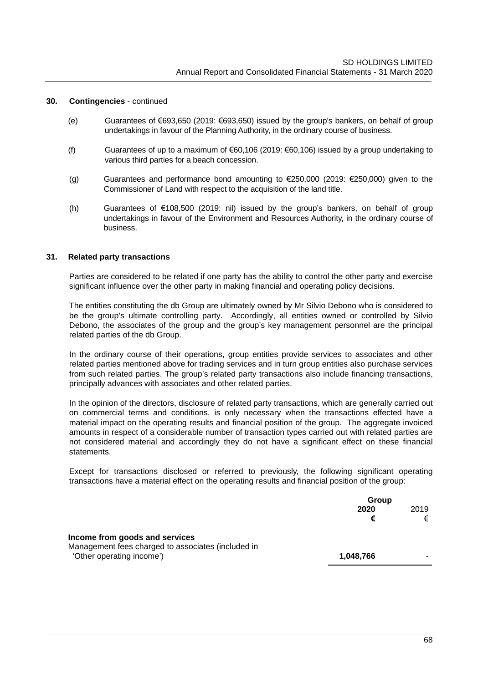#### **30. Contingencies** - continued

- (e) Guarantees of €693,650 (2019: €693,650) issued by the group's bankers, on behalf of group undertakings in favour of the Planning Authority, in the ordinary course of business.
- (f) Guarantees of up to a maximum of €60,106 (2019: €60,106) issued by a group undertaking to various third parties for a beach concession.
- (g) Guarantees and performance bond amounting to  $\epsilon$ 250,000 (2019:  $\epsilon$ 250,000) given to the Commissioner of Land with respect to the acquisition of the land title.
- (h) Guarantees of €108,500 (2019: nil) issued by the group's bankers, on behalf of group undertakings in favour of the Environment and Resources Authority, in the ordinary course of business.

#### **31. Related party transactions**

Parties are considered to be related if one party has the ability to control the other party and exercise significant influence over the other party in making financial and operating policy decisions.

The entities constituting the db Group are ultimately owned by Mr Silvio Debono who is considered to be the group's ultimate controlling party. Accordingly, all entities owned or controlled by Silvio Debono, the associates of the group and the group's key management personnel are the principal related parties of the db Group.

In the ordinary course of their operations, group entities provide services to associates and other related parties mentioned above for trading services and in turn group entities also purchase services from such related parties. The group's related party transactions also include financing transactions, principally advances with associates and other related parties.

In the opinion of the directors, disclosure of related party transactions, which are generally carried out on commercial terms and conditions, is only necessary when the transactions effected have a material impact on the operating results and financial position of the group. The aggregate invoiced amounts in respect of a considerable number of transaction types carried out with related parties are not considered material and accordingly they do not have a significant effect on these financial statements.

Except for transactions disclosed or referred to previously, the following significant operating transactions have a material effect on the operating results and financial position of the group:

|                                                    | Group     |      |
|----------------------------------------------------|-----------|------|
|                                                    | 2020      | 2019 |
|                                                    | €         | €    |
| Income from goods and services                     |           |      |
| Management fees charged to associates (included in |           |      |
| 'Other operating income')                          | 1,048,766 |      |